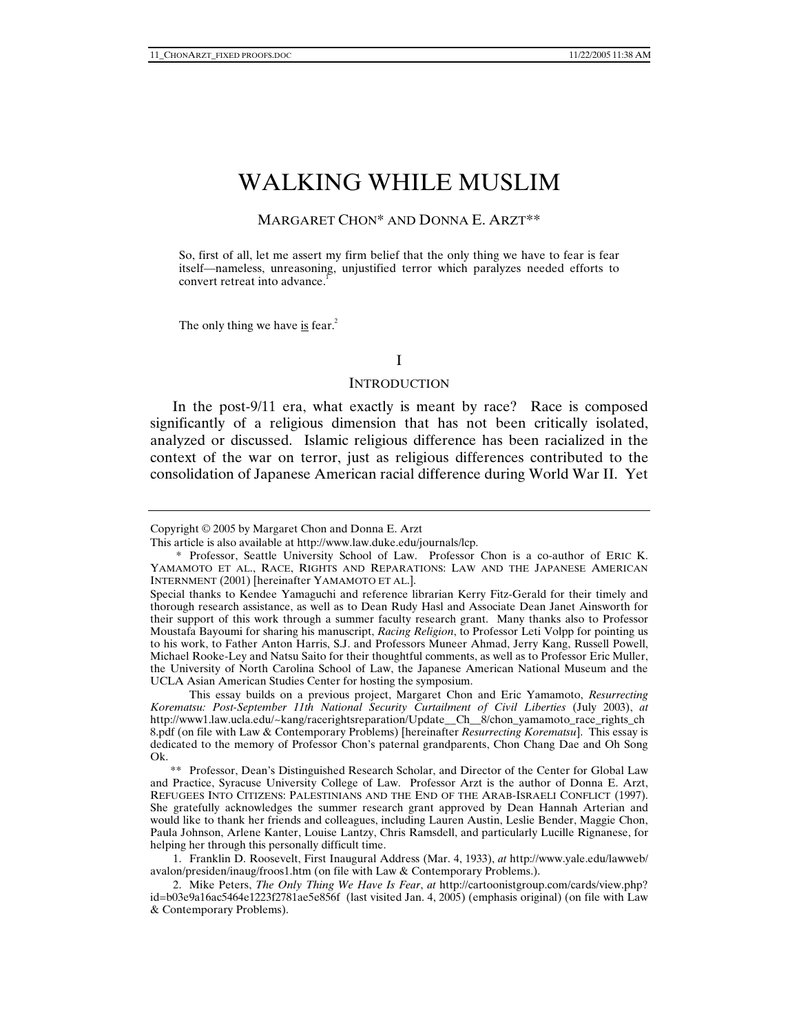# WALKING WHILE MUSLIM

#### MARGARET CHON\* AND DONNA E. ARZT\*\*

So, first of all, let me assert my firm belief that the only thing we have to fear is fear itself—nameless, unreasoning, unjustified terror which paralyzes needed efforts to convert retreat into advance.<sup>1</sup>

The only thing we have is fear.<sup>2</sup>

#### I

#### **INTRODUCTION**

In the post-9/11 era, what exactly is meant by race? Race is composed significantly of a religious dimension that has not been critically isolated, analyzed or discussed. Islamic religious difference has been racialized in the context of the war on terror, just as religious differences contributed to the consolidation of Japanese American racial difference during World War II. Yet

 This essay builds on a previous project, Margaret Chon and Eric Yamamoto, *Resurrecting Korematsu: Post-September 11th National Security Curtailment of Civil Liberties* (July 2003), *at* http://www1.law.ucla.edu/~kang/racerightsreparation/Update\_\_Ch\_\_8/chon\_yamamoto\_race\_rights\_ch 8.pdf (on file with Law & Contemporary Problems) [hereinafter *Resurrecting Korematsu*]. This essay is dedicated to the memory of Professor Chon's paternal grandparents, Chon Chang Dae and Oh Song Ok.

 \*\* Professor, Dean's Distinguished Research Scholar, and Director of the Center for Global Law and Practice, Syracuse University College of Law. Professor Arzt is the author of Donna E. Arzt, REFUGEES INTO CITIZENS: PALESTINIANS AND THE END OF THE ARAB-ISRAELI CONFLICT (1997). She gratefully acknowledges the summer research grant approved by Dean Hannah Arterian and would like to thank her friends and colleagues, including Lauren Austin, Leslie Bender, Maggie Chon, Paula Johnson, Arlene Kanter, Louise Lantzy, Chris Ramsdell, and particularly Lucille Rignanese, for helping her through this personally difficult time.

 1. Franklin D. Roosevelt, First Inaugural Address (Mar. 4, 1933), *at* http://www.yale.edu/lawweb/ avalon/presiden/inaug/froos1.htm (on file with Law & Contemporary Problems.).

 2. Mike Peters, *The Only Thing We Have Is Fear*, *at* http://cartoonistgroup.com/cards/view.php? id=b03e9a16ac5464e1223f2781ae5e856f (last visited Jan. 4, 2005) (emphasis original) (on file with Law & Contemporary Problems).

Copyright © 2005 by Margaret Chon and Donna E. Arzt

This article is also available at http://www.law.duke.edu/journals/lcp.

 <sup>\*</sup> Professor, Seattle University School of Law. Professor Chon is a co-author of ERIC K. YAMAMOTO ET AL., RACE, RIGHTS AND REPARATIONS: LAW AND THE JAPANESE AMERICAN INTERNMENT (2001) [hereinafter YAMAMOTO ET AL.].

Special thanks to Kendee Yamaguchi and reference librarian Kerry Fitz-Gerald for their timely and thorough research assistance, as well as to Dean Rudy Hasl and Associate Dean Janet Ainsworth for their support of this work through a summer faculty research grant. Many thanks also to Professor Moustafa Bayoumi for sharing his manuscript, *Racing Religion*, to Professor Leti Volpp for pointing us to his work, to Father Anton Harris, S.J. and Professors Muneer Ahmad, Jerry Kang, Russell Powell, Michael Rooke-Ley and Natsu Saito for their thoughtful comments, as well as to Professor Eric Muller, the University of North Carolina School of Law, the Japanese American National Museum and the UCLA Asian American Studies Center for hosting the symposium.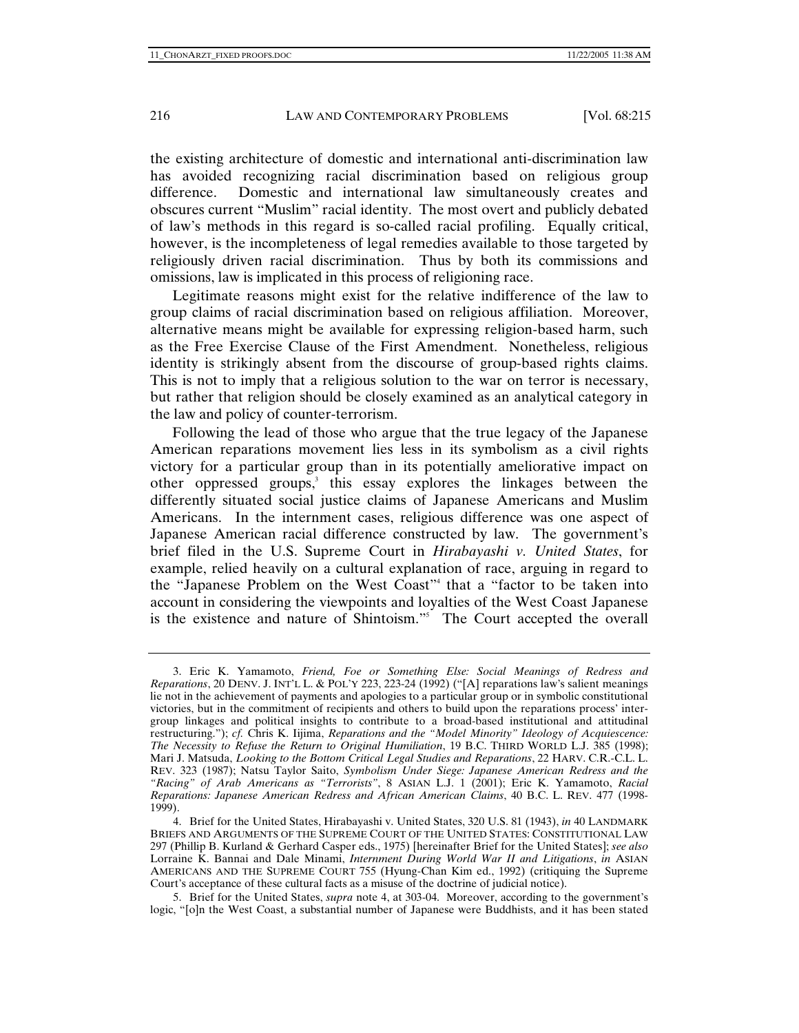the existing architecture of domestic and international anti-discrimination law has avoided recognizing racial discrimination based on religious group difference. Domestic and international law simultaneously creates and obscures current "Muslim" racial identity. The most overt and publicly debated of law's methods in this regard is so-called racial profiling. Equally critical, however, is the incompleteness of legal remedies available to those targeted by religiously driven racial discrimination. Thus by both its commissions and omissions, law is implicated in this process of religioning race.

Legitimate reasons might exist for the relative indifference of the law to group claims of racial discrimination based on religious affiliation. Moreover, alternative means might be available for expressing religion-based harm, such as the Free Exercise Clause of the First Amendment. Nonetheless, religious identity is strikingly absent from the discourse of group-based rights claims. This is not to imply that a religious solution to the war on terror is necessary, but rather that religion should be closely examined as an analytical category in the law and policy of counter-terrorism.

Following the lead of those who argue that the true legacy of the Japanese American reparations movement lies less in its symbolism as a civil rights victory for a particular group than in its potentially ameliorative impact on other oppressed groups,<sup>3</sup> this essay explores the linkages between the differently situated social justice claims of Japanese Americans and Muslim Americans. In the internment cases, religious difference was one aspect of Japanese American racial difference constructed by law. The government's brief filed in the U.S. Supreme Court in *Hirabayashi v. United States*, for example, relied heavily on a cultural explanation of race, arguing in regard to the "Japanese Problem on the West Coast"4 that a "factor to be taken into account in considering the viewpoints and loyalties of the West Coast Japanese is the existence and nature of Shintoism."<sup>5</sup> The Court accepted the overall

 <sup>3.</sup> Eric K. Yamamoto, *Friend, Foe or Something Else: Social Meanings of Redress and Reparations*, 20 DENV. J. INT'L L. & POL'Y 223, 223-24 (1992) ("[A] reparations law's salient meanings lie not in the achievement of payments and apologies to a particular group or in symbolic constitutional victories, but in the commitment of recipients and others to build upon the reparations process' intergroup linkages and political insights to contribute to a broad-based institutional and attitudinal restructuring."); *cf.* Chris K. Iijima, *Reparations and the "Model Minority" Ideology of Acquiescence: The Necessity to Refuse the Return to Original Humiliation*, 19 B.C. THIRD WORLD L.J. 385 (1998); Mari J. Matsuda, *Looking to the Bottom Critical Legal Studies and Reparations*, 22 HARV. C.R.-C.L. L. REV. 323 (1987); Natsu Taylor Saito, *Symbolism Under Siege: Japanese American Redress and the "Racing" of Arab Americans as "Terrorists"*, 8 ASIAN L.J. 1 (2001); Eric K. Yamamoto, *Racial Reparations: Japanese American Redress and African American Claims*, 40 B.C. L. REV. 477 (1998- 1999).

 <sup>4.</sup> Brief for the United States, Hirabayashi v. United States, 320 U.S. 81 (1943), *in* 40 LANDMARK BRIEFS AND ARGUMENTS OF THE SUPREME COURT OF THE UNITED STATES: CONSTITUTIONAL LAW 297 (Phillip B. Kurland & Gerhard Casper eds., 1975) [hereinafter Brief for the United States]; *see also*  Lorraine K. Bannai and Dale Minami, *Internment During World War II and Litigations*, *in* ASIAN AMERICANS AND THE SUPREME COURT 755 (Hyung-Chan Kim ed., 1992) (critiquing the Supreme Court's acceptance of these cultural facts as a misuse of the doctrine of judicial notice).

 <sup>5.</sup> Brief for the United States, *supra* note 4, at 303-04. Moreover, according to the government's logic, "[o]n the West Coast, a substantial number of Japanese were Buddhists, and it has been stated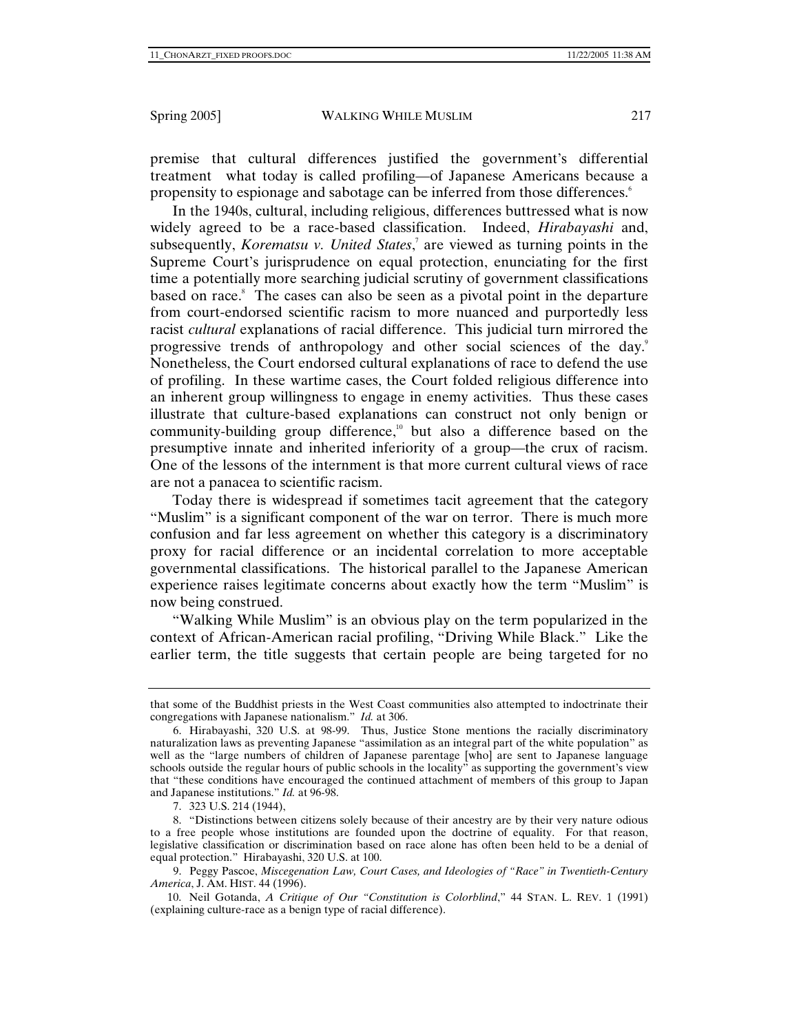premise that cultural differences justified the government's differential treatment what today is called profiling—of Japanese Americans because a propensity to espionage and sabotage can be inferred from those differences.<sup>6</sup>

In the 1940s, cultural, including religious, differences buttressed what is now widely agreed to be a race-based classification. Indeed, *Hirabayashi* and, subsequently, *Korematsu v. United States*, 7 are viewed as turning points in the Supreme Court's jurisprudence on equal protection, enunciating for the first time a potentially more searching judicial scrutiny of government classifications based on race.<sup>8</sup> The cases can also be seen as a pivotal point in the departure from court-endorsed scientific racism to more nuanced and purportedly less racist *cultural* explanations of racial difference. This judicial turn mirrored the progressive trends of anthropology and other social sciences of the day.<sup>9</sup> Nonetheless, the Court endorsed cultural explanations of race to defend the use of profiling. In these wartime cases, the Court folded religious difference into an inherent group willingness to engage in enemy activities. Thus these cases illustrate that culture-based explanations can construct not only benign or community-building group difference,<sup>10</sup> but also a difference based on the presumptive innate and inherited inferiority of a group—the crux of racism. One of the lessons of the internment is that more current cultural views of race are not a panacea to scientific racism.

Today there is widespread if sometimes tacit agreement that the category "Muslim" is a significant component of the war on terror. There is much more confusion and far less agreement on whether this category is a discriminatory proxy for racial difference or an incidental correlation to more acceptable governmental classifications. The historical parallel to the Japanese American experience raises legitimate concerns about exactly how the term "Muslim" is now being construed.

"Walking While Muslim" is an obvious play on the term popularized in the context of African-American racial profiling, "Driving While Black." Like the earlier term, the title suggests that certain people are being targeted for no

that some of the Buddhist priests in the West Coast communities also attempted to indoctrinate their congregations with Japanese nationalism." *Id.* at 306.

 <sup>6.</sup> Hirabayashi, 320 U.S. at 98-99. Thus, Justice Stone mentions the racially discriminatory naturalization laws as preventing Japanese "assimilation as an integral part of the white population" as well as the "large numbers of children of Japanese parentage [who] are sent to Japanese language schools outside the regular hours of public schools in the locality" as supporting the government's view that "these conditions have encouraged the continued attachment of members of this group to Japan and Japanese institutions." *Id.* at 96-98.

 <sup>7. 323</sup> U.S. 214 (1944),

 <sup>8. &</sup>quot;Distinctions between citizens solely because of their ancestry are by their very nature odious to a free people whose institutions are founded upon the doctrine of equality. For that reason, legislative classification or discrimination based on race alone has often been held to be a denial of equal protection." Hirabayashi, 320 U.S. at 100.

 <sup>9.</sup> Peggy Pascoe, *Miscegenation Law, Court Cases, and Ideologies of "Race" in Twentieth-Century America*, J. AM. HIST. 44 (1996).

 <sup>10.</sup> Neil Gotanda, *A Critique of Our "Constitution is Colorblind*," 44 STAN. L. REV. 1 (1991) (explaining culture-race as a benign type of racial difference).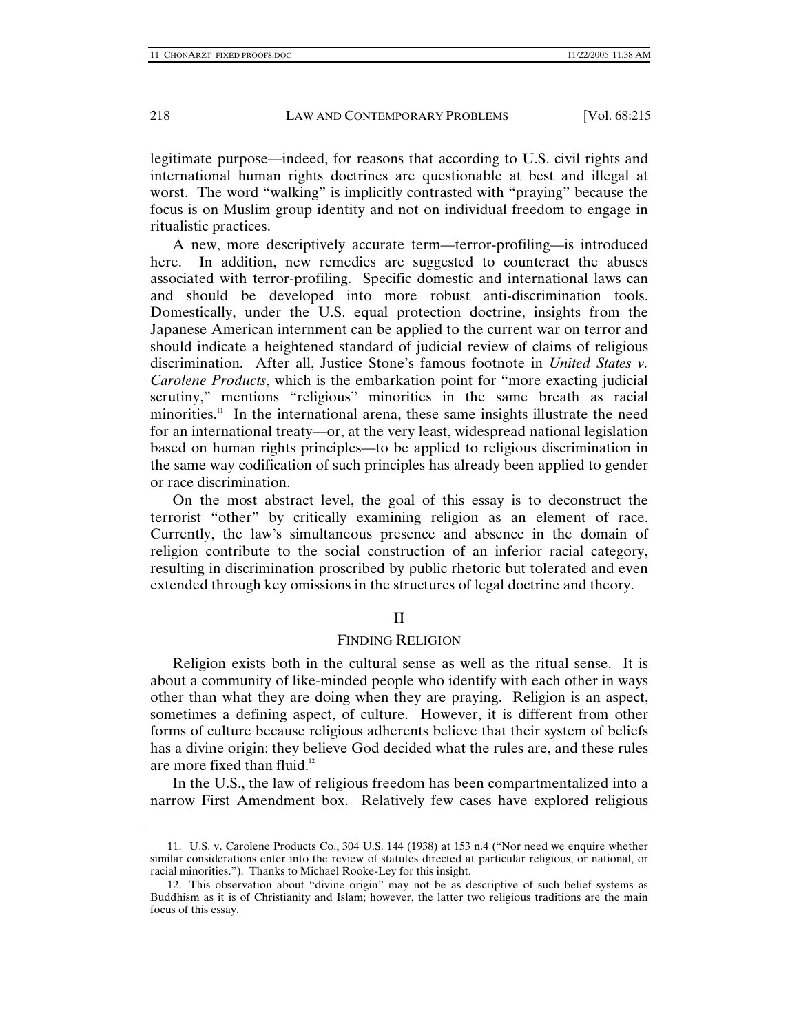legitimate purpose—indeed, for reasons that according to U.S. civil rights and international human rights doctrines are questionable at best and illegal at worst. The word "walking" is implicitly contrasted with "praying" because the focus is on Muslim group identity and not on individual freedom to engage in ritualistic practices.

A new, more descriptively accurate term—terror-profiling—is introduced here. In addition, new remedies are suggested to counteract the abuses associated with terror-profiling. Specific domestic and international laws can and should be developed into more robust anti-discrimination tools. Domestically, under the U.S. equal protection doctrine, insights from the Japanese American internment can be applied to the current war on terror and should indicate a heightened standard of judicial review of claims of religious discrimination. After all, Justice Stone's famous footnote in *United States v. Carolene Products*, which is the embarkation point for "more exacting judicial scrutiny," mentions "religious" minorities in the same breath as racial minorities.<sup>11</sup> In the international arena, these same insights illustrate the need for an international treaty—or, at the very least, widespread national legislation based on human rights principles—to be applied to religious discrimination in the same way codification of such principles has already been applied to gender or race discrimination.

On the most abstract level, the goal of this essay is to deconstruct the terrorist "other" by critically examining religion as an element of race. Currently, the law's simultaneous presence and absence in the domain of religion contribute to the social construction of an inferior racial category, resulting in discrimination proscribed by public rhetoric but tolerated and even extended through key omissions in the structures of legal doctrine and theory.

#### II

### FINDING RELIGION

Religion exists both in the cultural sense as well as the ritual sense. It is about a community of like-minded people who identify with each other in ways other than what they are doing when they are praying. Religion is an aspect, sometimes a defining aspect, of culture. However, it is different from other forms of culture because religious adherents believe that their system of beliefs has a divine origin: they believe God decided what the rules are, and these rules are more fixed than fluid. $12$ 

In the U.S., the law of religious freedom has been compartmentalized into a narrow First Amendment box. Relatively few cases have explored religious

 <sup>11.</sup> U.S. v. Carolene Products Co., 304 U.S. 144 (1938) at 153 n.4 ("Nor need we enquire whether similar considerations enter into the review of statutes directed at particular religious, or national, or racial minorities."). Thanks to Michael Rooke-Ley for this insight.

 <sup>12.</sup> This observation about "divine origin" may not be as descriptive of such belief systems as Buddhism as it is of Christianity and Islam; however, the latter two religious traditions are the main focus of this essay.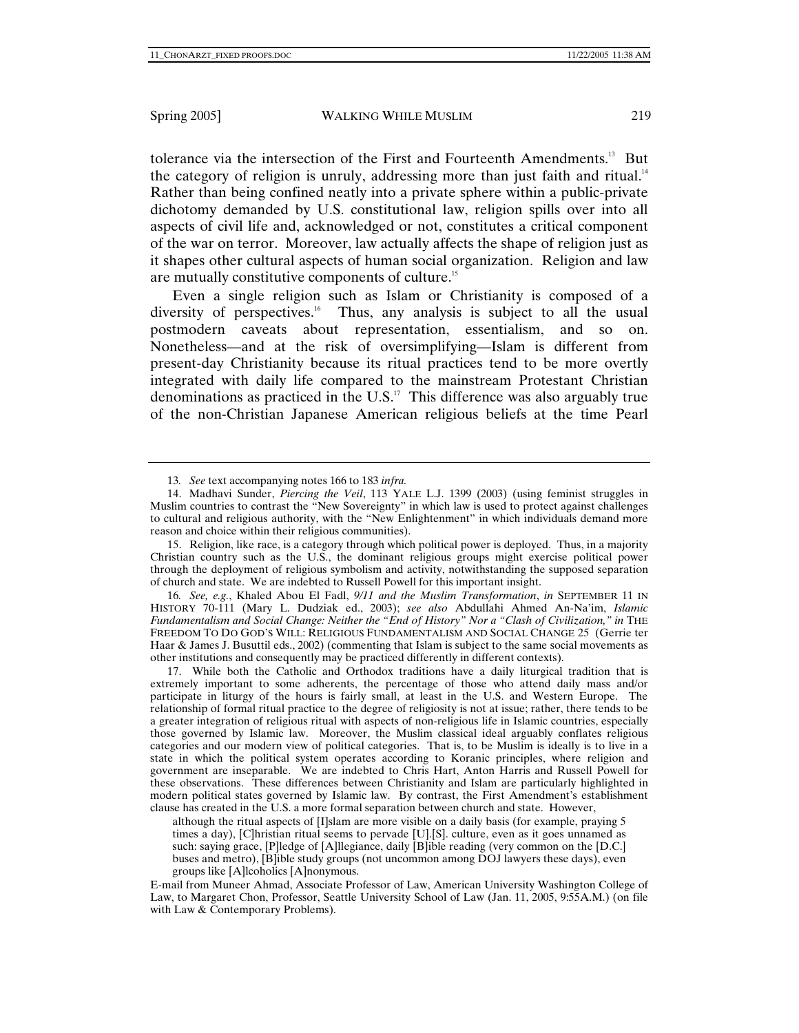tolerance via the intersection of the First and Fourteenth Amendments.<sup>13</sup> But the category of religion is unruly, addressing more than just faith and ritual.<sup>14</sup> Rather than being confined neatly into a private sphere within a public-private dichotomy demanded by U.S. constitutional law, religion spills over into all aspects of civil life and, acknowledged or not, constitutes a critical component of the war on terror. Moreover, law actually affects the shape of religion just as it shapes other cultural aspects of human social organization. Religion and law are mutually constitutive components of culture.15

Even a single religion such as Islam or Christianity is composed of a diversity of perspectives.<sup>16</sup> Thus, any analysis is subject to all the usual postmodern caveats about representation, essentialism, and so on. Nonetheless—and at the risk of oversimplifying—Islam is different from present-day Christianity because its ritual practices tend to be more overtly integrated with daily life compared to the mainstream Protestant Christian denominations as practiced in the U.S. $17$  This difference was also arguably true of the non-Christian Japanese American religious beliefs at the time Pearl

 15. Religion, like race, is a category through which political power is deployed. Thus, in a majority Christian country such as the U.S., the dominant religious groups might exercise political power through the deployment of religious symbolism and activity, notwithstanding the supposed separation of church and state. We are indebted to Russell Powell for this important insight.

16*. See, e.g.*, Khaled Abou El Fadl, *9/11 and the Muslim Transformation*, *in* SEPTEMBER 11 IN HISTORY 70-111 (Mary L. Dudziak ed., 2003); *see also* Abdullahi Ahmed An-Na'im, *Islamic Fundamentalism and Social Change: Neither the "End of History" Nor a "Clash of Civilization," in* THE FREEDOM TO DO GOD'S WILL: RELIGIOUS FUNDAMENTALISM AND SOCIAL CHANGE 25 (Gerrie ter Haar & James J. Busuttil eds., 2002) (commenting that Islam is subject to the same social movements as other institutions and consequently may be practiced differently in different contexts).

 17. While both the Catholic and Orthodox traditions have a daily liturgical tradition that is extremely important to some adherents, the percentage of those who attend daily mass and/or participate in liturgy of the hours is fairly small, at least in the U.S. and Western Europe. The relationship of formal ritual practice to the degree of religiosity is not at issue; rather, there tends to be a greater integration of religious ritual with aspects of non-religious life in Islamic countries, especially those governed by Islamic law. Moreover, the Muslim classical ideal arguably conflates religious categories and our modern view of political categories. That is, to be Muslim is ideally is to live in a state in which the political system operates according to Koranic principles, where religion and government are inseparable. We are indebted to Chris Hart, Anton Harris and Russell Powell for these observations. These differences between Christianity and Islam are particularly highlighted in modern political states governed by Islamic law. By contrast, the First Amendment's establishment clause has created in the U.S. a more formal separation between church and state. However,

although the ritual aspects of [I]slam are more visible on a daily basis (for example, praying 5 times a day), [C]hristian ritual seems to pervade [U].[S]. culture, even as it goes unnamed as such: saying grace, [P]ledge of [A]llegiance, daily [B]ible reading (very common on the [D.C.] buses and metro), [B]ible study groups (not uncommon among DOJ lawyers these days), even groups like [A]lcoholics [A]nonymous.

E-mail from Muneer Ahmad, Associate Professor of Law, American University Washington College of Law, to Margaret Chon, Professor, Seattle University School of Law (Jan. 11, 2005, 9:55A.M.) (on file with Law & Contemporary Problems).

<sup>13</sup>*. See* text accompanying notes 166 to 183 *infra.*

 <sup>14.</sup> Madhavi Sunder, *Piercing the Veil*, 113 YALE L.J. 1399 (2003) (using feminist struggles in Muslim countries to contrast the "New Sovereignty" in which law is used to protect against challenges to cultural and religious authority, with the "New Enlightenment" in which individuals demand more reason and choice within their religious communities).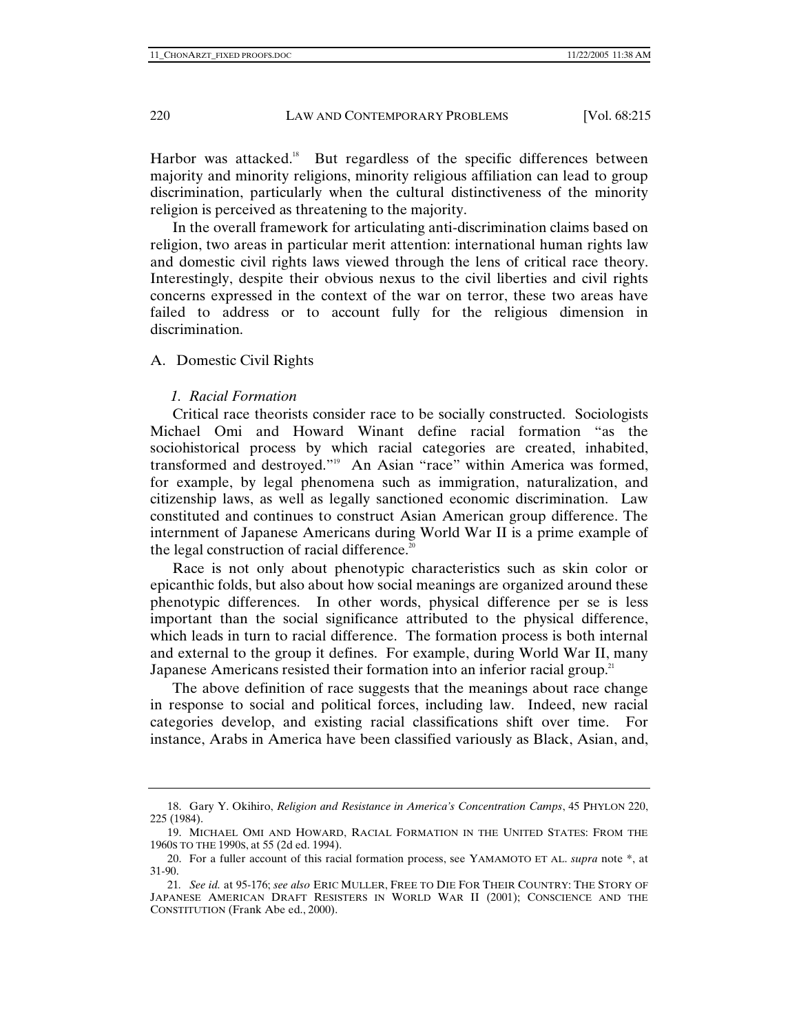Harbor was attacked.<sup>18</sup> But regardless of the specific differences between majority and minority religions, minority religious affiliation can lead to group discrimination, particularly when the cultural distinctiveness of the minority religion is perceived as threatening to the majority.

In the overall framework for articulating anti-discrimination claims based on religion, two areas in particular merit attention: international human rights law and domestic civil rights laws viewed through the lens of critical race theory. Interestingly, despite their obvious nexus to the civil liberties and civil rights concerns expressed in the context of the war on terror, these two areas have failed to address or to account fully for the religious dimension in discrimination.

### A. Domestic Civil Rights

## *1. Racial Formation*

Critical race theorists consider race to be socially constructed. Sociologists Michael Omi and Howard Winant define racial formation "as the sociohistorical process by which racial categories are created, inhabited, transformed and destroyed."19 An Asian "race" within America was formed, for example, by legal phenomena such as immigration, naturalization, and citizenship laws, as well as legally sanctioned economic discrimination. Law constituted and continues to construct Asian American group difference. The internment of Japanese Americans during World War II is a prime example of the legal construction of racial difference. $20$ 

Race is not only about phenotypic characteristics such as skin color or epicanthic folds, but also about how social meanings are organized around these phenotypic differences. In other words, physical difference per se is less important than the social significance attributed to the physical difference, which leads in turn to racial difference. The formation process is both internal and external to the group it defines. For example, during World War II, many Japanese Americans resisted their formation into an inferior racial group.<sup>21</sup>

The above definition of race suggests that the meanings about race change in response to social and political forces, including law. Indeed, new racial categories develop, and existing racial classifications shift over time. For instance, Arabs in America have been classified variously as Black, Asian, and,

 <sup>18.</sup> Gary Y. Okihiro, *Religion and Resistance in America's Concentration Camps*, 45 PHYLON 220, 225 (1984).

 <sup>19.</sup> MICHAEL OMI AND HOWARD, RACIAL FORMATION IN THE UNITED STATES: FROM THE 1960S TO THE 1990S, at 55 (2d ed. 1994).

 <sup>20.</sup> For a fuller account of this racial formation process, see YAMAMOTO ET AL. *supra* note \*, at 31-90.

<sup>21</sup>*. See id.* at 95-176; *see also* ERIC MULLER, FREE TO DIE FOR THEIR COUNTRY: THE STORY OF JAPANESE AMERICAN DRAFT RESISTERS IN WORLD WAR II (2001); CONSCIENCE AND THE CONSTITUTION (Frank Abe ed., 2000).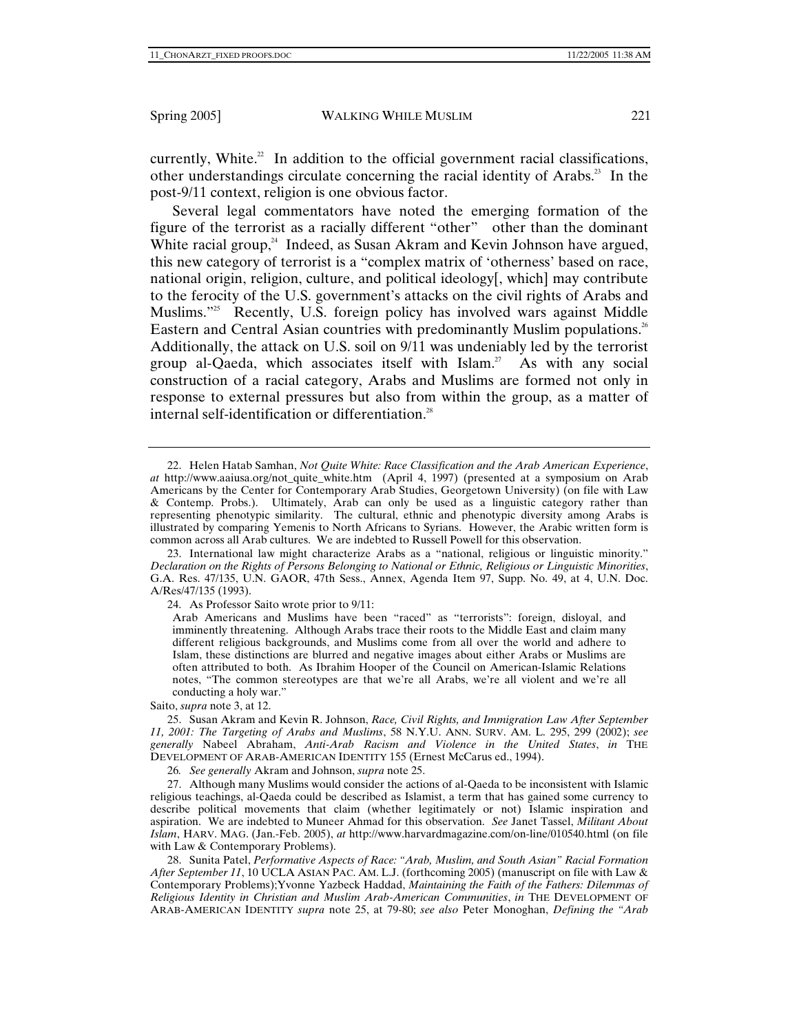currently, White.<sup>22</sup> In addition to the official government racial classifications, other understandings circulate concerning the racial identity of Arabs.<sup>23</sup> In the post-9/11 context, religion is one obvious factor.

Several legal commentators have noted the emerging formation of the figure of the terrorist as a racially different "other" other than the dominant White racial group,<sup>24</sup> Indeed, as Susan Akram and Kevin Johnson have argued, this new category of terrorist is a "complex matrix of 'otherness' based on race, national origin, religion, culture, and political ideology[, which] may contribute to the ferocity of the U.S. government's attacks on the civil rights of Arabs and Muslims. $25^\circ$  Recently, U.S. foreign policy has involved wars against Middle Eastern and Central Asian countries with predominantly Muslim populations.<sup>26</sup> Additionally, the attack on U.S. soil on 9/11 was undeniably led by the terrorist group al-Qaeda, which associates itself with Islam.<sup>27</sup> As with any social construction of a racial category, Arabs and Muslims are formed not only in response to external pressures but also from within the group, as a matter of internal self-identification or differentiation.<sup>28</sup>

24. As Professor Saito wrote prior to 9/11:

Saito, *supra* note 3, at 12.

 25. Susan Akram and Kevin R. Johnson, *Race, Civil Rights, and Immigration Law After September 11, 2001: The Targeting of Arabs and Muslims*, 58 N.Y.U. ANN. SURV. AM. L. 295, 299 (2002); *see generally* Nabeel Abraham, *Anti-Arab Racism and Violence in the United States*, *in* THE DEVELOPMENT OF ARAB-AMERICAN IDENTITY 155 (Ernest McCarus ed., 1994).

26*. See generally* Akram and Johnson, *supra* note 25.

 27. Although many Muslims would consider the actions of al-Qaeda to be inconsistent with Islamic religious teachings, al-Qaeda could be described as Islamist, a term that has gained some currency to describe political movements that claim (whether legitimately or not) Islamic inspiration and aspiration. We are indebted to Muneer Ahmad for this observation. *See* Janet Tassel, *Militant About Islam*, HARV. MAG. (Jan.-Feb. 2005), *at* http://www.harvardmagazine.com/on-line/010540.html (on file with Law & Contemporary Problems).

 28. Sunita Patel, *Performative Aspects of Race: "Arab, Muslim, and South Asian" Racial Formation After September 11*, 10 UCLA ASIAN PAC. AM. L.J. (forthcoming 2005) (manuscript on file with Law & Contemporary Problems);Yvonne Yazbeck Haddad, *Maintaining the Faith of the Fathers: Dilemmas of Religious Identity in Christian and Muslim Arab-American Communities*, *in* THE DEVELOPMENT OF ARAB-AMERICAN IDENTITY *supra* note 25, at 79-80; *see also* Peter Monoghan, *Defining the "Arab* 

 <sup>22.</sup> Helen Hatab Samhan, *Not Quite White: Race Classification and the Arab American Experience*, *at* http://www.aaiusa.org/not\_quite\_white.htm (April 4, 1997) (presented at a symposium on Arab Americans by the Center for Contemporary Arab Studies, Georgetown University) (on file with Law & Contemp. Probs.). Ultimately, Arab can only be used as a linguistic category rather than representing phenotypic similarity. The cultural, ethnic and phenotypic diversity among Arabs is illustrated by comparing Yemenis to North Africans to Syrians. However, the Arabic written form is common across all Arab cultures. We are indebted to Russell Powell for this observation.

 <sup>23.</sup> International law might characterize Arabs as a "national, religious or linguistic minority." *Declaration on the Rights of Persons Belonging to National or Ethnic, Religious or Linguistic Minorities*, G.A. Res. 47/135, U.N. GAOR, 47th Sess., Annex, Agenda Item 97, Supp. No. 49, at 4, U.N. Doc. A/Res/47/135 (1993).

Arab Americans and Muslims have been "raced" as "terrorists": foreign, disloyal, and imminently threatening. Although Arabs trace their roots to the Middle East and claim many different religious backgrounds, and Muslims come from all over the world and adhere to Islam, these distinctions are blurred and negative images about either Arabs or Muslims are often attributed to both. As Ibrahim Hooper of the Council on American-Islamic Relations notes, "The common stereotypes are that we're all Arabs, we're all violent and we're all conducting a holy war."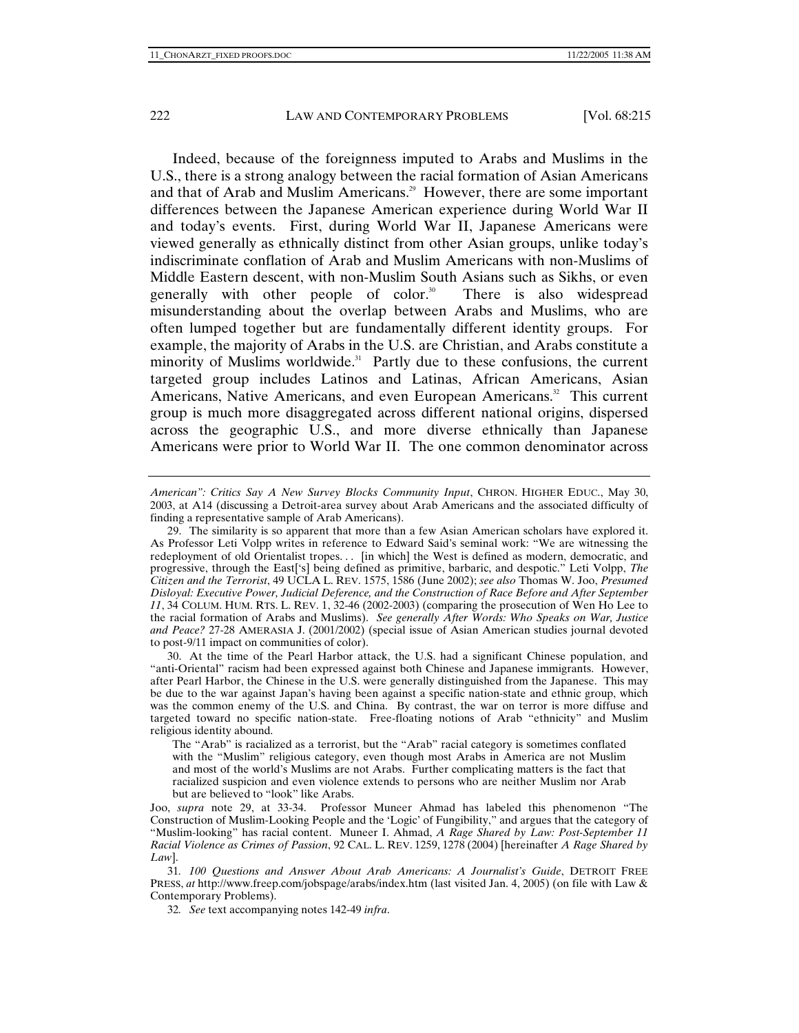Indeed, because of the foreignness imputed to Arabs and Muslims in the U.S., there is a strong analogy between the racial formation of Asian Americans and that of Arab and Muslim Americans.<sup>29</sup> However, there are some important differences between the Japanese American experience during World War II and today's events. First, during World War II, Japanese Americans were viewed generally as ethnically distinct from other Asian groups, unlike today's indiscriminate conflation of Arab and Muslim Americans with non-Muslims of Middle Eastern descent, with non-Muslim South Asians such as Sikhs, or even generally with other people of color.<sup>30</sup> There is also widespread misunderstanding about the overlap between Arabs and Muslims, who are often lumped together but are fundamentally different identity groups. For example, the majority of Arabs in the U.S. are Christian, and Arabs constitute a minority of Muslims worldwide.<sup>31</sup> Partly due to these confusions, the current targeted group includes Latinos and Latinas, African Americans, Asian Americans, Native Americans, and even European Americans.<sup>32</sup> This current group is much more disaggregated across different national origins, dispersed across the geographic U.S., and more diverse ethnically than Japanese Americans were prior to World War II. The one common denominator across

32*. See* text accompanying notes 142-49 *infra*.

*American": Critics Say A New Survey Blocks Community Input*, CHRON. HIGHER EDUC., May 30, 2003, at A14 (discussing a Detroit-area survey about Arab Americans and the associated difficulty of finding a representative sample of Arab Americans).

 <sup>29.</sup> The similarity is so apparent that more than a few Asian American scholars have explored it. As Professor Leti Volpp writes in reference to Edward Said's seminal work: "We are witnessing the redeployment of old Orientalist tropes... [in which] the West is defined as modern, democratic, and progressive, through the East['s] being defined as primitive, barbaric, and despotic." Leti Volpp, *The Citizen and the Terrorist*, 49 UCLA L. REV. 1575, 1586 (June 2002); *see also* Thomas W. Joo, *Presumed Disloyal: Executive Power, Judicial Deference, and the Construction of Race Before and After September 11*, 34 COLUM. HUM. RTS. L. REV. 1, 32-46 (2002-2003) (comparing the prosecution of Wen Ho Lee to the racial formation of Arabs and Muslims). *See generally After Words: Who Speaks on War, Justice and Peace?* 27-28 AMERASIA J. (2001/2002) (special issue of Asian American studies journal devoted to post-9/11 impact on communities of color).

 <sup>30.</sup> At the time of the Pearl Harbor attack, the U.S. had a significant Chinese population, and "anti-Oriental" racism had been expressed against both Chinese and Japanese immigrants. However, after Pearl Harbor, the Chinese in the U.S. were generally distinguished from the Japanese. This may be due to the war against Japan's having been against a specific nation-state and ethnic group, which was the common enemy of the U.S. and China. By contrast, the war on terror is more diffuse and targeted toward no specific nation-state. Free-floating notions of Arab "ethnicity" and Muslim religious identity abound.

The "Arab" is racialized as a terrorist, but the "Arab" racial category is sometimes conflated with the "Muslim" religious category, even though most Arabs in America are not Muslim and most of the world's Muslims are not Arabs. Further complicating matters is the fact that racialized suspicion and even violence extends to persons who are neither Muslim nor Arab but are believed to "look" like Arabs.

Joo, *supra* note 29, at 33-34. Professor Muneer Ahmad has labeled this phenomenon "The Construction of Muslim-Looking People and the 'Logic' of Fungibility," and argues that the category of "Muslim-looking" has racial content. Muneer I. Ahmad, *A Rage Shared by Law: Post-September 11 Racial Violence as Crimes of Passion*, 92 CAL. L. REV. 1259, 1278 (2004) [hereinafter *A Rage Shared by Law*].

<sup>31</sup>*. 100 Questions and Answer About Arab Americans: A Journalist's Guide*, DETROIT FREE PRESS, *at* http://www.freep.com/jobspage/arabs/index.htm (last visited Jan. 4, 2005) (on file with Law & Contemporary Problems).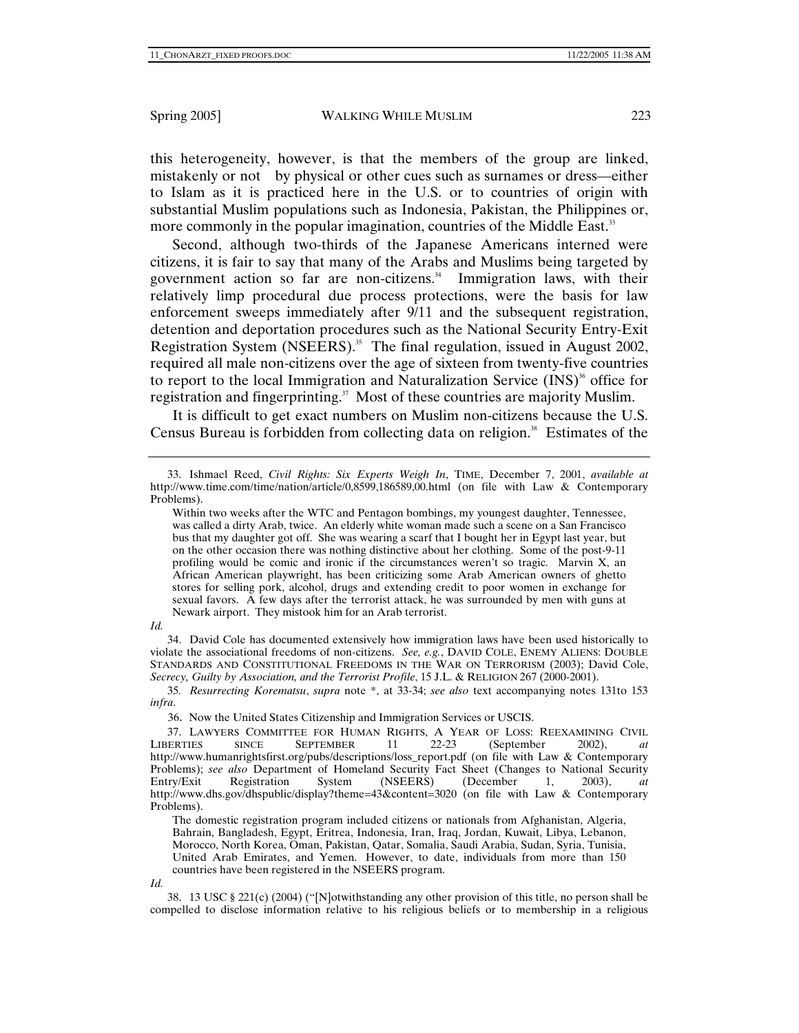this heterogeneity, however, is that the members of the group are linked, mistakenly or not by physical or other cues such as surnames or dress—either to Islam as it is practiced here in the U.S. or to countries of origin with substantial Muslim populations such as Indonesia, Pakistan, the Philippines or, more commonly in the popular imagination, countries of the Middle East.<sup>33</sup>

Second, although two-thirds of the Japanese Americans interned were citizens, it is fair to say that many of the Arabs and Muslims being targeted by government action so far are non-citizens. $34$  Immigration laws, with their relatively limp procedural due process protections, were the basis for law enforcement sweeps immediately after 9/11 and the subsequent registration, detention and deportation procedures such as the National Security Entry-Exit Registration System (NSEERS).<sup>35</sup> The final regulation, issued in August 2002, required all male non-citizens over the age of sixteen from twenty-five countries to report to the local Immigration and Naturalization Service  $(INS)^3$  office for registration and fingerprinting.<sup>37</sup> Most of these countries are majority Muslim.

It is difficult to get exact numbers on Muslim non-citizens because the U.S. Census Bureau is forbidden from collecting data on religion.<sup>38</sup> Estimates of the

Within two weeks after the WTC and Pentagon bombings, my youngest daughter, Tennessee, was called a dirty Arab, twice. An elderly white woman made such a scene on a San Francisco bus that my daughter got off. She was wearing a scarf that I bought her in Egypt last year, but on the other occasion there was nothing distinctive about her clothing. Some of the post-9-11 profiling would be comic and ironic if the circumstances weren't so tragic. Marvin X, an African American playwright, has been criticizing some Arab American owners of ghetto stores for selling pork, alcohol, drugs and extending credit to poor women in exchange for sexual favors. A few days after the terrorist attack, he was surrounded by men with guns at Newark airport. They mistook him for an Arab terrorist.

*Id.*

 34. David Cole has documented extensively how immigration laws have been used historically to violate the associational freedoms of non-citizens. *See, e.g.*, DAVID COLE, ENEMY ALIENS: DOUBLE STANDARDS AND CONSTITUTIONAL FREEDOMS IN THE WAR ON TERRORISM (2003); David Cole, *Secrecy, Guilty by Association, and the Terrorist Profile*, 15 J.L. & RELIGION 267 (2000-2001).

35*. Resurrecting Korematsu*, *supra* note \*, at 33-34; *see also* text accompanying notes 131to 153 *infra*.

36. Now the United States Citizenship and Immigration Services or USCIS.

The domestic registration program included citizens or nationals from Afghanistan, Algeria, Bahrain, Bangladesh, Egypt, Eritrea, Indonesia, Iran, Iraq, Jordan, Kuwait, Libya, Lebanon, Morocco, North Korea, Oman, Pakistan, Qatar, Somalia, Saudi Arabia, Sudan, Syria, Tunisia, United Arab Emirates, and Yemen. However, to date, individuals from more than 150 countries have been registered in the NSEERS program.

 38. 13 USC § 221(c) (2004) ("[N]otwithstanding any other provision of this title, no person shall be compelled to disclose information relative to his religious beliefs or to membership in a religious

 <sup>33.</sup> Ishmael Reed, *Civil Rights: Six Experts Weigh In*, TIME, December 7, 2001, *available at* http://www.time.com/time/nation/article/0,8599,186589,00.html (on file with Law & Contemporary Problems).

<sup>37.</sup> LAWYERS COMMITTEE FOR HUMAN RIGHTS, A YEAR OF LOSS: REEXAMINING CIVIL<br>LIBERTIES SINCE SEPTEMBER 11 22-23 (September 2002). at  $(September 2002)$ ,  $at$ http://www.humanrightsfirst.org/pubs/descriptions/loss\_report.pdf (on file with Law & Contemporary Problems); *see also* Department of Homeland Security Fact Sheet (Changes to National Security Entry/Exit Registration System (NSEERS) (December 1, 2003), at  $(NSEERS)$  (December 1, 2003), *at* http://www.dhs.gov/dhspublic/display?theme=43&content=3020 (on file with Law & Contemporary Problems).

*Id.*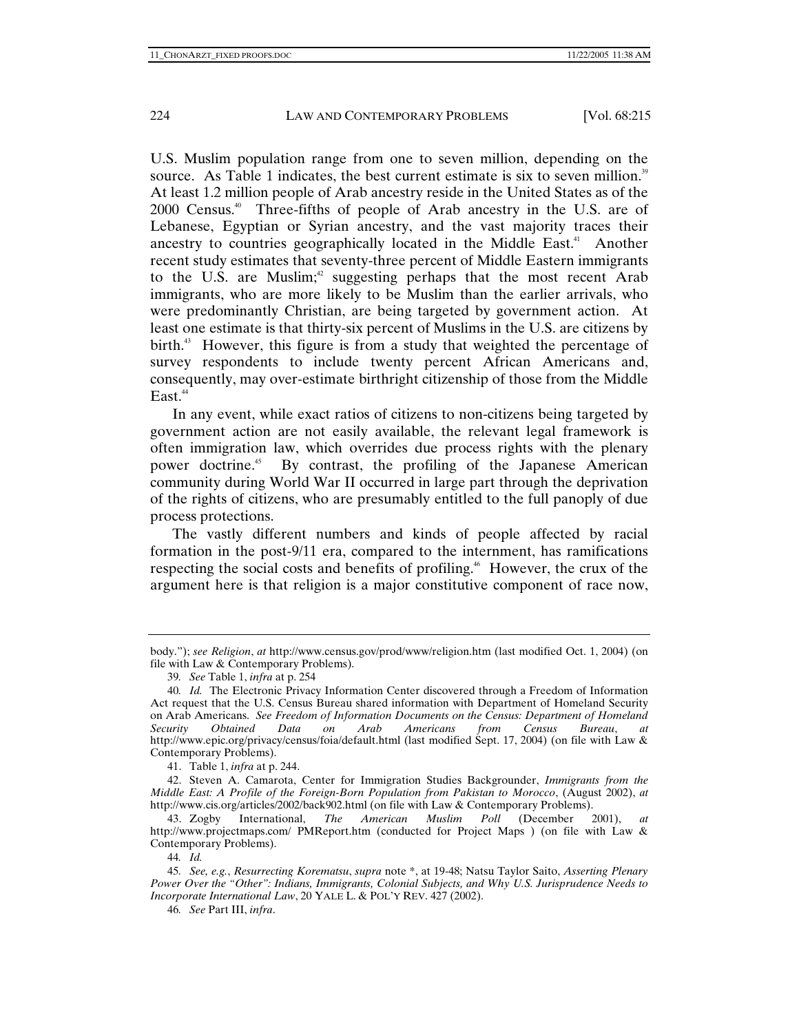U.S. Muslim population range from one to seven million, depending on the source. As Table 1 indicates, the best current estimate is six to seven million. $39$ At least 1.2 million people of Arab ancestry reside in the United States as of the 2000 Census.40 Three-fifths of people of Arab ancestry in the U.S. are of Lebanese, Egyptian or Syrian ancestry, and the vast majority traces their ancestry to countries geographically located in the Middle East.<sup>41</sup> Another recent study estimates that seventy-three percent of Middle Eastern immigrants to the U.S. are Muslim; $42$  suggesting perhaps that the most recent Arab immigrants, who are more likely to be Muslim than the earlier arrivals, who were predominantly Christian, are being targeted by government action. At least one estimate is that thirty-six percent of Muslims in the U.S. are citizens by birth.<sup>43</sup> However, this figure is from a study that weighted the percentage of survey respondents to include twenty percent African Americans and, consequently, may over-estimate birthright citizenship of those from the Middle  $East.<sup>44</sup>$ 

In any event, while exact ratios of citizens to non-citizens being targeted by government action are not easily available, the relevant legal framework is often immigration law, which overrides due process rights with the plenary power doctrine.45 By contrast, the profiling of the Japanese American community during World War II occurred in large part through the deprivation of the rights of citizens, who are presumably entitled to the full panoply of due process protections.

The vastly different numbers and kinds of people affected by racial formation in the post-9/11 era, compared to the internment, has ramifications respecting the social costs and benefits of profiling.<sup>46</sup> However, the crux of the argument here is that religion is a major constitutive component of race now,

41. Table 1, *infra* at p. 244.

 42. Steven A. Camarota, Center for Immigration Studies Backgrounder, *Immigrants from the Middle East: A Profile of the Foreign-Born Population from Pakistan to Morocco*, (August 2002), *at* http://www.cis.org/articles/2002/back902.html (on file with Law & Contemporary Problems).

 43. Zogby International, *The American Muslim Poll* (December 2001), *at*  http://www.projectmaps.com/ PMReport.htm (conducted for Project Maps ) (on file with Law & Contemporary Problems).

body."); *see Religion*, *at* http://www.census.gov/prod/www/religion.htm (last modified Oct. 1, 2004) (on file with Law & Contemporary Problems).

<sup>39</sup>*. See* Table 1, *infra* at p. 254

<sup>40</sup>*. Id.* The Electronic Privacy Information Center discovered through a Freedom of Information Act request that the U.S. Census Bureau shared information with Department of Homeland Security on Arab Americans. *See Freedom of Information Documents on the Census: Department of Homeland Security Obtained Data on Arab Americans from Census Bureau*, *at* http://www.epic.org/privacy/census/foia/default.html (last modified Sept. 17, 2004) (on file with Law & Contemporary Problems).

<sup>44</sup>*. Id.*

<sup>45</sup>*. See, e.g.*, *Resurrecting Korematsu*, *supra* note \*, at 19-48; Natsu Taylor Saito, *Asserting Plenary Power Over the "Other": Indians, Immigrants, Colonial Subjects, and Why U.S. Jurisprudence Needs to Incorporate International Law*, 20 YALE L. & POL'Y REV. 427 (2002).

<sup>46</sup>*. See* Part III, *infra*.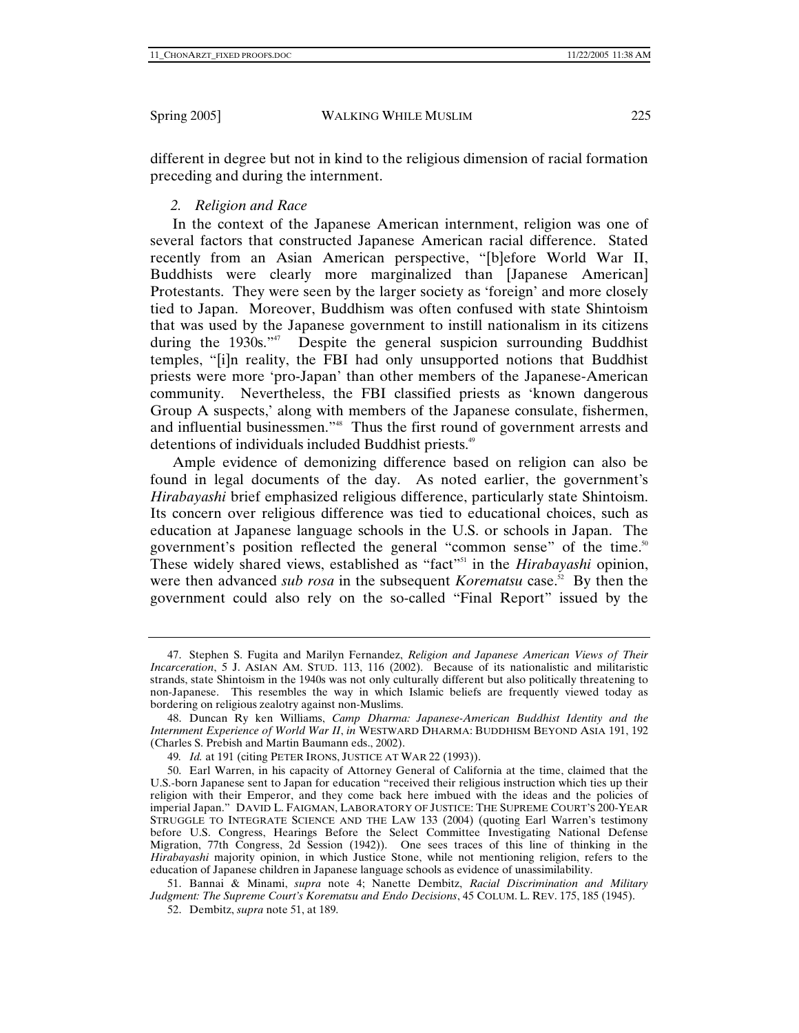different in degree but not in kind to the religious dimension of racial formation preceding and during the internment.

# *2. Religion and Race*

In the context of the Japanese American internment, religion was one of several factors that constructed Japanese American racial difference. Stated recently from an Asian American perspective, "[b]efore World War II, Buddhists were clearly more marginalized than [Japanese American] Protestants. They were seen by the larger society as 'foreign' and more closely tied to Japan. Moreover, Buddhism was often confused with state Shintoism that was used by the Japanese government to instill nationalism in its citizens during the 1930s."47 Despite the general suspicion surrounding Buddhist temples, "[i]n reality, the FBI had only unsupported notions that Buddhist priests were more 'pro-Japan' than other members of the Japanese-American community. Nevertheless, the FBI classified priests as 'known dangerous Group A suspects,' along with members of the Japanese consulate, fishermen, and influential businessmen."<sup>48</sup> Thus the first round of government arrests and detentions of individuals included Buddhist priests.<sup>49</sup>

Ample evidence of demonizing difference based on religion can also be found in legal documents of the day. As noted earlier, the government's *Hirabayashi* brief emphasized religious difference, particularly state Shintoism. Its concern over religious difference was tied to educational choices, such as education at Japanese language schools in the U.S. or schools in Japan. The government's position reflected the general "common sense" of the time.<sup>50</sup> These widely shared views, established as "fact"<sup>51</sup> in the *Hirabayashi* opinion, were then advanced *sub rosa* in the subsequent *Korematsu* case.<sup>52</sup> By then the government could also rely on the so-called "Final Report" issued by the

 <sup>47.</sup> Stephen S. Fugita and Marilyn Fernandez, *Religion and Japanese American Views of Their Incarceration*, 5 J. ASIAN AM. STUD. 113, 116 (2002). Because of its nationalistic and militaristic strands, state Shintoism in the 1940s was not only culturally different but also politically threatening to non-Japanese. This resembles the way in which Islamic beliefs are frequently viewed today as bordering on religious zealotry against non-Muslims.

 <sup>48.</sup> Duncan Ry ken Williams, *Camp Dharma: Japanese-American Buddhist Identity and the Internment Experience of World War II*, *in* WESTWARD DHARMA: BUDDHISM BEYOND ASIA 191, 192 (Charles S. Prebish and Martin Baumann eds., 2002).

<sup>49</sup>*. Id.* at 191 (citing PETER IRONS, JUSTICE AT WAR 22 (1993)).

 <sup>50.</sup> Earl Warren, in his capacity of Attorney General of California at the time, claimed that the U.S.-born Japanese sent to Japan for education "received their religious instruction which ties up their religion with their Emperor, and they come back here imbued with the ideas and the policies of imperial Japan." DAVID L. FAIGMAN, LABORATORY OF JUSTICE: THE SUPREME COURT'S 200-YEAR STRUGGLE TO INTEGRATE SCIENCE AND THE LAW 133 (2004) (quoting Earl Warren's testimony before U.S. Congress, Hearings Before the Select Committee Investigating National Defense Migration, 77th Congress, 2d Session (1942)). One sees traces of this line of thinking in the *Hirabayashi* majority opinion, in which Justice Stone, while not mentioning religion, refers to the education of Japanese children in Japanese language schools as evidence of unassimilability.

 <sup>51.</sup> Bannai & Minami, *supra* note 4; Nanette Dembitz, *Racial Discrimination and Military Judgment: The Supreme Court's Korematsu and Endo Decisions*, 45 COLUM. L. REV. 175, 185 (1945).

 <sup>52.</sup> Dembitz, *supra* note 51, at 189.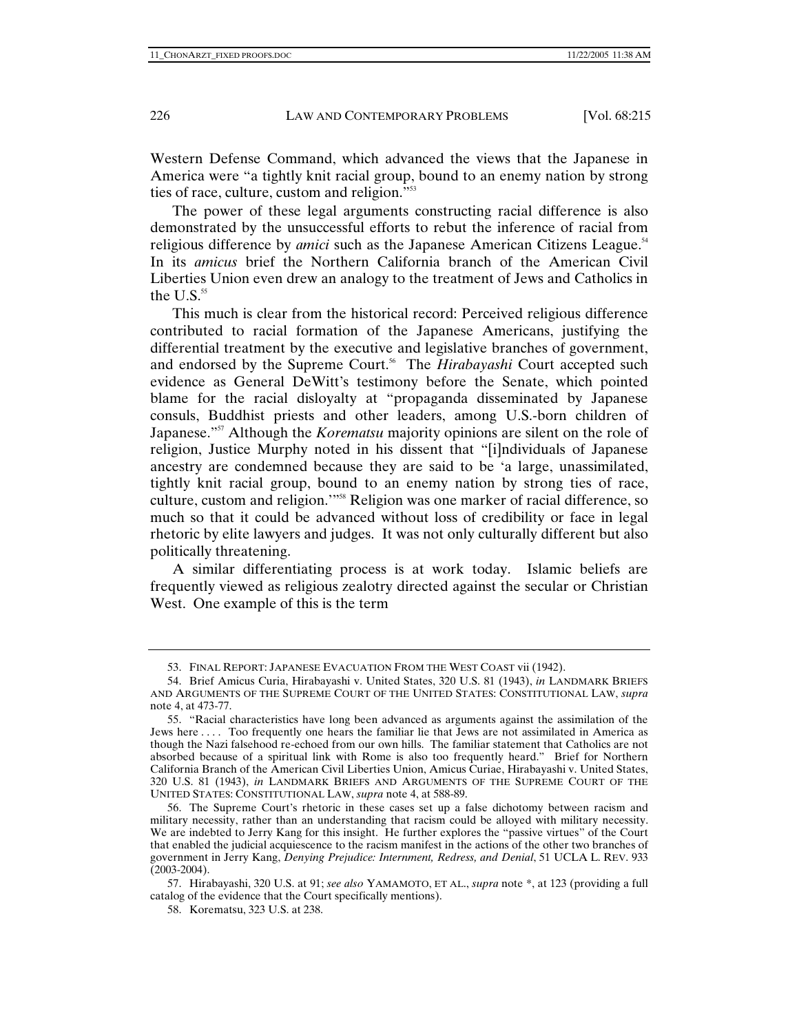Western Defense Command, which advanced the views that the Japanese in America were "a tightly knit racial group, bound to an enemy nation by strong ties of race, culture, custom and religion."53

The power of these legal arguments constructing racial difference is also demonstrated by the unsuccessful efforts to rebut the inference of racial from religious difference by *amici* such as the Japanese American Citizens League.<sup>54</sup> In its *amicus* brief the Northern California branch of the American Civil Liberties Union even drew an analogy to the treatment of Jews and Catholics in the  $U.S.^{55}$ 

This much is clear from the historical record: Perceived religious difference contributed to racial formation of the Japanese Americans, justifying the differential treatment by the executive and legislative branches of government, and endorsed by the Supreme Court.<sup>56</sup> The *Hirabayashi* Court accepted such evidence as General DeWitt's testimony before the Senate, which pointed blame for the racial disloyalty at "propaganda disseminated by Japanese consuls, Buddhist priests and other leaders, among U.S.-born children of Japanese."57 Although the *Korematsu* majority opinions are silent on the role of religion, Justice Murphy noted in his dissent that "[i]ndividuals of Japanese ancestry are condemned because they are said to be 'a large, unassimilated, tightly knit racial group, bound to an enemy nation by strong ties of race, culture, custom and religion.'"58 Religion was one marker of racial difference, so much so that it could be advanced without loss of credibility or face in legal rhetoric by elite lawyers and judges. It was not only culturally different but also politically threatening.

A similar differentiating process is at work today. Islamic beliefs are frequently viewed as religious zealotry directed against the secular or Christian West. One example of this is the term

 <sup>53.</sup> FINAL REPORT: JAPANESE EVACUATION FROM THE WEST COAST vii (1942).

 <sup>54.</sup> Brief Amicus Curia, Hirabayashi v. United States, 320 U.S. 81 (1943), *in* LANDMARK BRIEFS AND ARGUMENTS OF THE SUPREME COURT OF THE UNITED STATES: CONSTITUTIONAL LAW, *supra* note 4, at 473-77.

 <sup>55. &</sup>quot;Racial characteristics have long been advanced as arguments against the assimilation of the Jews here . . . . Too frequently one hears the familiar lie that Jews are not assimilated in America as though the Nazi falsehood re-echoed from our own hills. The familiar statement that Catholics are not absorbed because of a spiritual link with Rome is also too frequently heard." Brief for Northern California Branch of the American Civil Liberties Union, Amicus Curiae, Hirabayashi v. United States, 320 U.S. 81 (1943), *in* LANDMARK BRIEFS AND ARGUMENTS OF THE SUPREME COURT OF THE UNITED STATES: CONSTITUTIONAL LAW, *supra* note 4, at 588-89.

 <sup>56.</sup> The Supreme Court's rhetoric in these cases set up a false dichotomy between racism and military necessity, rather than an understanding that racism could be alloyed with military necessity. We are indebted to Jerry Kang for this insight. He further explores the "passive virtues" of the Court that enabled the judicial acquiescence to the racism manifest in the actions of the other two branches of government in Jerry Kang, *Denying Prejudice: Internment, Redress, and Denial*, 51 UCLA L. REV. 933 (2003-2004).

 <sup>57.</sup> Hirabayashi, 320 U.S. at 91; *see also* YAMAMOTO, ET AL., *supra* note \*, at 123 (providing a full catalog of the evidence that the Court specifically mentions).

 <sup>58.</sup> Korematsu, 323 U.S. at 238.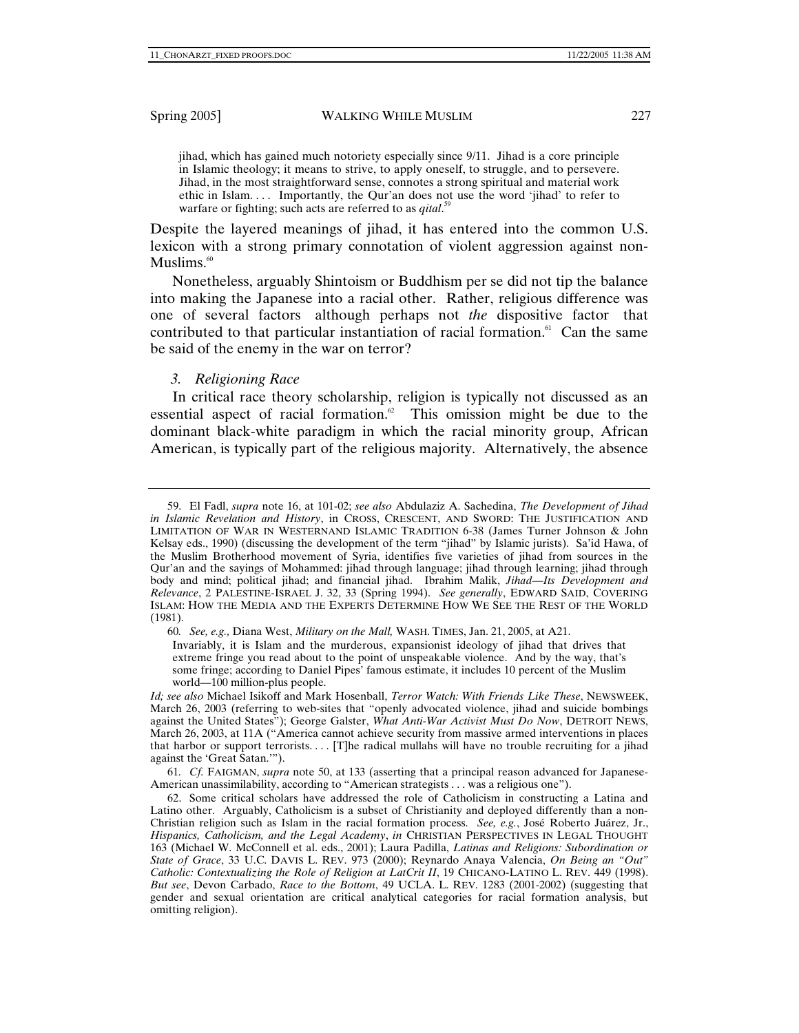jihad, which has gained much notoriety especially since 9/11. Jihad is a core principle in Islamic theology; it means to strive, to apply oneself, to struggle, and to persevere. Jihad, in the most straightforward sense, connotes a strong spiritual and material work ethic in Islam. . . . Importantly, the Qur'an does not use the word 'jihad' to refer to warfare or fighting; such acts are referred to as *qital*.<sup>59</sup>

Despite the layered meanings of jihad, it has entered into the common U.S. lexicon with a strong primary connotation of violent aggression against non- $Muslims<sub>60</sub>$ 

Nonetheless, arguably Shintoism or Buddhism per se did not tip the balance into making the Japanese into a racial other. Rather, religious difference was one of several factors although perhaps not *the* dispositive factor that contributed to that particular instantiation of racial formation. $61$  Can the same be said of the enemy in the war on terror?

#### *3. Religioning Race*

In critical race theory scholarship, religion is typically not discussed as an essential aspect of racial formation. $62$  This omission might be due to the dominant black-white paradigm in which the racial minority group, African American, is typically part of the religious majority. Alternatively, the absence

60*. See, e.g.,* Diana West, *Military on the Mall,* WASH. TIMES, Jan. 21, 2005, at A21.

Invariably, it is Islam and the murderous, expansionist ideology of jihad that drives that extreme fringe you read about to the point of unspeakable violence. And by the way, that's some fringe; according to Daniel Pipes' famous estimate, it includes 10 percent of the Muslim world—100 million-plus people.

61*. Cf.* FAIGMAN, *supra* note 50, at 133 (asserting that a principal reason advanced for Japanese-American unassimilability, according to "American strategists . . . was a religious one").

 <sup>59.</sup> El Fadl, *supra* note 16, at 101-02; *see also* Abdulaziz A. Sachedina, *The Development of Jihad in Islamic Revelation and History*, in CROSS, CRESCENT, AND SWORD: THE JUSTIFICATION AND LIMITATION OF WAR IN WESTERNAND ISLAMIC TRADITION 6-38 (James Turner Johnson & John Kelsay eds., 1990) (discussing the development of the term "jihad" by Islamic jurists). Sa'id Hawa, of the Muslim Brotherhood movement of Syria, identifies five varieties of jihad from sources in the Qur'an and the sayings of Mohammed: jihad through language; jihad through learning; jihad through body and mind; political jihad; and financial jihad. Ibrahim Malik, *Jihad—Its Development and Relevance*, 2 PALESTINE-ISRAEL J. 32, 33 (Spring 1994). *See generally*, EDWARD SAID, COVERING ISLAM: HOW THE MEDIA AND THE EXPERTS DETERMINE HOW WE SEE THE REST OF THE WORLD (1981).

*Id; see also* Michael Isikoff and Mark Hosenball, *Terror Watch: With Friends Like These*, NEWSWEEK, March 26, 2003 (referring to web-sites that "openly advocated violence, jihad and suicide bombings against the United States"); George Galster, *What Anti-War Activist Must Do Now*, DETROIT NEWS, March 26, 2003, at 11A ("America cannot achieve security from massive armed interventions in places that harbor or support terrorists.... [T]he radical mullahs will have no trouble recruiting for a jihad against the 'Great Satan.'").

 <sup>62.</sup> Some critical scholars have addressed the role of Catholicism in constructing a Latina and Latino other. Arguably, Catholicism is a subset of Christianity and deployed differently than a non-Christian religion such as Islam in the racial formation process. *See, e.g.*, José Roberto Juárez, Jr., *Hispanics, Catholicism, and the Legal Academy*, *in* CHRISTIAN PERSPECTIVES IN LEGAL THOUGHT 163 (Michael W. McConnell et al. eds., 2001); Laura Padilla, *Latinas and Religions: Subordination or State of Grace*, 33 U.C. DAVIS L. REV. 973 (2000); Reynardo Anaya Valencia, *On Being an "Out" Catholic: Contextualizing the Role of Religion at LatCrit II*, 19 CHICANO-LATINO L. REV. 449 (1998). *But see*, Devon Carbado, *Race to the Bottom*, 49 UCLA. L. REV. 1283 (2001-2002) (suggesting that gender and sexual orientation are critical analytical categories for racial formation analysis, but omitting religion).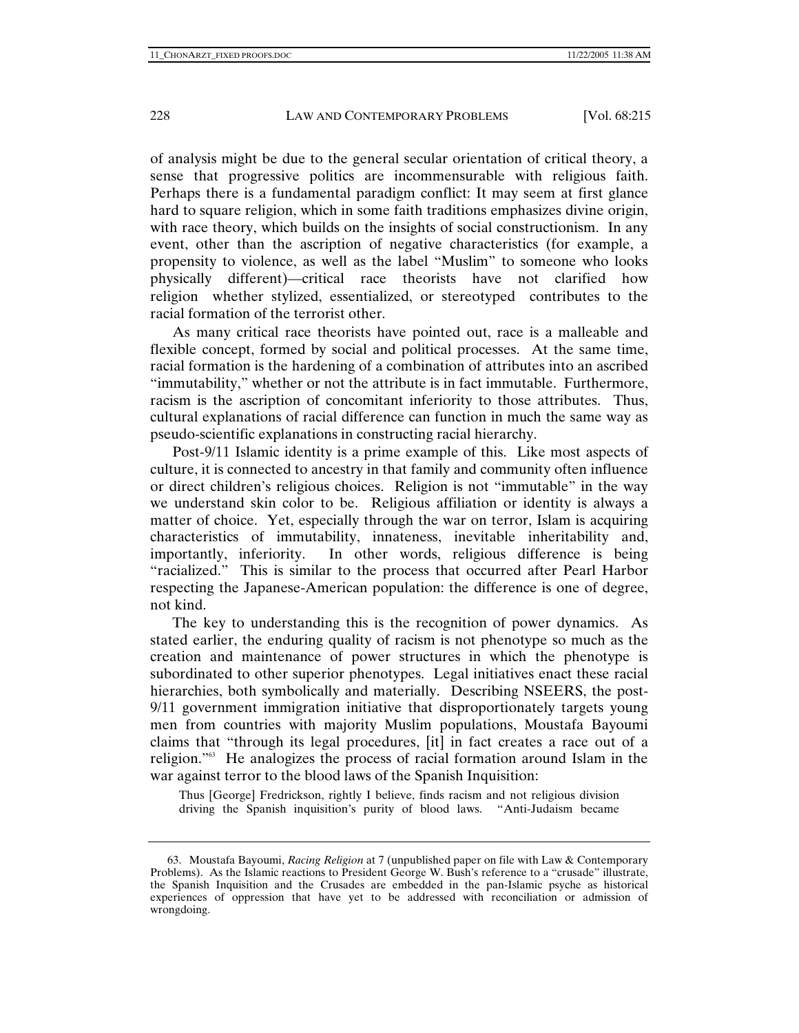of analysis might be due to the general secular orientation of critical theory, a sense that progressive politics are incommensurable with religious faith. Perhaps there is a fundamental paradigm conflict: It may seem at first glance hard to square religion, which in some faith traditions emphasizes divine origin, with race theory, which builds on the insights of social constructionism. In any event, other than the ascription of negative characteristics (for example, a propensity to violence, as well as the label "Muslim" to someone who looks physically different)—critical race theorists have not clarified how religion whether stylized, essentialized, or stereotyped contributes to the racial formation of the terrorist other.

As many critical race theorists have pointed out, race is a malleable and flexible concept, formed by social and political processes. At the same time, racial formation is the hardening of a combination of attributes into an ascribed "immutability," whether or not the attribute is in fact immutable. Furthermore, racism is the ascription of concomitant inferiority to those attributes. Thus, cultural explanations of racial difference can function in much the same way as pseudo-scientific explanations in constructing racial hierarchy.

Post-9/11 Islamic identity is a prime example of this. Like most aspects of culture, it is connected to ancestry in that family and community often influence or direct children's religious choices. Religion is not "immutable" in the way we understand skin color to be. Religious affiliation or identity is always a matter of choice. Yet, especially through the war on terror, Islam is acquiring characteristics of immutability, innateness, inevitable inheritability and, importantly, inferiority. In other words, religious difference is being "racialized." This is similar to the process that occurred after Pearl Harbor respecting the Japanese-American population: the difference is one of degree, not kind.

The key to understanding this is the recognition of power dynamics. As stated earlier, the enduring quality of racism is not phenotype so much as the creation and maintenance of power structures in which the phenotype is subordinated to other superior phenotypes. Legal initiatives enact these racial hierarchies, both symbolically and materially. Describing NSEERS, the post-9/11 government immigration initiative that disproportionately targets young men from countries with majority Muslim populations, Moustafa Bayoumi claims that "through its legal procedures, [it] in fact creates a race out of a religion."63 He analogizes the process of racial formation around Islam in the war against terror to the blood laws of the Spanish Inquisition:

Thus [George] Fredrickson, rightly I believe, finds racism and not religious division driving the Spanish inquisition's purity of blood laws. "Anti-Judaism became

 <sup>63.</sup> Moustafa Bayoumi, *Racing Religion* at 7 (unpublished paper on file with Law & Contemporary Problems). As the Islamic reactions to President George W. Bush's reference to a "crusade" illustrate, the Spanish Inquisition and the Crusades are embedded in the pan-Islamic psyche as historical experiences of oppression that have yet to be addressed with reconciliation or admission of wrongdoing.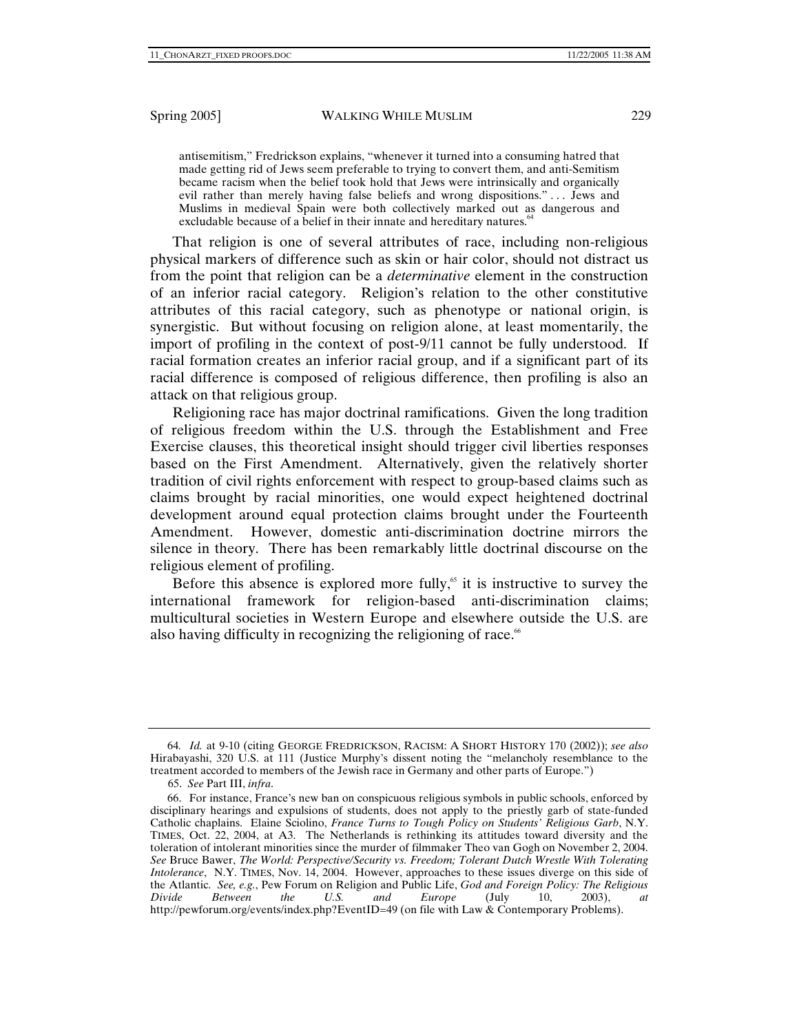antisemitism," Fredrickson explains, "whenever it turned into a consuming hatred that made getting rid of Jews seem preferable to trying to convert them, and anti-Semitism became racism when the belief took hold that Jews were intrinsically and organically evil rather than merely having false beliefs and wrong dispositions." . . . Jews and Muslims in medieval Spain were both collectively marked out as dangerous and excludable because of a belief in their innate and hereditary natures.<sup>6</sup>

That religion is one of several attributes of race, including non-religious physical markers of difference such as skin or hair color, should not distract us from the point that religion can be a *determinative* element in the construction of an inferior racial category. Religion's relation to the other constitutive attributes of this racial category, such as phenotype or national origin, is synergistic. But without focusing on religion alone, at least momentarily, the import of profiling in the context of post-9/11 cannot be fully understood. If racial formation creates an inferior racial group, and if a significant part of its racial difference is composed of religious difference, then profiling is also an attack on that religious group.

Religioning race has major doctrinal ramifications. Given the long tradition of religious freedom within the U.S. through the Establishment and Free Exercise clauses, this theoretical insight should trigger civil liberties responses based on the First Amendment. Alternatively, given the relatively shorter tradition of civil rights enforcement with respect to group-based claims such as claims brought by racial minorities, one would expect heightened doctrinal development around equal protection claims brought under the Fourteenth Amendment. However, domestic anti-discrimination doctrine mirrors the silence in theory. There has been remarkably little doctrinal discourse on the religious element of profiling.

Before this absence is explored more fully, $65$  it is instructive to survey the international framework for religion-based anti-discrimination claims; multicultural societies in Western Europe and elsewhere outside the U.S. are also having difficulty in recognizing the religioning of race.<sup> $66$ </sup>

<sup>64</sup>*. Id.* at 9-10 (citing GEORGE FREDRICKSON, RACISM: A SHORT HISTORY 170 (2002)); *see also*  Hirabayashi, 320 U.S. at 111 (Justice Murphy's dissent noting the "melancholy resemblance to the treatment accorded to members of the Jewish race in Germany and other parts of Europe.")

 <sup>65.</sup> *See* Part III, *infra*.

 <sup>66.</sup> For instance, France's new ban on conspicuous religious symbols in public schools, enforced by disciplinary hearings and expulsions of students, does not apply to the priestly garb of state-funded Catholic chaplains. Elaine Sciolino, *France Turns to Tough Policy on Students' Religious Garb*, N.Y. TIMES, Oct. 22, 2004, at A3. The Netherlands is rethinking its attitudes toward diversity and the toleration of intolerant minorities since the murder of filmmaker Theo van Gogh on November 2, 2004. *See* Bruce Bawer, *The World: Perspective/Security vs. Freedom; Tolerant Dutch Wrestle With Tolerating Intolerance*, N.Y. TIMES, Nov. 14, 2004. However, approaches to these issues diverge on this side of the Atlantic. *See, e.g.*, Pew Forum on Religion and Public Life, *God and Foreign Policy: The Religious Divide Between the U.S. and Europe* (July 10, 2003), *at*  http://pewforum.org/events/index.php?EventID=49 (on file with Law & Contemporary Problems).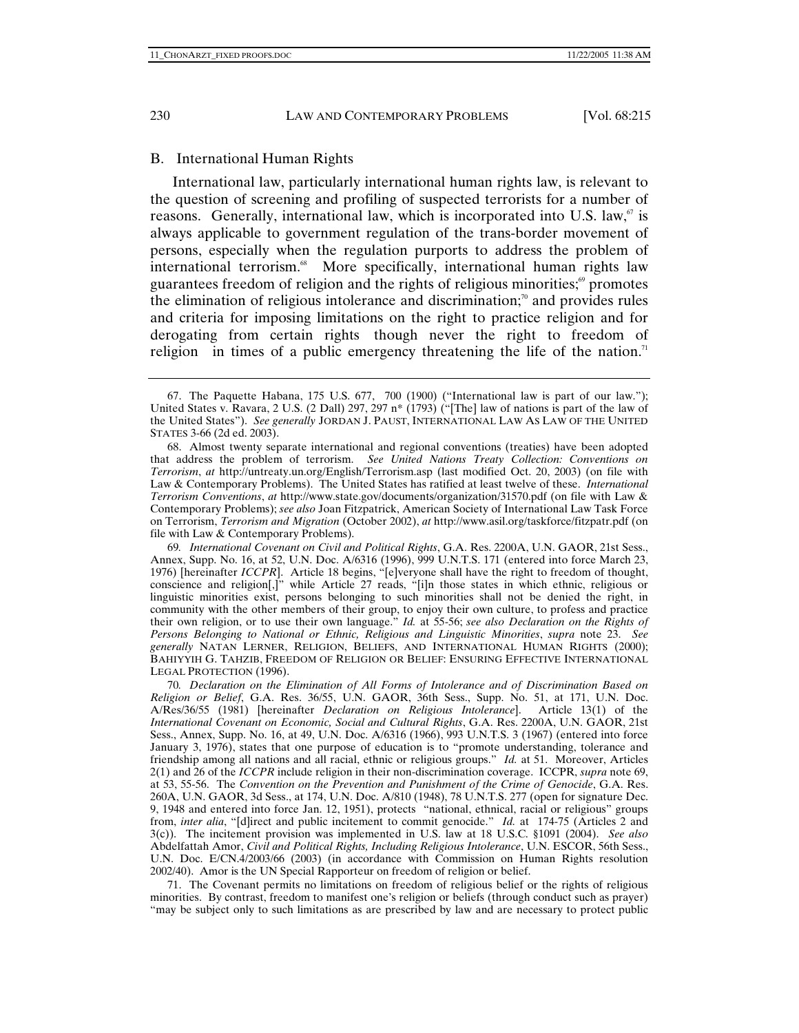#### B. International Human Rights

International law, particularly international human rights law, is relevant to the question of screening and profiling of suspected terrorists for a number of reasons. Generally, international law, which is incorporated into U.S. law, $\sigma$  is always applicable to government regulation of the trans-border movement of persons, especially when the regulation purports to address the problem of international terrorism.<sup>68</sup> More specifically, international human rights law guarantees freedom of religion and the rights of religious minorities; $\frac{6}{9}$  promotes the elimination of religious intolerance and discrimination; $\alpha$  and provides rules and criteria for imposing limitations on the right to practice religion and for derogating from certain rights though never the right to freedom of religion in times of a public emergency threatening the life of the nation.<sup>71</sup>

69*. International Covenant on Civil and Political Rights*, G.A. Res. 2200A, U.N. GAOR, 21st Sess., Annex, Supp. No. 16, at 52, U.N. Doc. A/6316 (1996), 999 U.N.T.S. 171 (entered into force March 23, 1976) [hereinafter *ICCPR*]. Article 18 begins, "[e]veryone shall have the right to freedom of thought, conscience and religion[,]" while Article 27 reads, "[i]n those states in which ethnic, religious or linguistic minorities exist, persons belonging to such minorities shall not be denied the right, in community with the other members of their group, to enjoy their own culture, to profess and practice their own religion, or to use their own language." *Id.* at 55-56; *see also Declaration on the Rights of Persons Belonging to National or Ethnic, Religious and Linguistic Minorities*, *supra* note 23. *See generally* NATAN LERNER, RELIGION, BELIEFS, AND INTERNATIONAL HUMAN RIGHTS (2000); BAHIYYIH G. TAHZIB, FREEDOM OF RELIGION OR BELIEF: ENSURING EFFECTIVE INTERNATIONAL LEGAL PROTECTION (1996).

70*. Declaration on the Elimination of All Forms of Intolerance and of Discrimination Based on Religion or Belief*, G.A. Res. 36/55, U.N. GAOR, 36th Sess., Supp. No. 51, at 171, U.N. Doc. A/Res/36/55 (1981) [hereinafter *Declaration on Religious Intolerance*]. Article 13(1) of the *International Covenant on Economic, Social and Cultural Rights*, G.A. Res. 2200A, U.N. GAOR, 21st Sess., Annex, Supp. No. 16, at 49, U.N. Doc. A/6316 (1966), 993 U.N.T.S. 3 (1967) (entered into force January 3, 1976), states that one purpose of education is to "promote understanding, tolerance and friendship among all nations and all racial, ethnic or religious groups." *Id.* at 51. Moreover, Articles 2(1) and 26 of the *ICCPR* include religion in their non-discrimination coverage. ICCPR, *supra* note 69, at 53, 55-56. The *Convention on the Prevention and Punishment of the Crime of Genocide*, G.A. Res. 260A, U.N. GAOR, 3d Sess., at 174, U.N. Doc. A/810 (1948), 78 U.N.T.S. 277 (open for signature Dec. 9, 1948 and entered into force Jan. 12, 1951), protects "national, ethnical, racial or religious" groups from, *inter alia*, "[d]irect and public incitement to commit genocide." *Id.* at 174-75 (Articles 2 and 3(c)). The incitement provision was implemented in U.S. law at 18 U.S.C. §1091 (2004). *See also* Abdelfattah Amor, *Civil and Political Rights, Including Religious Intolerance*, U.N. ESCOR, 56th Sess., U.N. Doc. E/CN.4/2003/66 (2003) (in accordance with Commission on Human Rights resolution 2002/40). Amor is the UN Special Rapporteur on freedom of religion or belief.

 71. The Covenant permits no limitations on freedom of religious belief or the rights of religious minorities. By contrast, freedom to manifest one's religion or beliefs (through conduct such as prayer) "may be subject only to such limitations as are prescribed by law and are necessary to protect public

 <sup>67.</sup> The Paquette Habana, 175 U.S. 677, 700 (1900) ("International law is part of our law."); United States v. Ravara, 2 U.S. (2 Dall) 297, 297 n<sup>\*</sup> (1793) ("[The] law of nations is part of the law of the United States"). *See generally* JORDAN J. PAUST, INTERNATIONAL LAW AS LAW OF THE UNITED STATES 3-66 (2d ed. 2003).

 <sup>68.</sup> Almost twenty separate international and regional conventions (treaties) have been adopted that address the problem of terrorism. *See United Nations Treaty Collection: Conventions on Terrorism*, *at* http://untreaty.un.org/English/Terrorism.asp (last modified Oct. 20, 2003) (on file with Law & Contemporary Problems). The United States has ratified at least twelve of these. *International Terrorism Conventions*, *at* http://www.state.gov/documents/organization/31570.pdf (on file with Law & Contemporary Problems); *see also* Joan Fitzpatrick, American Society of International Law Task Force on Terrorism, *Terrorism and Migration* (October 2002), *at* http://www.asil.org/taskforce/fitzpatr.pdf (on file with Law & Contemporary Problems).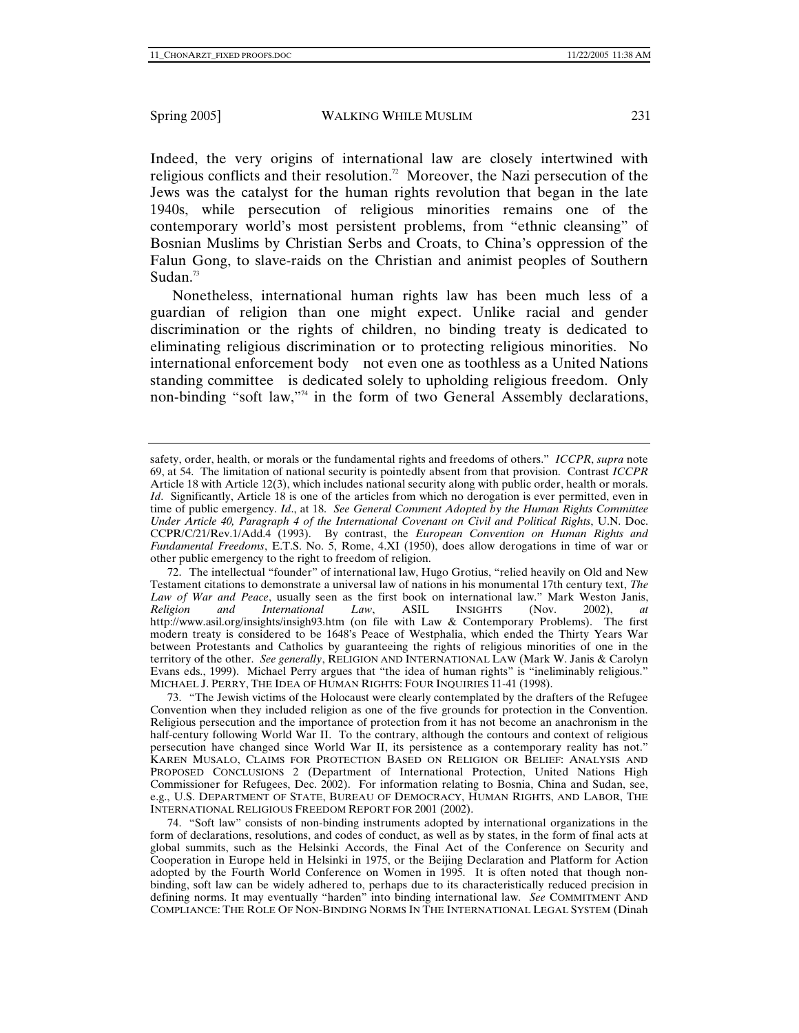Indeed, the very origins of international law are closely intertwined with religious conflicts and their resolution.<sup>72</sup> Moreover, the Nazi persecution of the Jews was the catalyst for the human rights revolution that began in the late 1940s, while persecution of religious minorities remains one of the contemporary world's most persistent problems, from "ethnic cleansing" of Bosnian Muslims by Christian Serbs and Croats, to China's oppression of the Falun Gong, to slave-raids on the Christian and animist peoples of Southern Sudan. $73$ 

Nonetheless, international human rights law has been much less of a guardian of religion than one might expect. Unlike racial and gender discrimination or the rights of children, no binding treaty is dedicated to eliminating religious discrimination or to protecting religious minorities. No international enforcement body not even one as toothless as a United Nations standing committee is dedicated solely to upholding religious freedom. Only non-binding "soft law,"74 in the form of two General Assembly declarations,

safety, order, health, or morals or the fundamental rights and freedoms of others." *ICCPR*, *supra* note 69, at 54. The limitation of national security is pointedly absent from that provision. Contrast *ICCPR*  Article 18 with Article 12(3), which includes national security along with public order, health or morals. *Id.* Significantly, Article 18 is one of the articles from which no derogation is ever permitted, even in time of public emergency. *Id*., at 18. *See General Comment Adopted by the Human Rights Committee Under Article 40, Paragraph 4 of the International Covenant on Civil and Political Rights*, U.N. Doc. CCPR/C/21/Rev.1/Add.4 (1993). By contrast, the *European Convention on Human Rights and Fundamental Freedoms*, E.T.S. No. 5, Rome, 4.XI (1950), does allow derogations in time of war or other public emergency to the right to freedom of religion.

 <sup>72.</sup> The intellectual "founder" of international law, Hugo Grotius, "relied heavily on Old and New Testament citations to demonstrate a universal law of nations in his monumental 17th century text, *The Law of War and Peace*, usually seen as the first book on international law." Mark Weston Janis, *Religion and International Law*, ASIL INSIGHTS (Nov. 2002), *at* http://www.asil.org/insights/insigh93.htm (on file with Law & Contemporary Problems). The first modern treaty is considered to be 1648's Peace of Westphalia, which ended the Thirty Years War between Protestants and Catholics by guaranteeing the rights of religious minorities of one in the territory of the other. *See generally*, RELIGION AND INTERNATIONAL LAW (Mark W. Janis & Carolyn Evans eds., 1999). Michael Perry argues that "the idea of human rights" is "ineliminably religious." MICHAEL J. PERRY, THE IDEA OF HUMAN RIGHTS: FOUR INQUIRIES 11-41 (1998).

 <sup>73. &</sup>quot;The Jewish victims of the Holocaust were clearly contemplated by the drafters of the Refugee Convention when they included religion as one of the five grounds for protection in the Convention. Religious persecution and the importance of protection from it has not become an anachronism in the half-century following World War II. To the contrary, although the contours and context of religious persecution have changed since World War II, its persistence as a contemporary reality has not." KAREN MUSALO, CLAIMS FOR PROTECTION BASED ON RELIGION OR BELIEF: ANALYSIS AND PROPOSED CONCLUSIONS 2 (Department of International Protection, United Nations High Commissioner for Refugees, Dec. 2002). For information relating to Bosnia, China and Sudan, see, e.g., U.S. DEPARTMENT OF STATE, BUREAU OF DEMOCRACY, HUMAN RIGHTS, AND LABOR, THE INTERNATIONAL RELIGIOUS FREEDOM REPORT FOR 2001 (2002).

 <sup>74. &</sup>quot;Soft law" consists of non-binding instruments adopted by international organizations in the form of declarations, resolutions, and codes of conduct, as well as by states, in the form of final acts at global summits, such as the Helsinki Accords, the Final Act of the Conference on Security and Cooperation in Europe held in Helsinki in 1975, or the Beijing Declaration and Platform for Action adopted by the Fourth World Conference on Women in 1995. It is often noted that though nonbinding, soft law can be widely adhered to, perhaps due to its characteristically reduced precision in defining norms. It may eventually "harden" into binding international law. *See* COMMITMENT AND COMPLIANCE: THE ROLE OF NON-BINDING NORMS IN THE INTERNATIONAL LEGAL SYSTEM (Dinah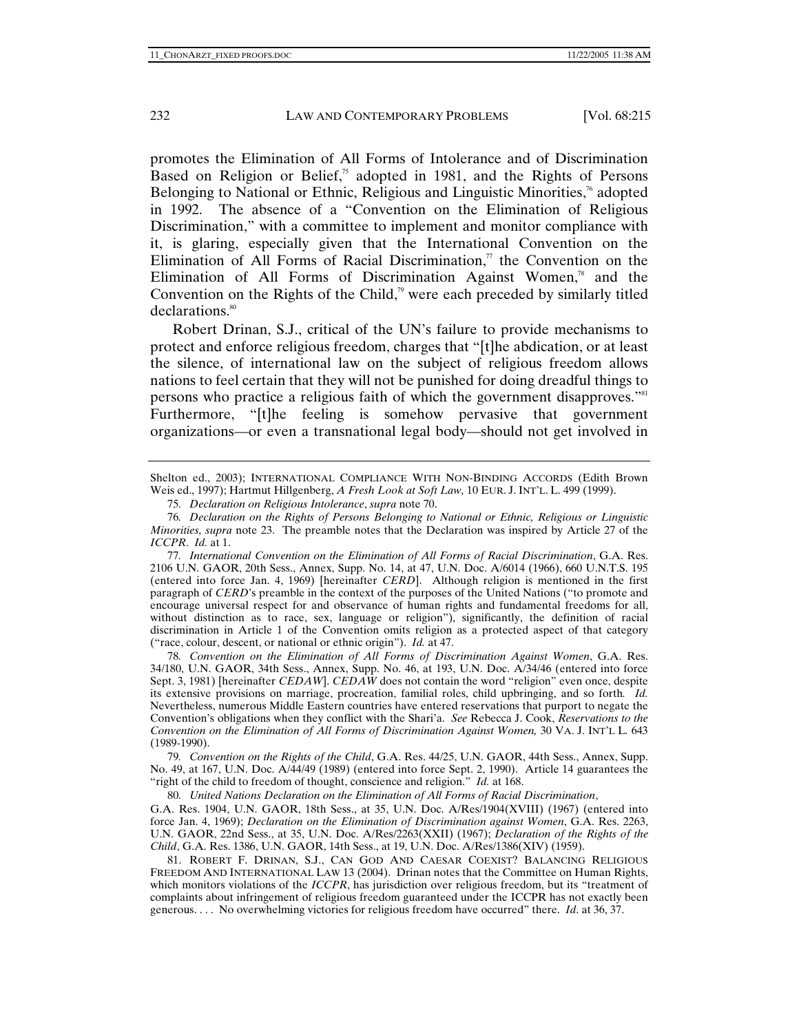promotes the Elimination of All Forms of Intolerance and of Discrimination Based on Religion or Belief, $\frac{\pi}{2}$  adopted in 1981, and the Rights of Persons Belonging to National or Ethnic, Religious and Linguistic Minorities, $\alpha$ <sup>6</sup> adopted in 1992. The absence of a "Convention on the Elimination of Religious Discrimination," with a committee to implement and monitor compliance with it, is glaring, especially given that the International Convention on the Elimination of All Forms of Racial Discrimination, $\eta$  the Convention on the Elimination of All Forms of Discrimination Against Women, $^{78}$  and the Convention on the Rights of the Child,<sup> $\alpha$ </sup> were each preceded by similarly titled declarations.<sup>80</sup>

Robert Drinan, S.J., critical of the UN's failure to provide mechanisms to protect and enforce religious freedom, charges that "[t]he abdication, or at least the silence, of international law on the subject of religious freedom allows nations to feel certain that they will not be punished for doing dreadful things to persons who practice a religious faith of which the government disapproves."<sup>81</sup> Furthermore, "[t]he feeling is somehow pervasive that government organizations—or even a transnational legal body—should not get involved in

77*. International Convention on the Elimination of All Forms of Racial Discrimination*, G.A. Res. 2106 U.N. GAOR, 20th Sess., Annex, Supp. No. 14, at 47, U.N. Doc. A/6014 (1966), 660 U.N.T.S. 195 (entered into force Jan. 4, 1969) [hereinafter *CERD*]. Although religion is mentioned in the first paragraph of *CERD*'s preamble in the context of the purposes of the United Nations ("to promote and encourage universal respect for and observance of human rights and fundamental freedoms for all, without distinction as to race, sex, language or religion"), significantly, the definition of racial discrimination in Article 1 of the Convention omits religion as a protected aspect of that category ("race, colour, descent, or national or ethnic origin"). *Id.* at 47.

78*. Convention on the Elimination of All Forms of Discrimination Against Women*, G.A. Res. 34/180, U.N. GAOR, 34th Sess., Annex, Supp. No. 46, at 193, U.N. Doc. A/34/46 (entered into force Sept. 3, 1981) [hereinafter *CEDAW*]. *CEDAW* does not contain the word "religion" even once, despite its extensive provisions on marriage, procreation, familial roles, child upbringing, and so forth*. Id.* Nevertheless, numerous Middle Eastern countries have entered reservations that purport to negate the Convention's obligations when they conflict with the Shari'a. *See* Rebecca J. Cook, *Reservations to the Convention on the Elimination of All Forms of Discrimination Against Women,* 30 VA. J. INT'L L. 643 (1989-1990).

79*. Convention on the Rights of the Child*, G.A. Res. 44/25, U.N. GAOR, 44th Sess., Annex, Supp. No. 49, at 167, U.N. Doc. A/44/49 (1989) (entered into force Sept. 2, 1990). Article 14 guarantees the "right of the child to freedom of thought, conscience and religion." *Id.* at 168.

80*. United Nations Declaration on the Elimination of All Forms of Racial Discrimination*,

G.A. Res. 1904, U.N. GAOR, 18th Sess., at 35, U.N. Doc. A/Res/1904(XVIII) (1967) (entered into force Jan. 4, 1969); *Declaration on the Elimination of Discrimination against Women*, G.A. Res. 2263, U.N. GAOR, 22nd Sess., at 35, U.N. Doc. A/Res/2263(XXII) (1967); *Declaration of the Rights of the Child*, G.A. Res. 1386, U.N. GAOR, 14th Sess., at 19, U.N. Doc. A/Res/1386(XIV) (1959).

 81. ROBERT F. DRINAN, S.J., CAN GOD AND CAESAR COEXIST? BALANCING RELIGIOUS FREEDOM AND INTERNATIONAL LAW 13 (2004). Drinan notes that the Committee on Human Rights, which monitors violations of the *ICCPR*, has jurisdiction over religious freedom, but its "treatment of complaints about infringement of religious freedom guaranteed under the ICCPR has not exactly been generous. . . . No overwhelming victories for religious freedom have occurred" there. *Id*. at 36, 37.

Shelton ed., 2003); INTERNATIONAL COMPLIANCE WITH NON-BINDING ACCORDS (Edith Brown Weis ed., 1997); Hartmut Hillgenberg, *A Fresh Look at Soft Law,* 10 EUR. J. INT'L. L. 499 (1999).

<sup>75</sup>*. Declaration on Religious Intolerance*, *supra* note 70.

<sup>76</sup>*. Declaration on the Rights of Persons Belonging to National or Ethnic, Religious or Linguistic Minorities, supra* note 23. The preamble notes that the Declaration was inspired by Article 27 of the *ICCPR*. *Id.* at 1.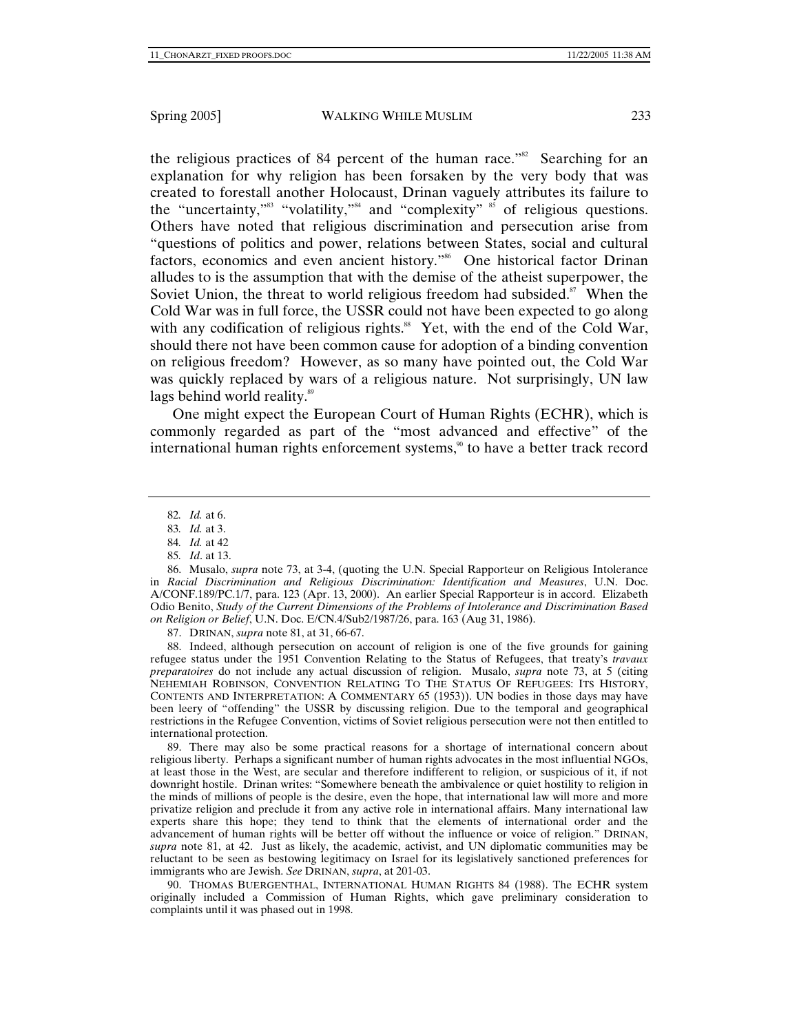the religious practices of 84 percent of the human race."<sup>82</sup> Searching for an explanation for why religion has been forsaken by the very body that was created to forestall another Holocaust, Drinan vaguely attributes its failure to the "uncertainty,"<sup>83</sup> "volatility,"<sup>84</sup> and "complexity"  $\frac{1}{2}$  of religious questions. Others have noted that religious discrimination and persecution arise from "questions of politics and power, relations between States, social and cultural factors, economics and even ancient history."<sup>86</sup> One historical factor Drinan alludes to is the assumption that with the demise of the atheist superpower, the Soviet Union, the threat to world religious freedom had subsided. $87$  When the Cold War was in full force, the USSR could not have been expected to go along with any codification of religious rights.<sup>88</sup> Yet, with the end of the Cold War, should there not have been common cause for adoption of a binding convention on religious freedom? However, as so many have pointed out, the Cold War was quickly replaced by wars of a religious nature. Not surprisingly, UN law lags behind world reality.<sup>89</sup>

One might expect the European Court of Human Rights (ECHR), which is commonly regarded as part of the "most advanced and effective" of the international human rights enforcement systems, $\frac{9}{30}$  to have a better track record

85*. Id*. at 13.

87. DRINAN, *supra* note 81, at 31, 66-67.

 88. Indeed, although persecution on account of religion is one of the five grounds for gaining refugee status under the 1951 Convention Relating to the Status of Refugees, that treaty's *travaux preparatoires* do not include any actual discussion of religion. Musalo, *supra* note 73, at 5 (citing NEHEMIAH ROBINSON, CONVENTION RELATING TO THE STATUS OF REFUGEES: ITS HISTORY, CONTENTS AND INTERPRETATION: A COMMENTARY 65 (1953)). UN bodies in those days may have been leery of "offending" the USSR by discussing religion. Due to the temporal and geographical restrictions in the Refugee Convention, victims of Soviet religious persecution were not then entitled to international protection.

 89. There may also be some practical reasons for a shortage of international concern about religious liberty. Perhaps a significant number of human rights advocates in the most influential NGOs, at least those in the West, are secular and therefore indifferent to religion, or suspicious of it, if not downright hostile. Drinan writes: "Somewhere beneath the ambivalence or quiet hostility to religion in the minds of millions of people is the desire, even the hope, that international law will more and more privatize religion and preclude it from any active role in international affairs. Many international law experts share this hope; they tend to think that the elements of international order and the advancement of human rights will be better off without the influence or voice of religion." DRINAN, *supra* note 81, at 42. Just as likely, the academic, activist, and UN diplomatic communities may be reluctant to be seen as bestowing legitimacy on Israel for its legislatively sanctioned preferences for immigrants who are Jewish. *See* DRINAN, *supra*, at 201-03.

 90. THOMAS BUERGENTHAL, INTERNATIONAL HUMAN RIGHTS 84 (1988). The ECHR system originally included a Commission of Human Rights, which gave preliminary consideration to complaints until it was phased out in 1998.

<sup>82</sup>*. Id.* at 6.

<sup>83</sup>*. Id.* at 3.

<sup>84</sup>*. Id.* at 42

 <sup>86.</sup> Musalo, *supra* note 73, at 3-4, (quoting the U.N. Special Rapporteur on Religious Intolerance in *Racial Discrimination and Religious Discrimination: Identification and Measures*, U.N. Doc. A/CONF.189/PC.1/7, para. 123 (Apr. 13, 2000). An earlier Special Rapporteur is in accord. Elizabeth Odio Benito, *Study of the Current Dimensions of the Problems of Intolerance and Discrimination Based on Religion or Belief*, U.N. Doc. E/CN.4/Sub2/1987/26, para. 163 (Aug 31, 1986).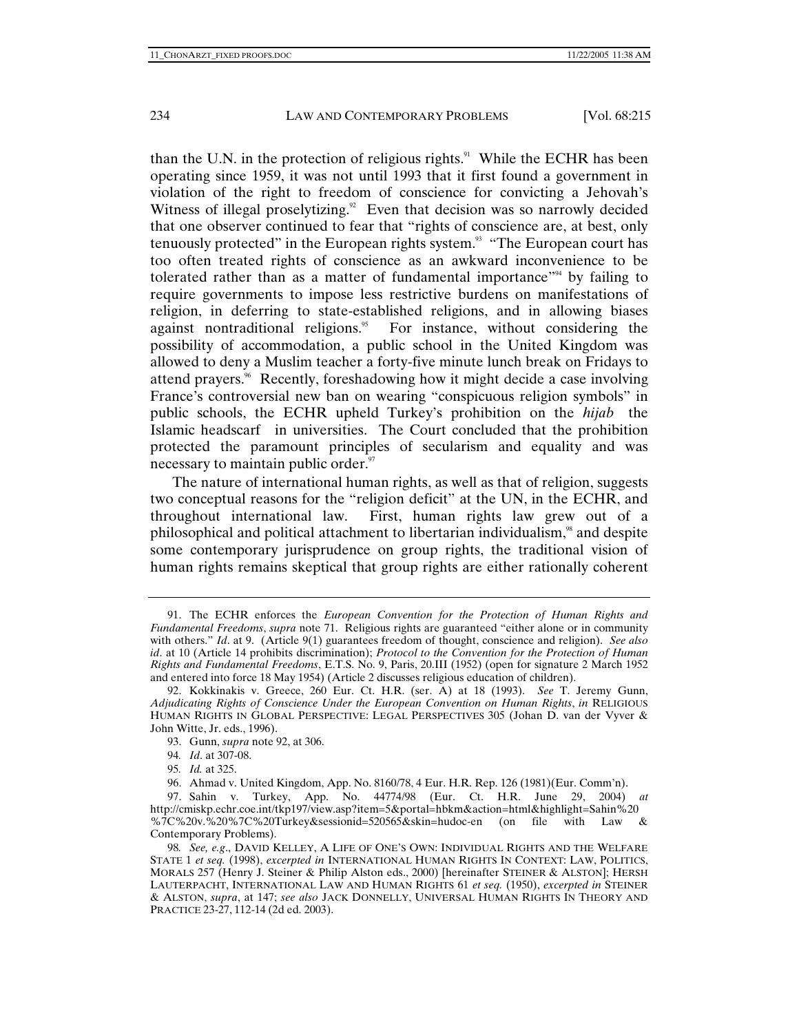than the U.N. in the protection of religious rights. $91$  While the ECHR has been operating since 1959, it was not until 1993 that it first found a government in violation of the right to freedom of conscience for convicting a Jehovah's Witness of illegal proselytizing.<sup>92</sup> Even that decision was so narrowly decided that one observer continued to fear that "rights of conscience are, at best, only tenuously protected" in the European rights system. $\frac{93}{10}$  "The European court has too often treated rights of conscience as an awkward inconvenience to be tolerated rather than as a matter of fundamental importance.<sup> $34$ </sup> by failing to require governments to impose less restrictive burdens on manifestations of religion, in deferring to state-established religions, and in allowing biases against nontraditional religions.<sup>95</sup> For instance, without considering the possibility of accommodation, a public school in the United Kingdom was allowed to deny a Muslim teacher a forty-five minute lunch break on Fridays to attend prayers.<sup>%</sup> Recently, foreshadowing how it might decide a case involving France's controversial new ban on wearing "conspicuous religion symbols" in public schools, the ECHR upheld Turkey's prohibition on the *hijab* the Islamic headscarf in universities. The Court concluded that the prohibition protected the paramount principles of secularism and equality and was necessary to maintain public order. $\frac{97}{97}$ 

The nature of international human rights, as well as that of religion, suggests two conceptual reasons for the "religion deficit" at the UN, in the ECHR, and throughout international law. First, human rights law grew out of a philosophical and political attachment to libertarian individualism,<sup>98</sup> and despite some contemporary jurisprudence on group rights, the traditional vision of human rights remains skeptical that group rights are either rationally coherent

 <sup>91.</sup> The ECHR enforces the *European Convention for the Protection of Human Rights and Fundamental Freedoms*, *supra* note 71. Religious rights are guaranteed "either alone or in community with others." *Id.* at 9. (Article 9(1) guarantees freedom of thought, conscience and religion). *See also id*. at 10 (Article 14 prohibits discrimination); *Protocol to the Convention for the Protection of Human Rights and Fundamental Freedoms*, E.T.S. No. 9, Paris, 20.III (1952) (open for signature 2 March 1952 and entered into force 18 May 1954) (Article 2 discusses religious education of children).

 <sup>92.</sup> Kokkinakis v. Greece, 260 Eur. Ct. H.R. (ser. A) at 18 (1993). *See* T. Jeremy Gunn, *Adjudicating Rights of Conscience Under the European Convention on Human Rights*, *in* RELIGIOUS HUMAN RIGHTS IN GLOBAL PERSPECTIVE: LEGAL PERSPECTIVES 305 (Johan D. van der Vyver & John Witte, Jr. eds., 1996).

 <sup>93.</sup> Gunn, *supra* note 92, at 306.

<sup>94</sup>*. Id*. at 307-08.

<sup>95</sup>*. Id.* at 325.

 <sup>96.</sup> Ahmad v. United Kingdom, App. No. 8160/78, 4 Eur. H.R. Rep. 126 (1981)(Eur. Comm'n).

 <sup>97.</sup> Sahin v. Turkey, App. No. 44774/98 (Eur. Ct. H.R. June 29, 2004) *at* http://cmiskp.echr.coe.int/tkp197/view.asp?item=5&portal=hbkm&action=html&highlight=Sahin%20 %7C%20v.%20%7C%20Turkey&sessionid=520565&skin=hudoc-en (on file with Law & Contemporary Problems).

<sup>98</sup>*. See, e.g*., DAVID KELLEY, A LIFE OF ONE'S OWN: INDIVIDUAL RIGHTS AND THE WELFARE STATE 1 *et seq.* (1998), *excerpted in* INTERNATIONAL HUMAN RIGHTS IN CONTEXT: LAW, POLITICS, MORALS 257 (Henry J. Steiner & Philip Alston eds., 2000) [hereinafter STEINER & ALSTON]; HERSH LAUTERPACHT, INTERNATIONAL LAW AND HUMAN RIGHTS 61 *et seq.* (1950), *excerpted in* STEINER & ALSTON, *supra*, at 147; *see also* JACK DONNELLY, UNIVERSAL HUMAN RIGHTS IN THEORY AND PRACTICE 23-27, 112-14 (2d ed. 2003).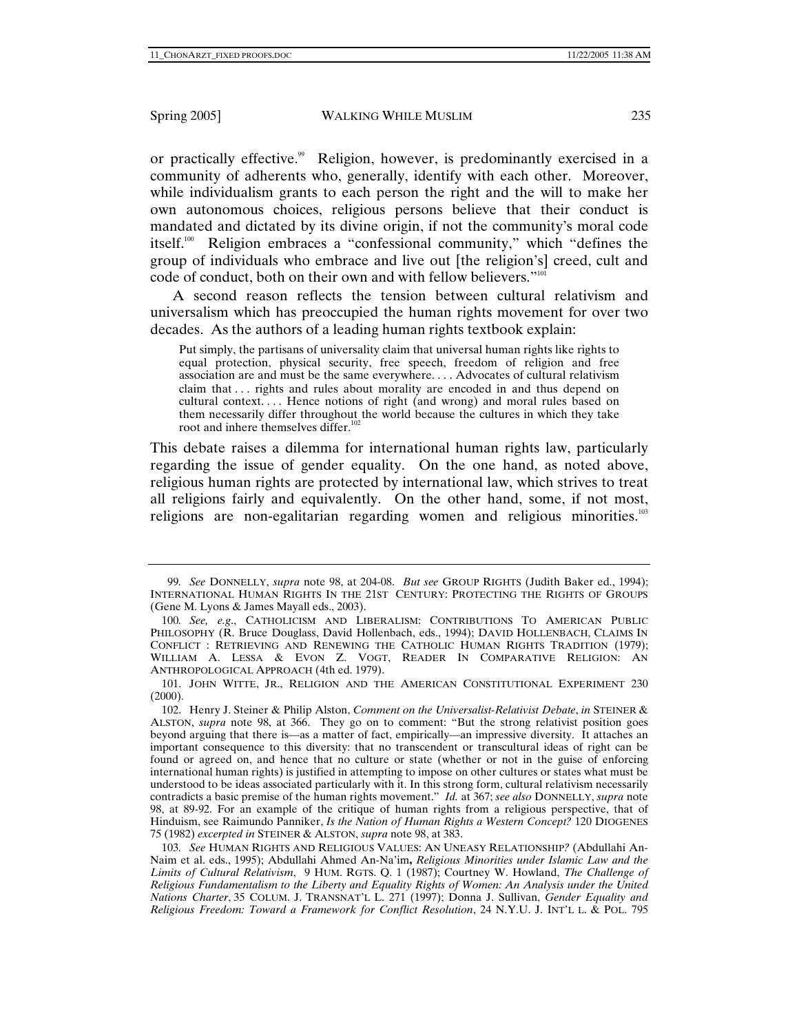or practically effective.<sup>99</sup> Religion, however, is predominantly exercised in a community of adherents who, generally, identify with each other. Moreover, while individualism grants to each person the right and the will to make her own autonomous choices, religious persons believe that their conduct is mandated and dictated by its divine origin, if not the community's moral code itself.100 Religion embraces a "confessional community," which "defines the group of individuals who embrace and live out [the religion's] creed, cult and code of conduct, both on their own and with fellow believers."<sup>101</sup>

A second reason reflects the tension between cultural relativism and universalism which has preoccupied the human rights movement for over two decades. As the authors of a leading human rights textbook explain:

Put simply, the partisans of universality claim that universal human rights like rights to equal protection, physical security, free speech, freedom of religion and free association are and must be the same everywhere. . . . Advocates of cultural relativism claim that . . . rights and rules about morality are encoded in and thus depend on cultural context. . . . Hence notions of right (and wrong) and moral rules based on them necessarily differ throughout the world because the cultures in which they take root and inhere themselves differ.<sup>102</sup>

This debate raises a dilemma for international human rights law, particularly regarding the issue of gender equality. On the one hand, as noted above, religious human rights are protected by international law, which strives to treat all religions fairly and equivalently. On the other hand, some, if not most, religions are non-egalitarian regarding women and religious minorities.<sup>103</sup>

<sup>99</sup>*. See* DONNELLY, *supra* note 98, at 204-08. *But see* GROUP RIGHTS (Judith Baker ed., 1994); INTERNATIONAL HUMAN RIGHTS IN THE 21ST CENTURY: PROTECTING THE RIGHTS OF GROUPS (Gene M. Lyons & James Mayall eds., 2003).

<sup>100</sup>*. See, e.g*., CATHOLICISM AND LIBERALISM: CONTRIBUTIONS TO AMERICAN PUBLIC PHILOSOPHY (R. Bruce Douglass, David Hollenbach, eds., 1994); DAVID HOLLENBACH, CLAIMS IN CONFLICT : RETRIEVING AND RENEWING THE CATHOLIC HUMAN RIGHTS TRADITION (1979); WILLIAM A. LESSA & EVON Z. VOGT, READER IN COMPARATIVE RELIGION: AN ANTHROPOLOGICAL APPROACH (4th ed. 1979).

 <sup>101.</sup> JOHN WITTE, JR., RELIGION AND THE AMERICAN CONSTITUTIONAL EXPERIMENT 230  $(2000).$ 

 <sup>102.</sup> Henry J. Steiner & Philip Alston, *Comment on the Universalist-Relativist Debate*, *in* STEINER & ALSTON, *supra* note 98, at 366. They go on to comment: "But the strong relativist position goes beyond arguing that there is—as a matter of fact, empirically—an impressive diversity. It attaches an important consequence to this diversity: that no transcendent or transcultural ideas of right can be found or agreed on, and hence that no culture or state (whether or not in the guise of enforcing international human rights) is justified in attempting to impose on other cultures or states what must be understood to be ideas associated particularly with it. In this strong form, cultural relativism necessarily contradicts a basic premise of the human rights movement." *Id.* at 367; *see also* DONNELLY, *supra* note 98, at 89-92. For an example of the critique of human rights from a religious perspective, that of Hinduism, see Raimundo Panniker, *Is the Nation of Human Rights a Western Concept?* 120 DIOGENES 75 (1982) *excerpted in* STEINER & ALSTON, *supra* note 98, at 383.

<sup>103</sup>*. See* HUMAN RIGHTS AND RELIGIOUS VALUES: AN UNEASY RELATIONSHIP*?* (Abdullahi An-Naim et al. eds., 1995); Abdullahi Ahmed An-Na'im**,** *Religious Minorities under Islamic Law and the Limits of Cultural Relativism*, 9 HUM. RGTS. Q. 1 (1987); Courtney W. Howland, *The Challenge of Religious Fundamentalism to the Liberty and Equality Rights of Women: An Analysis under the United Nations Charter*, 35 COLUM. J. TRANSNAT'L L. 271 (1997); Donna J. Sullivan, *Gender Equality and Religious Freedom: Toward a Framework for Conflict Resolution*, 24 N.Y.U. J. INT'L L. & POL. 795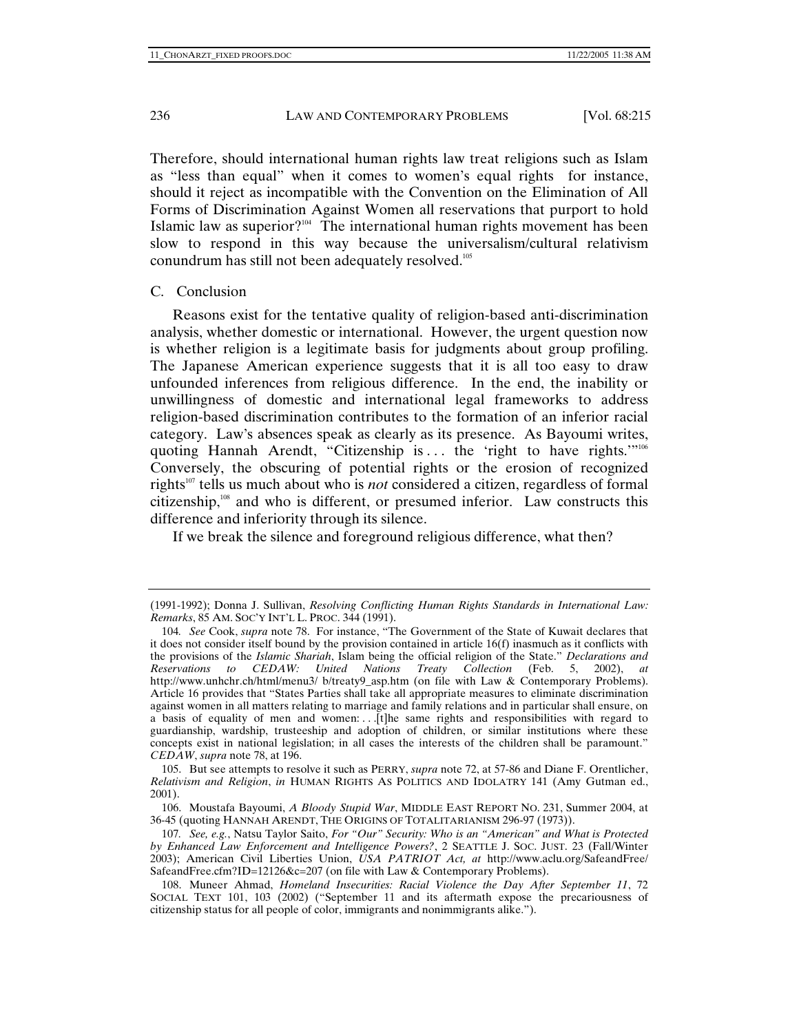Therefore, should international human rights law treat religions such as Islam as "less than equal" when it comes to women's equal rights for instance, should it reject as incompatible with the Convention on the Elimination of All Forms of Discrimination Against Women all reservations that purport to hold Islamic law as superior?<sup>104</sup> The international human rights movement has been slow to respond in this way because the universalism/cultural relativism conundrum has still not been adequately resolved.105

#### C. Conclusion

Reasons exist for the tentative quality of religion-based anti-discrimination analysis, whether domestic or international. However, the urgent question now is whether religion is a legitimate basis for judgments about group profiling. The Japanese American experience suggests that it is all too easy to draw unfounded inferences from religious difference. In the end, the inability or unwillingness of domestic and international legal frameworks to address religion-based discrimination contributes to the formation of an inferior racial category. Law's absences speak as clearly as its presence. As Bayoumi writes, quoting Hannah Arendt, "Citizenship is ... the 'right to have rights.'"<sup>106</sup> Conversely, the obscuring of potential rights or the erosion of recognized rights<sup>107</sup> tells us much about who is *not* considered a citizen, regardless of formal citizenship, $108$  and who is different, or presumed inferior. Law constructs this difference and inferiority through its silence.

If we break the silence and foreground religious difference, what then?

<sup>(1991-1992);</sup> Donna J. Sullivan, *Resolving Conflicting Human Rights Standards in International Law: Remarks*, 85 AM. SOC'Y INT'L L. PROC. 344 (1991).

<sup>104</sup>*. See* Cook, *supra* note 78. For instance, "The Government of the State of Kuwait declares that it does not consider itself bound by the provision contained in article 16(f) inasmuch as it conflicts with the provisions of the *Islamic Shariah*, Islam being the official religion of the State." *Declarations and Reservations to CEDAW: United Nations Treaty Collection* (Feb. 5, 2002), *at* http://www.unhchr.ch/html/menu3/ b/treaty9\_asp.htm (on file with Law & Contemporary Problems). Article 16 provides that "States Parties shall take all appropriate measures to eliminate discrimination against women in all matters relating to marriage and family relations and in particular shall ensure, on a basis of equality of men and women:  $\ldots$  [t]he same rights and responsibilities with regard to guardianship, wardship, trusteeship and adoption of children, or similar institutions where these concepts exist in national legislation; in all cases the interests of the children shall be paramount." *CEDAW*, *supra* note 78, at 196.

 <sup>105.</sup> But see attempts to resolve it such as PERRY, *supra* note 72, at 57-86 and Diane F. Orentlicher, *Relativism and Religion*, *in* HUMAN RIGHTS AS POLITICS AND IDOLATRY 141 (Amy Gutman ed., 2001).

 <sup>106.</sup> Moustafa Bayoumi, *A Bloody Stupid War*, MIDDLE EAST REPORT NO. 231, Summer 2004, at 36-45 (quoting HANNAH ARENDT, THE ORIGINS OF TOTALITARIANISM 296-97 (1973)).

<sup>107</sup>*. See, e.g.*, Natsu Taylor Saito, *For "Our" Security: Who is an "American" and What is Protected by Enhanced Law Enforcement and Intelligence Powers?*, 2 SEATTLE J. SOC. JUST. 23 (Fall/Winter 2003); American Civil Liberties Union, *USA PATRIOT Act, at* http://www.aclu.org/SafeandFree/ SafeandFree.cfm?ID=12126&c=207 (on file with Law & Contemporary Problems).

 <sup>108.</sup> Muneer Ahmad, *Homeland Insecurities: Racial Violence the Day After September 11*, 72 SOCIAL TEXT 101, 103 (2002) ("September 11 and its aftermath expose the precariousness of citizenship status for all people of color, immigrants and nonimmigrants alike.").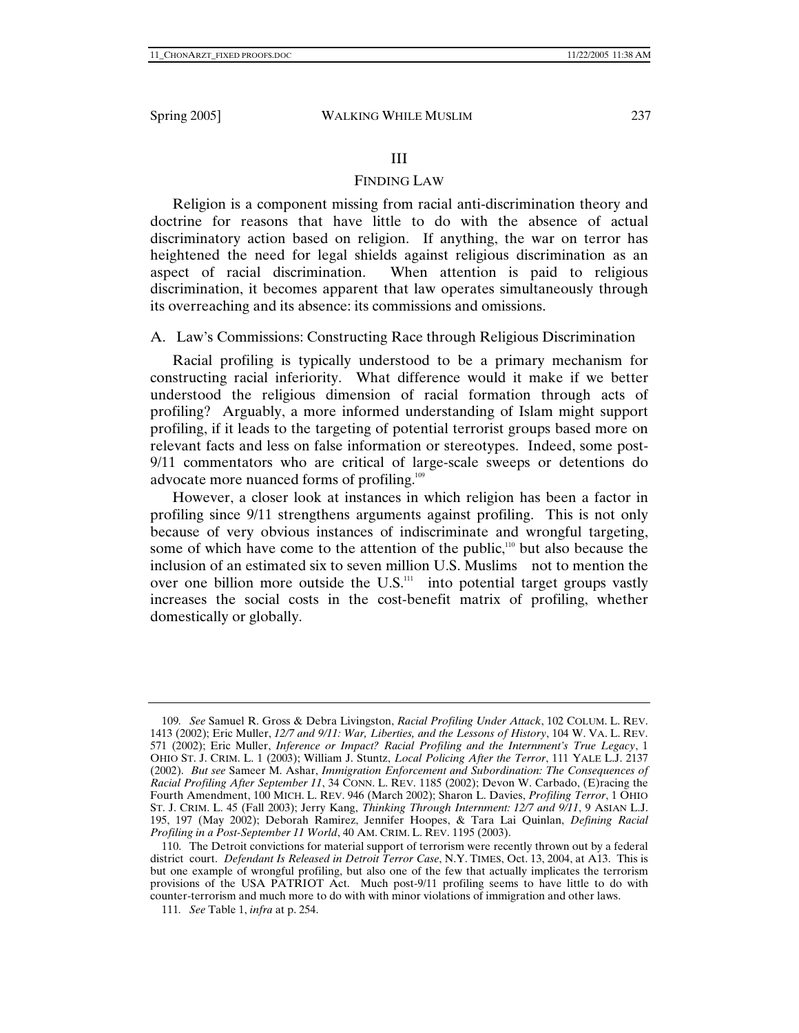## III

## FINDING LAW

Religion is a component missing from racial anti-discrimination theory and doctrine for reasons that have little to do with the absence of actual discriminatory action based on religion. If anything, the war on terror has heightened the need for legal shields against religious discrimination as an aspect of racial discrimination. When attention is paid to religious discrimination, it becomes apparent that law operates simultaneously through its overreaching and its absence: its commissions and omissions.

# A. Law's Commissions: Constructing Race through Religious Discrimination

Racial profiling is typically understood to be a primary mechanism for constructing racial inferiority. What difference would it make if we better understood the religious dimension of racial formation through acts of profiling? Arguably, a more informed understanding of Islam might support profiling, if it leads to the targeting of potential terrorist groups based more on relevant facts and less on false information or stereotypes. Indeed, some post-9/11 commentators who are critical of large-scale sweeps or detentions do advocate more nuanced forms of profiling.<sup>109</sup>

However, a closer look at instances in which religion has been a factor in profiling since 9/11 strengthens arguments against profiling. This is not only because of very obvious instances of indiscriminate and wrongful targeting, some of which have come to the attention of the public, $110$  but also because the inclusion of an estimated six to seven million U.S. Muslims not to mention the over one billion more outside the  $U.S.<sup>111</sup>$  into potential target groups vastly increases the social costs in the cost-benefit matrix of profiling, whether domestically or globally.

<sup>109</sup>*. See* Samuel R. Gross & Debra Livingston, *Racial Profiling Under Attack*, 102 COLUM. L. REV. 1413 (2002); Eric Muller, *12/7 and 9/11: War, Liberties, and the Lessons of History*, 104 W. VA. L. REV. 571 (2002); Eric Muller, *Inference or Impact? Racial Profiling and the Internment's True Legacy*, 1 OHIO ST. J. CRIM. L. 1 (2003); William J. Stuntz, *Local Policing After the Terror*, 111 YALE L.J. 2137 (2002). *But see* Sameer M. Ashar, *Immigration Enforcement and Subordination: The Consequences of Racial Profiling After September 11*, 34 CONN. L. REV. 1185 (2002); Devon W. Carbado, (E)racing the Fourth Amendment, 100 MICH. L. REV. 946 (March 2002); Sharon L. Davies, *Profiling Terror*, 1 OHIO ST. J. CRIM. L. 45 (Fall 2003); Jerry Kang, *Thinking Through Internment: 12/7 and 9/11*, 9 ASIAN L.J. 195, 197 (May 2002); Deborah Ramirez, Jennifer Hoopes, & Tara Lai Quinlan, *Defining Racial Profiling in a Post-September 11 World*, 40 AM. CRIM. L. REV. 1195 (2003).

 <sup>110.</sup> The Detroit convictions for material support of terrorism were recently thrown out by a federal district court. *Defendant Is Released in Detroit Terror Case*, N.Y. TIMES, Oct. 13, 2004, at A13. This is but one example of wrongful profiling, but also one of the few that actually implicates the terrorism provisions of the USA PATRIOT Act. Much post-9/11 profiling seems to have little to do with counter-terrorism and much more to do with with minor violations of immigration and other laws.

<sup>111</sup>*. See* Table 1, *infra* at p. 254.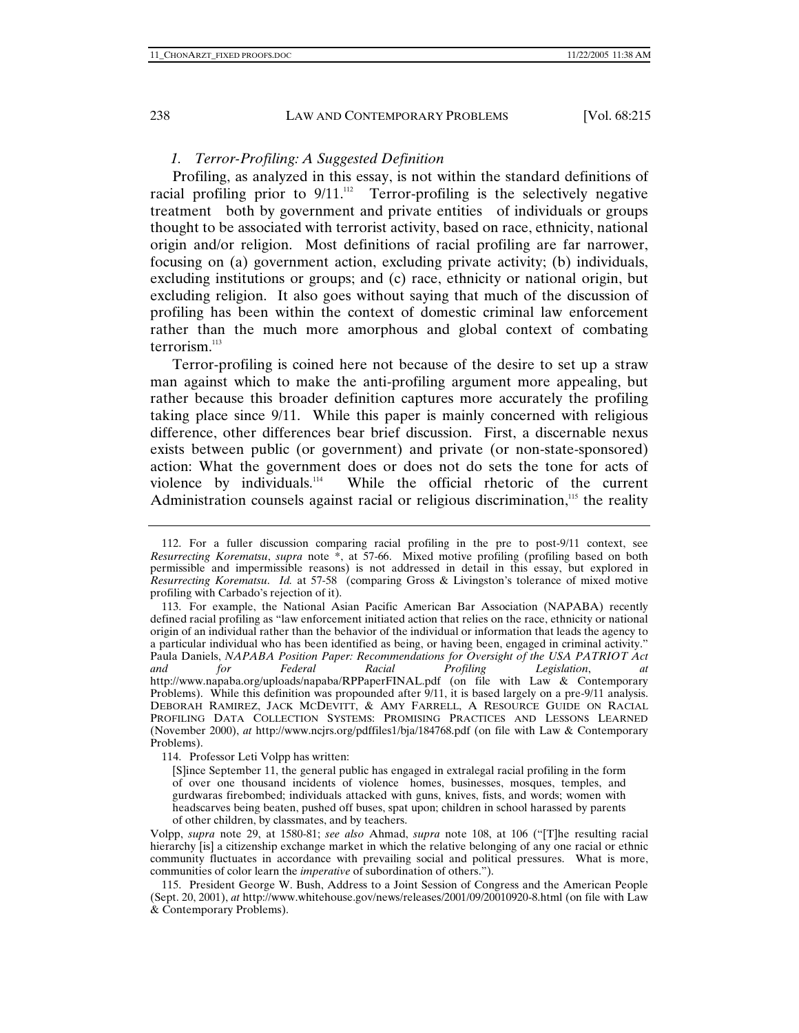## *1. Terror-Profiling: A Suggested Definition*

Profiling, as analyzed in this essay, is not within the standard definitions of racial profiling prior to  $9/11$ .<sup>112</sup> Terror-profiling is the selectively negative treatment both by government and private entities of individuals or groups thought to be associated with terrorist activity, based on race, ethnicity, national origin and/or religion. Most definitions of racial profiling are far narrower, focusing on (a) government action, excluding private activity; (b) individuals, excluding institutions or groups; and (c) race, ethnicity or national origin, but excluding religion. It also goes without saying that much of the discussion of profiling has been within the context of domestic criminal law enforcement rather than the much more amorphous and global context of combating terrorism. $113$ 

Terror-profiling is coined here not because of the desire to set up a straw man against which to make the anti-profiling argument more appealing, but rather because this broader definition captures more accurately the profiling taking place since 9/11. While this paper is mainly concerned with religious difference, other differences bear brief discussion. First, a discernable nexus exists between public (or government) and private (or non-state-sponsored) action: What the government does or does not do sets the tone for acts of violence by individuals.<sup>114</sup> While the official rhetoric of the current While the official rhetoric of the current Administration counsels against racial or religious discrimination,<sup>115</sup> the reality

114. Professor Leti Volpp has written:

 <sup>112.</sup> For a fuller discussion comparing racial profiling in the pre to post-9/11 context, see *Resurrecting Korematsu*, *supra* note \*, at 57-66. Mixed motive profiling (profiling based on both permissible and impermissible reasons) is not addressed in detail in this essay, but explored in *Resurrecting Korematsu*. *Id.* at 57-58 (comparing Gross & Livingston's tolerance of mixed motive profiling with Carbado's rejection of it).

 <sup>113.</sup> For example, the National Asian Pacific American Bar Association (NAPABA) recently defined racial profiling as "law enforcement initiated action that relies on the race, ethnicity or national origin of an individual rather than the behavior of the individual or information that leads the agency to a particular individual who has been identified as being, or having been, engaged in criminal activity." Paula Daniels, *NAPABA Position Paper: Recommendations for Oversight of the USA PATRIOT Act and for Federal Racial Profiling Legislation*, *at* http://www.napaba.org/uploads/napaba/RPPaperFINAL.pdf (on file with Law & Contemporary Problems). While this definition was propounded after 9/11, it is based largely on a pre-9/11 analysis. DEBORAH RAMIREZ, JACK MCDEVITT, & AMY FARRELL, A RESOURCE GUIDE ON RACIAL PROFILING DATA COLLECTION SYSTEMS: PROMISING PRACTICES AND LESSONS LEARNED (November 2000), *at* http://www.ncjrs.org/pdffiles1/bja/184768.pdf (on file with Law & Contemporary Problems).

<sup>[</sup>S]ince September 11, the general public has engaged in extralegal racial profiling in the form of over one thousand incidents of violence homes, businesses, mosques, temples, and gurdwaras firebombed; individuals attacked with guns, knives, fists, and words; women with headscarves being beaten, pushed off buses, spat upon; children in school harassed by parents of other children, by classmates, and by teachers.

Volpp, *supra* note 29, at 1580-81; *see also* Ahmad, *supra* note 108, at 106 ("[T]he resulting racial hierarchy [is] a citizenship exchange market in which the relative belonging of any one racial or ethnic community fluctuates in accordance with prevailing social and political pressures. What is more, communities of color learn the *imperative* of subordination of others.").

 <sup>115.</sup> President George W. Bush, Address to a Joint Session of Congress and the American People (Sept. 20, 2001), *at* http://www.whitehouse.gov/news/releases/2001/09/20010920-8.html (on file with Law & Contemporary Problems).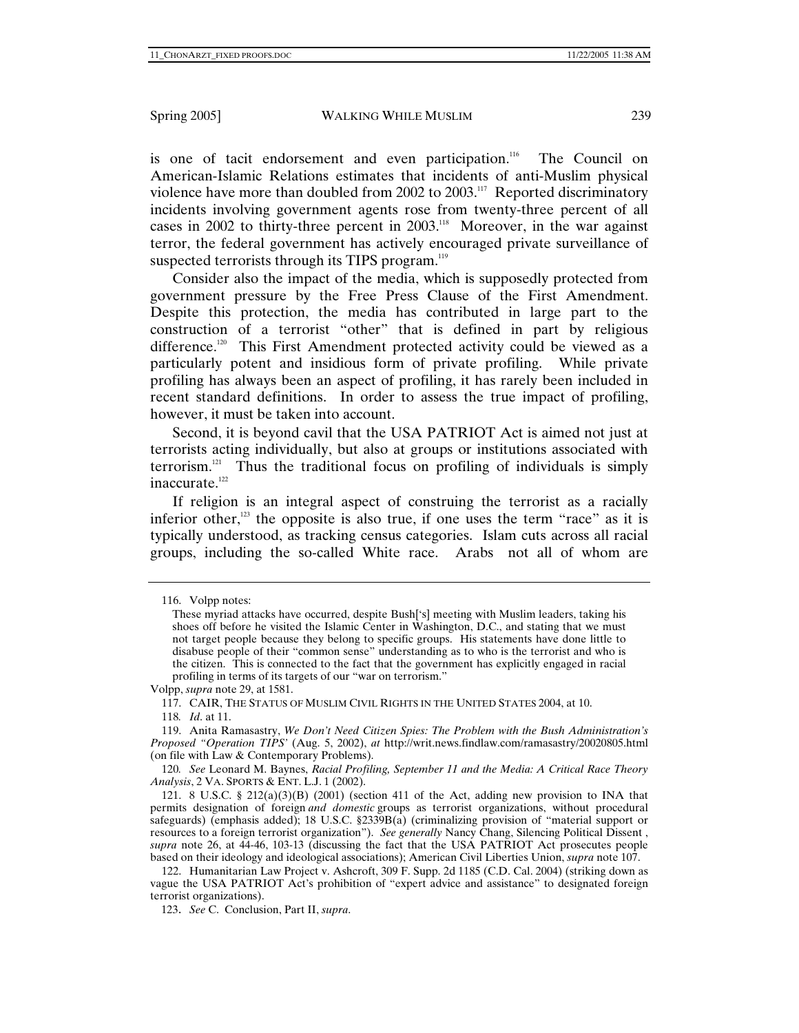is one of tacit endorsement and even participation.<sup>116</sup> The Council on American-Islamic Relations estimates that incidents of anti-Muslim physical violence have more than doubled from 2002 to 2003.<sup>117</sup> Reported discriminatory incidents involving government agents rose from twenty-three percent of all cases in 2002 to thirty-three percent in 2003.<sup>118</sup> Moreover, in the war against terror, the federal government has actively encouraged private surveillance of suspected terrorists through its TIPS program.<sup>119</sup>

Consider also the impact of the media, which is supposedly protected from government pressure by the Free Press Clause of the First Amendment. Despite this protection, the media has contributed in large part to the construction of a terrorist "other" that is defined in part by religious difference.<sup>120</sup> This First Amendment protected activity could be viewed as a particularly potent and insidious form of private profiling. While private profiling has always been an aspect of profiling, it has rarely been included in recent standard definitions. In order to assess the true impact of profiling, however, it must be taken into account.

Second, it is beyond cavil that the USA PATRIOT Act is aimed not just at terrorists acting individually, but also at groups or institutions associated with terrorism.<sup>121</sup> Thus the traditional focus on profiling of individuals is simply inaccurate.<sup>122</sup>

If religion is an integral aspect of construing the terrorist as a racially inferior other, $123$  the opposite is also true, if one uses the term "race" as it is typically understood, as tracking census categories. Islam cuts across all racial groups, including the so-called White race. Arabs not all of whom are

118*. Id*. at 11.

 119. Anita Ramasastry, *We Don't Need Citizen Spies: The Problem with the Bush Administration's Proposed "Operation TIPS'* (Aug. 5, 2002), *at* http://writ.news.findlaw.com/ramasastry/20020805.html (on file with Law & Contemporary Problems).

120*. See* Leonard M. Baynes, *Racial Profiling, September 11 and the Media: A Critical Race Theory Analysis*, 2 VA. SPORTS & ENT. L.J. 1 (2002).

121. 8 U.S.C. § 212(a)(3)(B) (2001) (section 411 of the Act, adding new provision to INA that permits designation of foreign *and domestic* groups as terrorist organizations, without procedural safeguards) (emphasis added); 18 U.S.C. §2339B(a) (criminalizing provision of "material support or resources to a foreign terrorist organization"). *See generally* Nancy Chang, Silencing Political Dissent , *supra* note 26, at 44-46, 103-13 (discussing the fact that the USA PATRIOT Act prosecutes people based on their ideology and ideological associations); American Civil Liberties Union, *supra* note 107.

 122. Humanitarian Law Project v. Ashcroft, 309 F. Supp. 2d 1185 (C.D. Cal. 2004) (striking down as vague the USA PATRIOT Act's prohibition of "expert advice and assistance" to designated foreign terrorist organizations).

123. *See* C. Conclusion, Part II, *supra*.

 <sup>116.</sup> Volpp notes:

These myriad attacks have occurred, despite Bush['s] meeting with Muslim leaders, taking his shoes off before he visited the Islamic Center in Washington, D.C., and stating that we must not target people because they belong to specific groups. His statements have done little to disabuse people of their "common sense" understanding as to who is the terrorist and who is the citizen. This is connected to the fact that the government has explicitly engaged in racial profiling in terms of its targets of our "war on terrorism."

Volpp, *supra* note 29, at 1581.

 <sup>117.</sup> CAIR, THE STATUS OF MUSLIM CIVIL RIGHTS IN THE UNITED STATES 2004, at 10.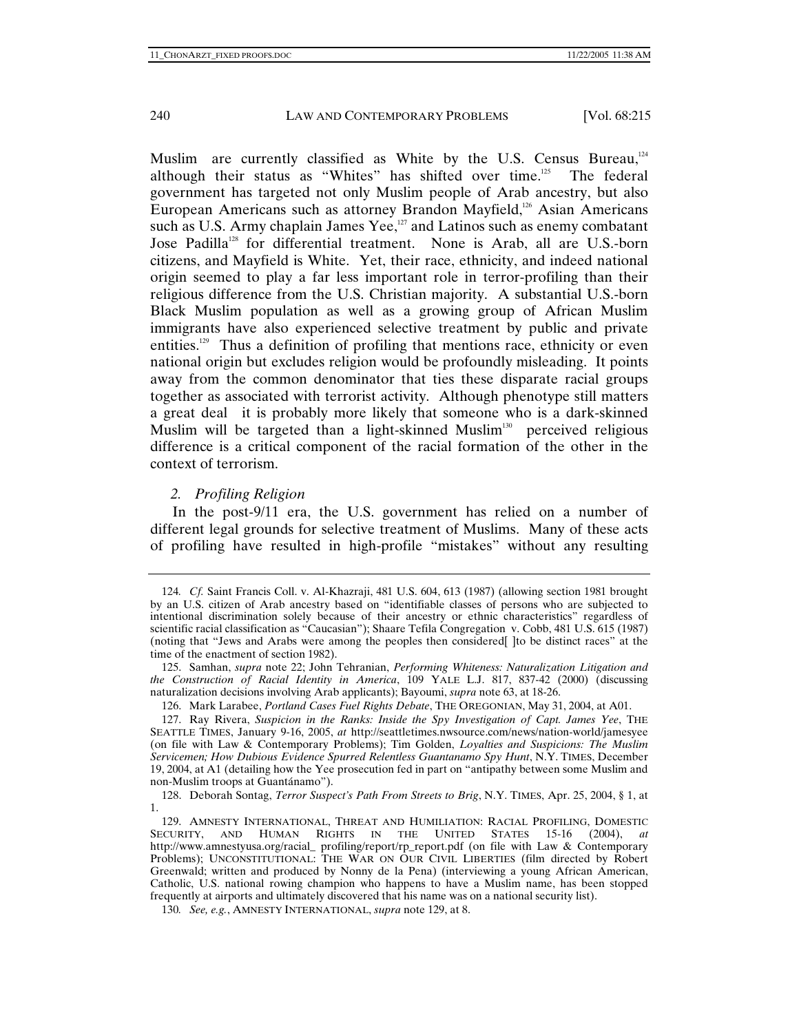Muslim are currently classified as White by the U.S. Census Bureau,<sup>124</sup> although their status as "Whites" has shifted over time.<sup>125</sup> The federal government has targeted not only Muslim people of Arab ancestry, but also European Americans such as attorney Brandon Mayfield, $126$  Asian Americans such as U.S. Army chaplain James Yee,<sup>127</sup> and Latinos such as enemy combatant Jose Padilla<sup>128</sup> for differential treatment. None is Arab, all are U.S.-born citizens, and Mayfield is White. Yet, their race, ethnicity, and indeed national origin seemed to play a far less important role in terror-profiling than their religious difference from the U.S. Christian majority. A substantial U.S.-born Black Muslim population as well as a growing group of African Muslim immigrants have also experienced selective treatment by public and private entities.<sup>129</sup> Thus a definition of profiling that mentions race, ethnicity or even national origin but excludes religion would be profoundly misleading. It points away from the common denominator that ties these disparate racial groups together as associated with terrorist activity. Although phenotype still matters a great deal it is probably more likely that someone who is a dark-skinned Muslim will be targeted than a light-skinned Muslim<sup>130</sup> perceived religious difference is a critical component of the racial formation of the other in the context of terrorism.

#### *2. Profiling Religion*

In the post-9/11 era, the U.S. government has relied on a number of different legal grounds for selective treatment of Muslims. Many of these acts of profiling have resulted in high-profile "mistakes" without any resulting

130*. See, e.g.*, AMNESTY INTERNATIONAL, *supra* note 129, at 8.

<sup>124</sup>*. Cf.* Saint Francis Coll. v. Al-Khazraji, 481 U.S. 604, 613 (1987) (allowing section 1981 brought by an U.S. citizen of Arab ancestry based on "identifiable classes of persons who are subjected to intentional discrimination solely because of their ancestry or ethnic characteristics" regardless of scientific racial classification as "Caucasian"); Shaare Tefila Congregation v. Cobb, 481 U.S. 615 (1987) (noting that "Jews and Arabs were among the peoples then considered[ ]to be distinct races" at the time of the enactment of section 1982).

 <sup>125.</sup> Samhan, *supra* note 22; John Tehranian, *Performing Whiteness: Naturalization Litigation and the Construction of Racial Identity in America*, 109 YALE L.J. 817, 837-42 (2000) (discussing naturalization decisions involving Arab applicants); Bayoumi, *supra* note 63, at 18-26.

 <sup>126.</sup> Mark Larabee, *Portland Cases Fuel Rights Debate*, THE OREGONIAN, May 31, 2004, at A01.

 <sup>127.</sup> Ray Rivera, *Suspicion in the Ranks: Inside the Spy Investigation of Capt. James Yee*, THE SEATTLE TIMES, January 9-16, 2005, *at* http://seattletimes.nwsource.com/news/nation-world/jamesyee (on file with Law & Contemporary Problems); Tim Golden, *Loyalties and Suspicions: The Muslim Servicemen; How Dubious Evidence Spurred Relentless Guantanamo Spy Hunt*, N.Y. TIMES, December 19, 2004, at A1 (detailing how the Yee prosecution fed in part on "antipathy between some Muslim and non-Muslim troops at Guantánamo").

 <sup>128.</sup> Deborah Sontag, *Terror Suspect's Path From Streets to Brig*, N.Y. TIMES, Apr. 25, 2004, § 1, at 1.

<sup>129.</sup> AMNESTY INTERNATIONAL, THREAT AND HUMILIATION: RACIAL PROFILING, DOMESTIC<br>SECURITY, AND HUMAN RIGHTS IN THE UNITED STATES 15-16 (2004), at RIGHTS IN THE UNITED STATES 15-16 (2004), *at* http://www.amnestyusa.org/racial\_ profiling/report/rp\_report.pdf (on file with Law & Contemporary Problems); UNCONSTITUTIONAL: THE WAR ON OUR CIVIL LIBERTIES (film directed by Robert Greenwald; written and produced by Nonny de la Pena) (interviewing a young African American, Catholic, U.S. national rowing champion who happens to have a Muslim name, has been stopped frequently at airports and ultimately discovered that his name was on a national security list).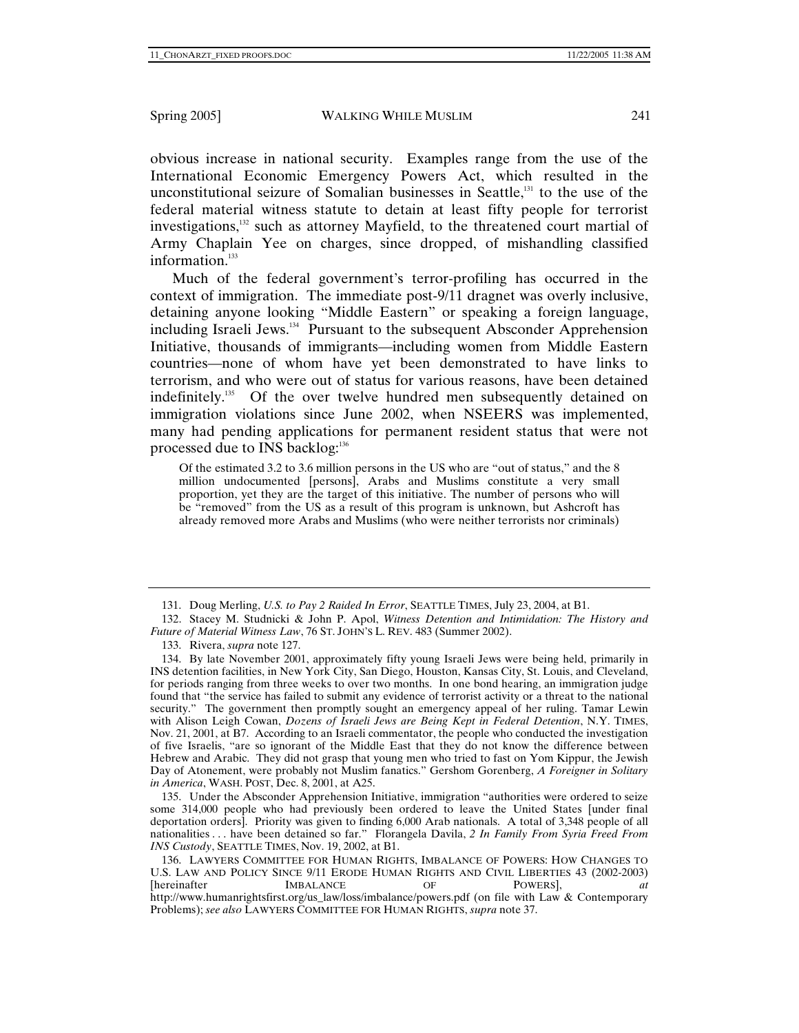obvious increase in national security. Examples range from the use of the International Economic Emergency Powers Act, which resulted in the unconstitutional seizure of Somalian businesses in Seattle, $131$  to the use of the federal material witness statute to detain at least fifty people for terrorist investigations,<sup>132</sup> such as attorney Mayfield, to the threatened court martial of Army Chaplain Yee on charges, since dropped, of mishandling classified information.<sup>133</sup>

Much of the federal government's terror-profiling has occurred in the context of immigration. The immediate post-9/11 dragnet was overly inclusive, detaining anyone looking "Middle Eastern" or speaking a foreign language, including Israeli Jews.<sup>134</sup> Pursuant to the subsequent Absconder Apprehension Initiative, thousands of immigrants—including women from Middle Eastern countries—none of whom have yet been demonstrated to have links to terrorism, and who were out of status for various reasons, have been detained indefinitely.<sup>135</sup> Of the over twelve hundred men subsequently detained on immigration violations since June 2002, when NSEERS was implemented, many had pending applications for permanent resident status that were not processed due to INS backlog:<sup>136</sup>

Of the estimated 3.2 to 3.6 million persons in the US who are "out of status," and the 8 million undocumented [persons], Arabs and Muslims constitute a very small proportion, yet they are the target of this initiative. The number of persons who will be "removed" from the US as a result of this program is unknown, but Ashcroft has already removed more Arabs and Muslims (who were neither terrorists nor criminals)

 135. Under the Absconder Apprehension Initiative, immigration "authorities were ordered to seize some 314,000 people who had previously been ordered to leave the United States [under final deportation orders]. Priority was given to finding 6,000 Arab nationals. A total of 3,348 people of all nationalities . . . have been detained so far." Florangela Davila, *2 In Family From Syria Freed From INS Custody*, SEATTLE TIMES, Nov. 19, 2002, at B1.

 <sup>131.</sup> Doug Merling, *U.S. to Pay 2 Raided In Error*, SEATTLE TIMES, July 23, 2004, at B1.

 <sup>132.</sup> Stacey M. Studnicki & John P. Apol, *Witness Detention and Intimidation: The History and Future of Material Witness Law*, 76 ST. JOHN'S L. REV. 483 (Summer 2002).

 <sup>133.</sup> Rivera, *supra* note 127.

 <sup>134.</sup> By late November 2001, approximately fifty young Israeli Jews were being held, primarily in INS detention facilities, in New York City, San Diego, Houston, Kansas City, St. Louis, and Cleveland, for periods ranging from three weeks to over two months. In one bond hearing, an immigration judge found that "the service has failed to submit any evidence of terrorist activity or a threat to the national security." The government then promptly sought an emergency appeal of her ruling. Tamar Lewin with Alison Leigh Cowan, *Dozens of Israeli Jews are Being Kept in Federal Detention*, N.Y. TIMES, Nov. 21, 2001, at B7. According to an Israeli commentator, the people who conducted the investigation of five Israelis, "are so ignorant of the Middle East that they do not know the difference between Hebrew and Arabic. They did not grasp that young men who tried to fast on Yom Kippur, the Jewish Day of Atonement, were probably not Muslim fanatics." Gershom Gorenberg, *A Foreigner in Solitary in America*, WASH. POST, Dec. 8, 2001, at A25.

 <sup>136.</sup> LAWYERS COMMITTEE FOR HUMAN RIGHTS, IMBALANCE OF POWERS: HOW CHANGES TO U.S. LAW AND POLICY SINCE 9/11 ERODE HUMAN RIGHTS AND CIVIL LIBERTIES 43 (2002-2003)<br>Intereinafter **IMBALANCE** OF POWERSL at [hereinafter IMBALANCE OF POWERS], *at*  http://www.humanrightsfirst.org/us\_law/loss/imbalance/powers.pdf (on file with Law & Contemporary Problems); *see also* LAWYERS COMMITTEE FOR HUMAN RIGHTS, *supra* note 37.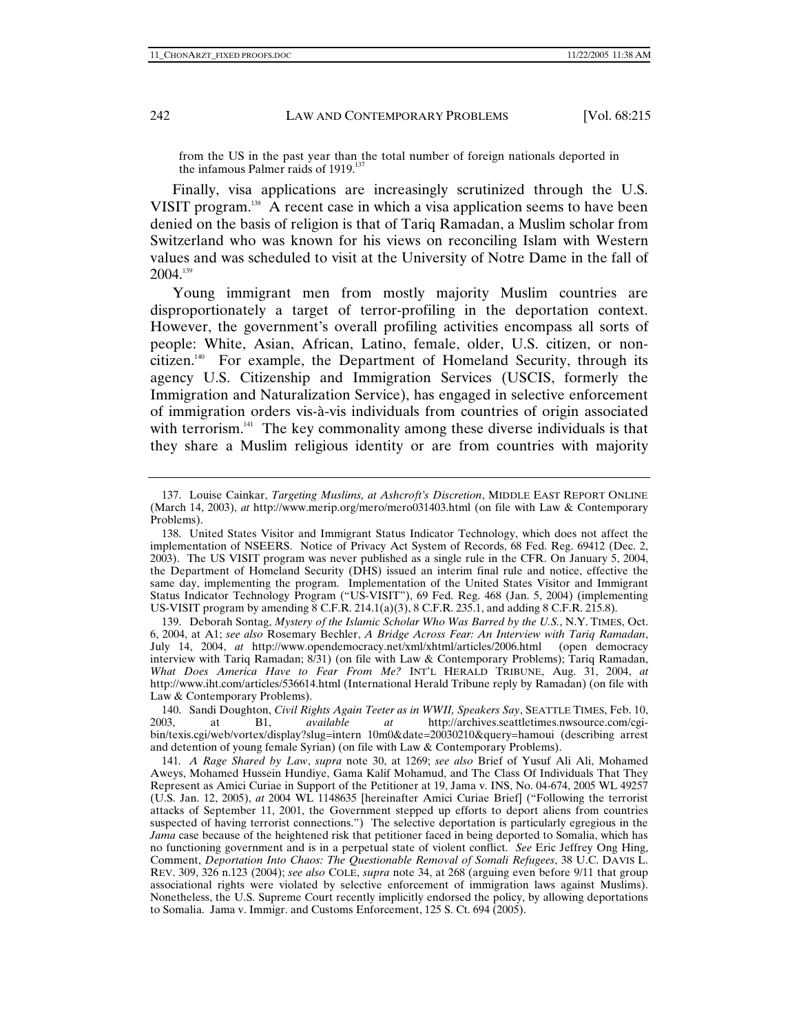from the US in the past year than the total number of foreign nationals deported in the infamous Palmer raids of 1919.<sup>137</sup>

Finally, visa applications are increasingly scrutinized through the U.S. VISIT program.<sup>138</sup> A recent case in which a visa application seems to have been denied on the basis of religion is that of Tariq Ramadan, a Muslim scholar from Switzerland who was known for his views on reconciling Islam with Western values and was scheduled to visit at the University of Notre Dame in the fall of  $2004.<sup>139</sup>$ 

Young immigrant men from mostly majority Muslim countries are disproportionately a target of terror-profiling in the deportation context. However, the government's overall profiling activities encompass all sorts of people: White, Asian, African, Latino, female, older, U.S. citizen, or noncitizen.<sup>140</sup> For example, the Department of Homeland Security, through its agency U.S. Citizenship and Immigration Services (USCIS, formerly the Immigration and Naturalization Service), has engaged in selective enforcement of immigration orders vis-à-vis individuals from countries of origin associated with terrorism.<sup>141</sup> The key commonality among these diverse individuals is that they share a Muslim religious identity or are from countries with majority

 140. Sandi Doughton, *Civil Rights Again Teeter as in WWII, Speakers Say*, SEATTLE TIMES, Feb. 10, 2003, at B1, *available at* http://archives.seattletimes.nwsource.com/cgibin/texis.cgi/web/vortex/display?slug=intern 10m0&date=20030210&query=hamoui (describing arrest and detention of young female Syrian) (on file with Law & Contemporary Problems).

 <sup>137.</sup> Louise Cainkar, *Targeting Muslims, at Ashcroft's Discretion*, MIDDLE EAST REPORT ONLINE (March 14, 2003), *at* http://www.merip.org/mero/mero031403.html (on file with Law & Contemporary Problems).

 <sup>138.</sup> United States Visitor and Immigrant Status Indicator Technology, which does not affect the implementation of NSEERS. Notice of Privacy Act System of Records, 68 Fed. Reg. 69412 (Dec. 2, 2003). The US VISIT program was never published as a single rule in the CFR. On January 5, 2004, the Department of Homeland Security (DHS) issued an interim final rule and notice, effective the same day, implementing the program. Implementation of the United States Visitor and Immigrant Status Indicator Technology Program ("US-VISIT"), 69 Fed. Reg. 468 (Jan. 5, 2004) (implementing US-VISIT program by amending  $\overline{8}$  C.F.R. 214.1(a)(3),  $\overline{8}$  C.F.R. 235.1, and adding  $\overline{8}$  C.F.R. 215.8).

 <sup>139.</sup> Deborah Sontag, *Mystery of the Islamic Scholar Who Was Barred by the U.S.*, N.Y. TIMES, Oct. 6, 2004, at A1; *see also* Rosemary Bechler, *A Bridge Across Fear: An Interview with Tariq Ramadan*, July 14, 2004, *at* http://www.opendemocracy.net/xml/xhtml/articles/2006.html (open democracy interview with Tariq Ramadan; 8/31) (on file with Law & Contemporary Problems); Tariq Ramadan, *What Does America Have to Fear From Me?* INT'L HERALD TRIBUNE, Aug. 31, 2004, *at*  http://www.iht.com/articles/536614.html (International Herald Tribune reply by Ramadan) (on file with Law & Contemporary Problems).

<sup>141</sup>*. A Rage Shared by Law*, *supra* note 30, at 1269; *see also* Brief of Yusuf Ali Ali, Mohamed Aweys, Mohamed Hussein Hundiye, Gama Kalif Mohamud, and The Class Of Individuals That They Represent as Amici Curiae in Support of the Petitioner at 19, Jama v. INS, No. 04-674, 2005 WL 49257 (U.S. Jan. 12, 2005), *at* 2004 WL 1148635 [hereinafter Amici Curiae Brief] ("Following the terrorist attacks of September 11, 2001, the Government stepped up efforts to deport aliens from countries suspected of having terrorist connections.") The selective deportation is particularly egregious in the *Jama* case because of the heightened risk that petitioner faced in being deported to Somalia, which has no functioning government and is in a perpetual state of violent conflict. *See* Eric Jeffrey Ong Hing, Comment, *Deportation Into Chaos: The Questionable Removal of Somali Refugees*, 38 U.C. DAVIS L. REV. 309, 326 n.123 (2004); *see also* COLE, *supra* note 34, at 268 (arguing even before 9/11 that group associational rights were violated by selective enforcement of immigration laws against Muslims). Nonetheless, the U.S. Supreme Court recently implicitly endorsed the policy, by allowing deportations to Somalia. Jama v. Immigr. and Customs Enforcement, 125 S. Ct. 694 (2005).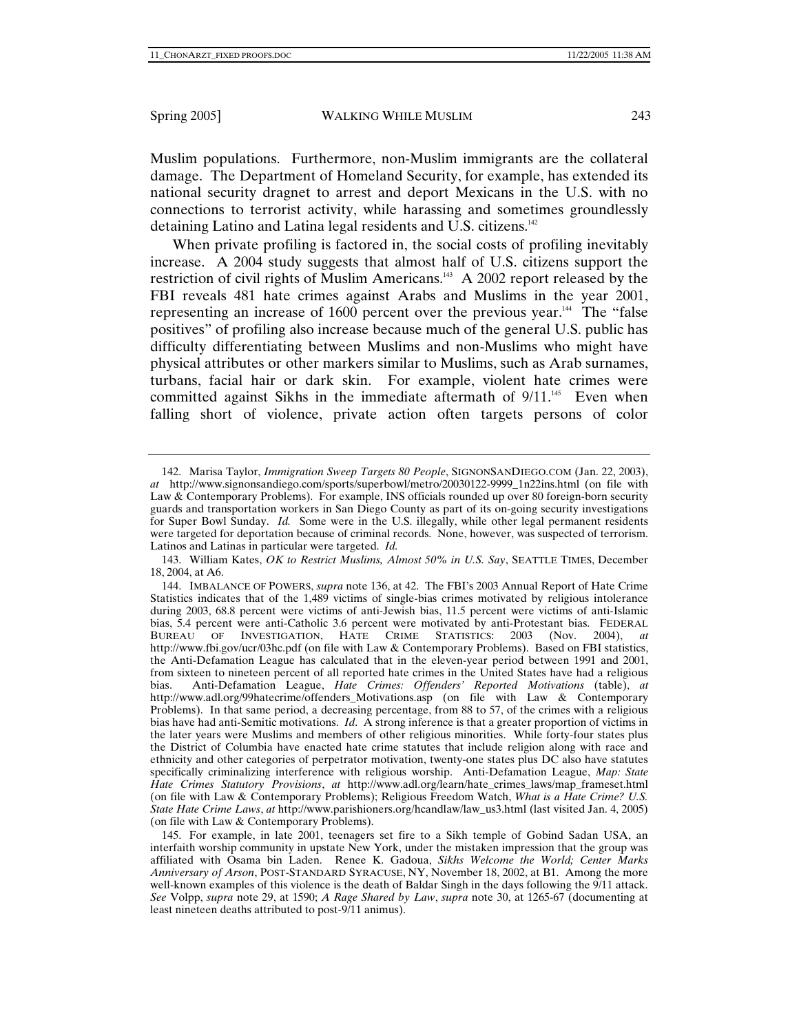Muslim populations. Furthermore, non-Muslim immigrants are the collateral damage. The Department of Homeland Security, for example, has extended its national security dragnet to arrest and deport Mexicans in the U.S. with no connections to terrorist activity, while harassing and sometimes groundlessly detaining Latino and Latina legal residents and U.S. citizens.142

When private profiling is factored in, the social costs of profiling inevitably increase. A 2004 study suggests that almost half of U.S. citizens support the restriction of civil rights of Muslim Americans.<sup>143</sup> A 2002 report released by the FBI reveals 481 hate crimes against Arabs and Muslims in the year 2001, representing an increase of  $1600$  percent over the previous year.<sup>144</sup> The "false" positives" of profiling also increase because much of the general U.S. public has difficulty differentiating between Muslims and non-Muslims who might have physical attributes or other markers similar to Muslims, such as Arab surnames, turbans, facial hair or dark skin. For example, violent hate crimes were committed against Sikhs in the immediate aftermath of  $9/11$ <sup>145</sup> Even when falling short of violence, private action often targets persons of color

 <sup>142.</sup> Marisa Taylor, *Immigration Sweep Targets 80 People*, SIGNONSANDIEGO.COM (Jan. 22, 2003), *at* http://www.signonsandiego.com/sports/superbowl/metro/20030122-9999\_1n22ins.html (on file with Law & Contemporary Problems). For example, INS officials rounded up over 80 foreign-born security guards and transportation workers in San Diego County as part of its on-going security investigations for Super Bowl Sunday. *Id.* Some were in the U.S. illegally, while other legal permanent residents were targeted for deportation because of criminal records. None, however, was suspected of terrorism. Latinos and Latinas in particular were targeted. *Id.*

 <sup>143.</sup> William Kates, *OK to Restrict Muslims, Almost 50% in U.S. Say*, SEATTLE TIMES, December 18, 2004, at A6.

 <sup>144.</sup> IMBALANCE OF POWERS, *supra* note 136, at 42. The FBI's 2003 Annual Report of Hate Crime Statistics indicates that of the 1,489 victims of single-bias crimes motivated by religious intolerance during 2003, 68.8 percent were victims of anti-Jewish bias, 11.5 percent were victims of anti-Islamic bias, 5.4 percent were anti-Catholic 3.6 percent were motivated by anti-Protestant bias. FEDERAL BUREAU OF INVESTIGATION, HATE CRIME STATISTICS: 2003 (Nov. 2004), at BUREAU OF INVESTIGATION, HATE CRIME STATISTICS: 2003 (Nov. 2004), *at* http://www.fbi.gov/ucr/03hc.pdf (on file with Law & Contemporary Problems).Based on FBI statistics, the Anti-Defamation League has calculated that in the eleven-year period between 1991 and 2001, from sixteen to nineteen percent of all reported hate crimes in the United States have had a religious bias. Anti-Defamation League, *Hate Crimes: Offenders' Reported Motivations* (table). *at* bias. Anti-Defamation League, *Hate Crimes: Offenders' Reported Motivations* (table), *at* http://www.adl.org/99hatecrime/offenders\_Motivations.asp (on file with Law & Contemporary Problems). In that same period, a decreasing percentage, from 88 to 57, of the crimes with a religious bias have had anti-Semitic motivations. *Id*. A strong inference is that a greater proportion of victims in the later years were Muslims and members of other religious minorities. While forty-four states plus the District of Columbia have enacted hate crime statutes that include religion along with race and ethnicity and other categories of perpetrator motivation, twenty-one states plus DC also have statutes specifically criminalizing interference with religious worship. Anti-Defamation League, *Map: State Hate Crimes Statutory Provisions*, *at* http://www.adl.org/learn/hate\_crimes\_laws/map\_frameset.html (on file with Law & Contemporary Problems); Religious Freedom Watch, *What is a Hate Crime? U.S. State Hate Crime Laws*, *at* http://www.parishioners.org/hcandlaw/law\_us3.html (last visited Jan. 4, 2005) (on file with Law & Contemporary Problems).

 <sup>145.</sup> For example, in late 2001, teenagers set fire to a Sikh temple of Gobind Sadan USA, an interfaith worship community in upstate New York, under the mistaken impression that the group was affiliated with Osama bin Laden. Renee K. Gadoua, *Sikhs Welcome the World; Center Marks Anniversary of Arson*, POST-STANDARD SYRACUSE, NY, November 18, 2002, at B1. Among the more well-known examples of this violence is the death of Baldar Singh in the days following the 9/11 attack. *See* Volpp, *supra* note 29, at 1590; *A Rage Shared by Law*, *supra* note 30, at 1265-67 (documenting at least nineteen deaths attributed to post-9/11 animus).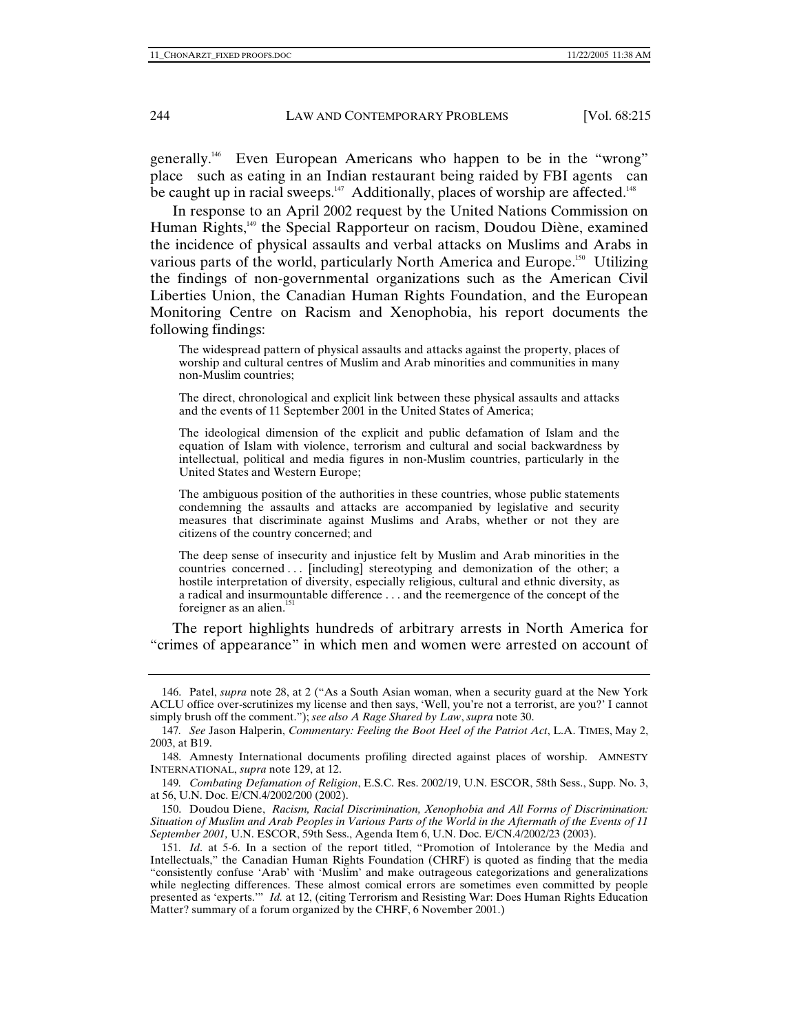generally.<sup>146</sup> Even European Americans who happen to be in the "wrong" place such as eating in an Indian restaurant being raided by FBI agents can be caught up in racial sweeps.<sup>147</sup> Additionally, places of worship are affected.<sup>148</sup>

In response to an April 2002 request by the United Nations Commission on Human Rights,149 the Special Rapporteur on racism, Doudou Diène, examined the incidence of physical assaults and verbal attacks on Muslims and Arabs in various parts of the world, particularly North America and Europe.<sup>150</sup> Utilizing the findings of non-governmental organizations such as the American Civil Liberties Union, the Canadian Human Rights Foundation, and the European Monitoring Centre on Racism and Xenophobia, his report documents the following findings:

The widespread pattern of physical assaults and attacks against the property, places of worship and cultural centres of Muslim and Arab minorities and communities in many non-Muslim countries;

The direct, chronological and explicit link between these physical assaults and attacks and the events of 11 September 2001 in the United States of America;

The ideological dimension of the explicit and public defamation of Islam and the equation of Islam with violence, terrorism and cultural and social backwardness by intellectual, political and media figures in non-Muslim countries, particularly in the United States and Western Europe;

The ambiguous position of the authorities in these countries, whose public statements condemning the assaults and attacks are accompanied by legislative and security measures that discriminate against Muslims and Arabs, whether or not they are citizens of the country concerned; and

The deep sense of insecurity and injustice felt by Muslim and Arab minorities in the countries concerned . . . [including] stereotyping and demonization of the other; a hostile interpretation of diversity, especially religious, cultural and ethnic diversity, as a radical and insurmountable difference . . . and the reemergence of the concept of the foreigner as an alien. $151$ 

The report highlights hundreds of arbitrary arrests in North America for "crimes of appearance" in which men and women were arrested on account of

 <sup>146.</sup> Patel, *supra* note 28, at 2 ("As a South Asian woman, when a security guard at the New York ACLU office over-scrutinizes my license and then says, 'Well, you're not a terrorist, are you?' I cannot simply brush off the comment."); *see also A Rage Shared by Law*, *supra* note 30.

<sup>147</sup>*. See* Jason Halperin, *Commentary: Feeling the Boot Heel of the Patriot Act*, L.A. TIMES, May 2, 2003, at B19.

 <sup>148.</sup> Amnesty International documents profiling directed against places of worship. AMNESTY INTERNATIONAL, *supra* note 129, at 12.

<sup>149</sup>*. Combating Defamation of Religion*, E.S.C. Res. 2002/19, U.N. ESCOR, 58th Sess., Supp. No. 3, at 56, U.N. Doc. E/CN.4/2002/200 (2002).

 <sup>150.</sup> Doudou Diene, *Racism, Racial Discrimination, Xenophobia and All Forms of Discrimination: Situation of Muslim and Arab Peoples in Various Parts of the World in the Aftermath of the Events of 11 September 2001,* U.N. ESCOR, 59th Sess., Agenda Item 6, U.N. Doc. E/CN.4/2002/23 (2003).

<sup>151</sup>*. Id*. at 5-6. In a section of the report titled, "Promotion of Intolerance by the Media and Intellectuals," the Canadian Human Rights Foundation (CHRF) is quoted as finding that the media "consistently confuse 'Arab' with 'Muslim' and make outrageous categorizations and generalizations while neglecting differences. These almost comical errors are sometimes even committed by people presented as 'experts.'" *Id.* at 12, (citing Terrorism and Resisting War: Does Human Rights Education Matter? summary of a forum organized by the CHRF, 6 November 2001.)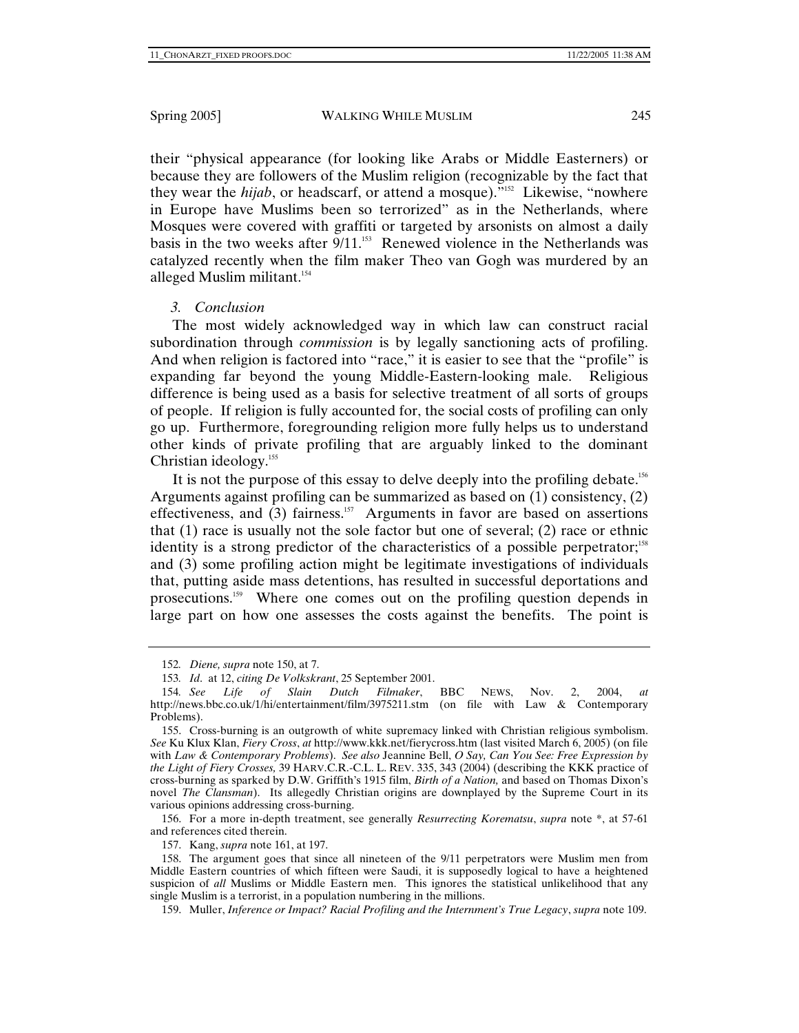their "physical appearance (for looking like Arabs or Middle Easterners) or because they are followers of the Muslim religion (recognizable by the fact that they wear the *hijab*, or headscarf, or attend a mosque)."<sup>152</sup> Likewise, "nowhere in Europe have Muslims been so terrorized" as in the Netherlands, where Mosques were covered with graffiti or targeted by arsonists on almost a daily basis in the two weeks after  $9/11$ .<sup>153</sup> Renewed violence in the Netherlands was catalyzed recently when the film maker Theo van Gogh was murdered by an alleged Muslim militant.<sup>154</sup>

# *3. Conclusion*

The most widely acknowledged way in which law can construct racial subordination through *commission* is by legally sanctioning acts of profiling. And when religion is factored into "race," it is easier to see that the "profile" is expanding far beyond the young Middle-Eastern-looking male. Religious difference is being used as a basis for selective treatment of all sorts of groups of people. If religion is fully accounted for, the social costs of profiling can only go up. Furthermore, foregrounding religion more fully helps us to understand other kinds of private profiling that are arguably linked to the dominant Christian ideology.<sup>155</sup>

It is not the purpose of this essay to delve deeply into the profiling debate.<sup>156</sup> Arguments against profiling can be summarized as based on (1) consistency, (2) effectiveness, and  $(3)$  fairness.<sup>157</sup> Arguments in favor are based on assertions that (1) race is usually not the sole factor but one of several; (2) race or ethnic identity is a strong predictor of the characteristics of a possible perpetrator;<sup>158</sup> and (3) some profiling action might be legitimate investigations of individuals that, putting aside mass detentions, has resulted in successful deportations and prosecutions.<sup>159</sup> Where one comes out on the profiling question depends in large part on how one assesses the costs against the benefits. The point is

 156. For a more in-depth treatment, see generally *Resurrecting Korematsu*, *supra* note \*, at 57-61 and references cited therein.

157. Kang, *supra* note 161, at 197.

159. Muller, *Inference or Impact? Racial Profiling and the Internment's True Legacy*, *supra* note 109.

<sup>152</sup>*. Diene, supra* note 150, at 7.

<sup>153</sup>*. Id*. at 12, *citing De Volkskrant*, 25 September 2001.

<sup>154</sup>*. See Life of Slain Dutch Filmaker*, BBC NEWS, Nov. 2, 2004, *at* http://news.bbc.co.uk/1/hi/entertainment/film/3975211.stm (on file with Law & Contemporary Problems).

 <sup>155.</sup> Cross-burning is an outgrowth of white supremacy linked with Christian religious symbolism. *See* Ku Klux Klan, *Fiery Cross*, *at* http://www.kkk.net/fierycross.htm (last visited March 6, 2005) (on file with *Law & Contemporary Problems*). *See also* Jeannine Bell, *O Say, Can You See: Free Expression by the Light of Fiery Crosses,* 39 HARV.C.R.-C.L. L. REV. 335, 343 (2004) (describing the KKK practice of cross-burning as sparked by D.W. Griffith's 1915 film, *Birth of a Nation,* and based on Thomas Dixon's novel *The Clansman*). Its allegedly Christian origins are downplayed by the Supreme Court in its various opinions addressing cross-burning.

 <sup>158.</sup> The argument goes that since all nineteen of the 9/11 perpetrators were Muslim men from Middle Eastern countries of which fifteen were Saudi, it is supposedly logical to have a heightened suspicion of *all* Muslims or Middle Eastern men. This ignores the statistical unlikelihood that any single Muslim is a terrorist, in a population numbering in the millions.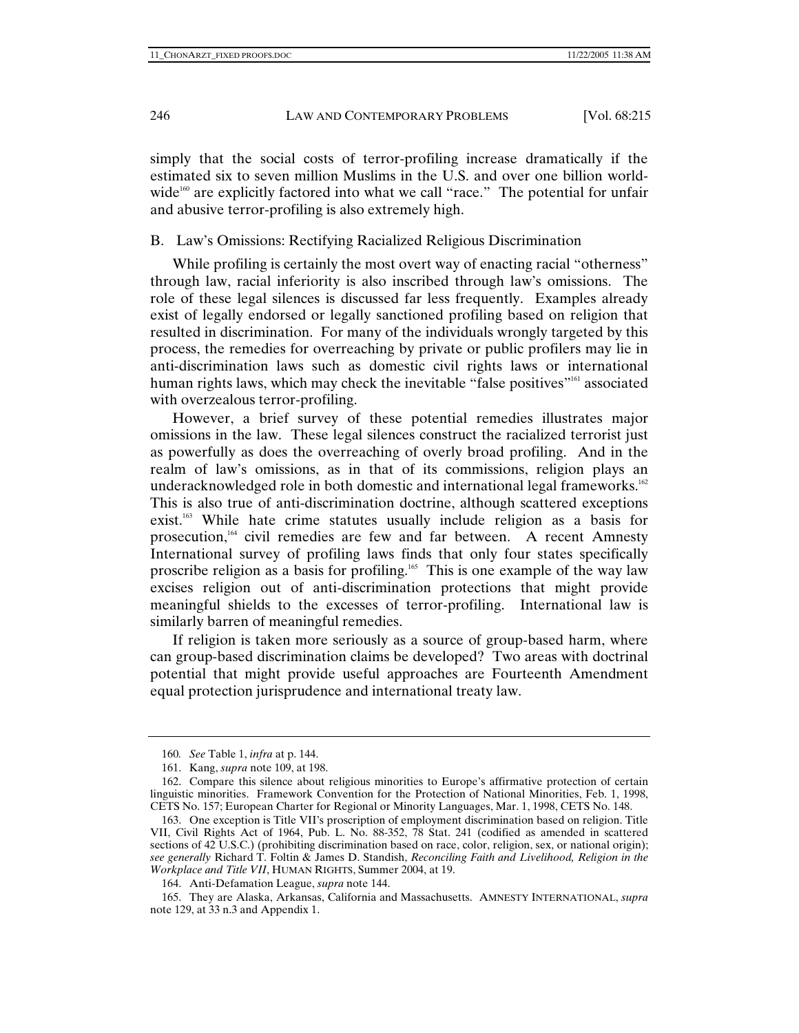simply that the social costs of terror-profiling increase dramatically if the estimated six to seven million Muslims in the U.S. and over one billion worldwide $160^\circ$  are explicitly factored into what we call "race." The potential for unfair and abusive terror-profiling is also extremely high.

# B. Law's Omissions: Rectifying Racialized Religious Discrimination

While profiling is certainly the most overt way of enacting racial "otherness" through law, racial inferiority is also inscribed through law's omissions. The role of these legal silences is discussed far less frequently. Examples already exist of legally endorsed or legally sanctioned profiling based on religion that resulted in discrimination. For many of the individuals wrongly targeted by this process, the remedies for overreaching by private or public profilers may lie in anti-discrimination laws such as domestic civil rights laws or international human rights laws, which may check the inevitable "false positives"<sup>161</sup> associated with overzealous terror-profiling.

However, a brief survey of these potential remedies illustrates major omissions in the law. These legal silences construct the racialized terrorist just as powerfully as does the overreaching of overly broad profiling. And in the realm of law's omissions, as in that of its commissions, religion plays an underacknowledged role in both domestic and international legal frameworks.<sup>162</sup> This is also true of anti-discrimination doctrine, although scattered exceptions exist.<sup>163</sup> While hate crime statutes usually include religion as a basis for prosecution,<sup>164</sup> civil remedies are few and far between. A recent Amnesty International survey of profiling laws finds that only four states specifically proscribe religion as a basis for profiling.<sup>165</sup> This is one example of the way law excises religion out of anti-discrimination protections that might provide meaningful shields to the excesses of terror-profiling. International law is similarly barren of meaningful remedies.

If religion is taken more seriously as a source of group-based harm, where can group-based discrimination claims be developed? Two areas with doctrinal potential that might provide useful approaches are Fourteenth Amendment equal protection jurisprudence and international treaty law.

164. Anti-Defamation League, *supra* note 144.

<sup>160</sup>*. See* Table 1, *infra* at p. 144.

 <sup>161.</sup> Kang, *supra* note 109, at 198.

 <sup>162.</sup> Compare this silence about religious minorities to Europe's affirmative protection of certain linguistic minorities. Framework Convention for the Protection of National Minorities, Feb. 1, 1998, CETS No. 157; European Charter for Regional or Minority Languages, Mar. 1, 1998, CETS No. 148.

 <sup>163.</sup> One exception is Title VII's proscription of employment discrimination based on religion. Title VII, Civil Rights Act of 1964, Pub. L. No. 88-352, 78 Stat. 241 (codified as amended in scattered sections of 42 U.S.C.) (prohibiting discrimination based on race, color, religion, sex, or national origin); *see generally* Richard T. Foltin & James D. Standish, *Reconciling Faith and Livelihood, Religion in the Workplace and Title VII*, HUMAN RIGHTS, Summer 2004, at 19.

 <sup>165.</sup> They are Alaska, Arkansas, California and Massachusetts. AMNESTY INTERNATIONAL, *supra* note 129, at 33 n.3 and Appendix 1.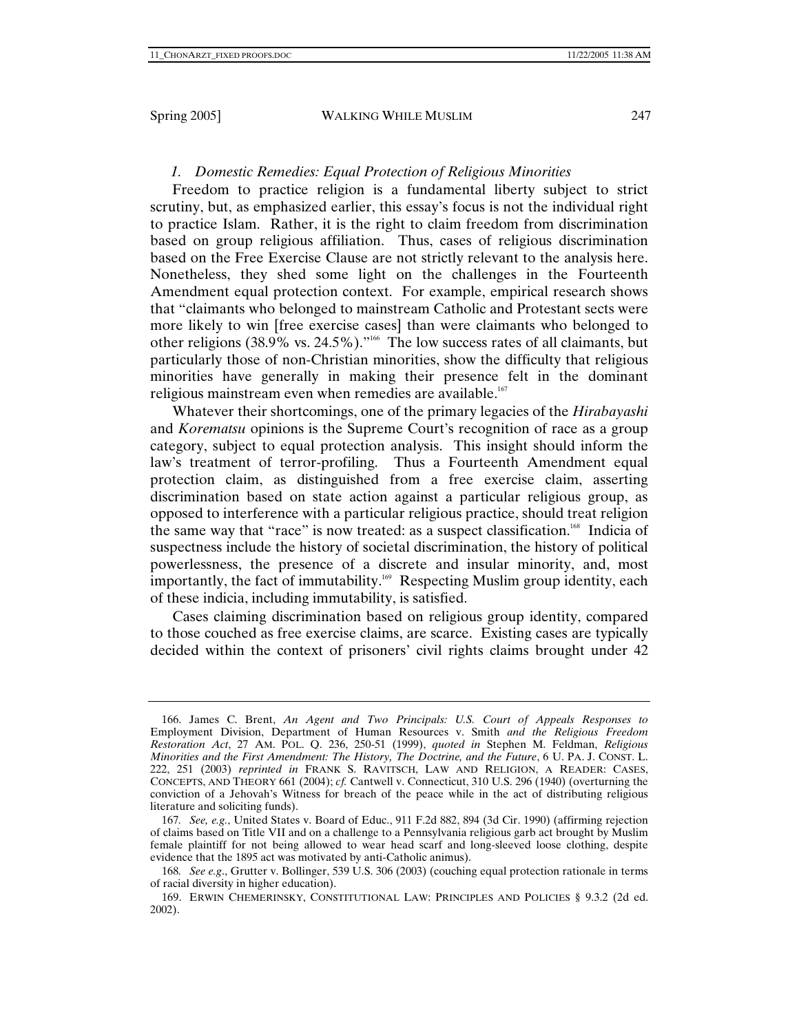## *1. Domestic Remedies: Equal Protection of Religious Minorities*

Freedom to practice religion is a fundamental liberty subject to strict scrutiny, but, as emphasized earlier, this essay's focus is not the individual right to practice Islam. Rather, it is the right to claim freedom from discrimination based on group religious affiliation. Thus, cases of religious discrimination based on the Free Exercise Clause are not strictly relevant to the analysis here. Nonetheless, they shed some light on the challenges in the Fourteenth Amendment equal protection context. For example, empirical research shows that "claimants who belonged to mainstream Catholic and Protestant sects were more likely to win [free exercise cases] than were claimants who belonged to other religions (38.9% vs. 24.5%)."<sup>166</sup> The low success rates of all claimants, but particularly those of non-Christian minorities, show the difficulty that religious minorities have generally in making their presence felt in the dominant religious mainstream even when remedies are available.<sup>167</sup>

Whatever their shortcomings, one of the primary legacies of the *Hirabayashi*  and *Korematsu* opinions is the Supreme Court's recognition of race as a group category, subject to equal protection analysis. This insight should inform the law's treatment of terror-profiling. Thus a Fourteenth Amendment equal protection claim, as distinguished from a free exercise claim, asserting discrimination based on state action against a particular religious group, as opposed to interference with a particular religious practice, should treat religion the same way that "race" is now treated: as a suspect classification.<sup>168</sup> Indicia of suspectness include the history of societal discrimination, the history of political powerlessness, the presence of a discrete and insular minority, and, most importantly, the fact of immutability.<sup>169</sup> Respecting Muslim group identity, each of these indicia, including immutability, is satisfied.

Cases claiming discrimination based on religious group identity, compared to those couched as free exercise claims, are scarce. Existing cases are typically decided within the context of prisoners' civil rights claims brought under 42

 <sup>166.</sup> James C. Brent, *An Agent and Two Principals: U.S. Court of Appeals Responses to*  Employment Division, Department of Human Resources v. Smith *and the Religious Freedom Restoration Act*, 27 AM. POL. Q. 236, 250-51 (1999), *quoted in* Stephen M. Feldman, *Religious Minorities and the First Amendment: The History, The Doctrine, and the Future*, 6 U. PA. J. CONST. L. 222, 251 (2003) *reprinted in* FRANK S. RAVITSCH, LAW AND RELIGION, A READER: CASES, CONCEPTS, AND THEORY 661 (2004); *cf.* Cantwell v. Connecticut, 310 U.S. 296 (1940) (overturning the conviction of a Jehovah's Witness for breach of the peace while in the act of distributing religious literature and soliciting funds).

<sup>167</sup>*. See, e.g.*, United States v. Board of Educ., 911 F.2d 882, 894 (3d Cir. 1990) (affirming rejection of claims based on Title VII and on a challenge to a Pennsylvania religious garb act brought by Muslim female plaintiff for not being allowed to wear head scarf and long-sleeved loose clothing, despite evidence that the 1895 act was motivated by anti-Catholic animus).

<sup>168</sup>*. See e.g*., Grutter v. Bollinger, 539 U.S. 306 (2003) (couching equal protection rationale in terms of racial diversity in higher education).

 <sup>169.</sup> ERWIN CHEMERINSKY, CONSTITUTIONAL LAW: PRINCIPLES AND POLICIES § 9.3.2 (2d ed. 2002).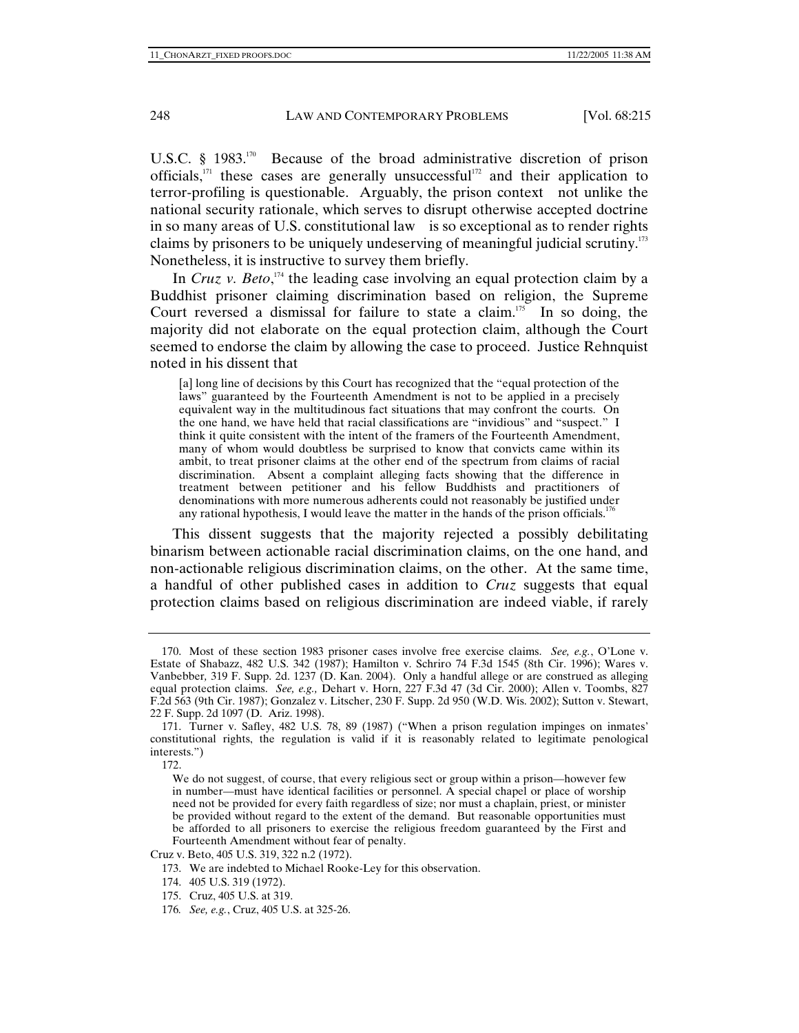U.S.C. § 1983.<sup>170</sup> Because of the broad administrative discretion of prison officials, $171$  these cases are generally unsuccessful<sup>172</sup> and their application to terror-profiling is questionable. Arguably, the prison context not unlike the national security rationale, which serves to disrupt otherwise accepted doctrine in so many areas of U.S. constitutional law is so exceptional as to render rights claims by prisoners to be uniquely undeserving of meaningful judicial scrutiny.173 Nonetheless, it is instructive to survey them briefly.

In *Cruz v. Beto*,<sup>174</sup> the leading case involving an equal protection claim by a Buddhist prisoner claiming discrimination based on religion, the Supreme Court reversed a dismissal for failure to state a claim.<sup>175</sup> In so doing, the majority did not elaborate on the equal protection claim, although the Court seemed to endorse the claim by allowing the case to proceed. Justice Rehnquist noted in his dissent that

[a] long line of decisions by this Court has recognized that the "equal protection of the laws" guaranteed by the Fourteenth Amendment is not to be applied in a precisely equivalent way in the multitudinous fact situations that may confront the courts. On the one hand, we have held that racial classifications are "invidious" and "suspect." I think it quite consistent with the intent of the framers of the Fourteenth Amendment, many of whom would doubtless be surprised to know that convicts came within its ambit, to treat prisoner claims at the other end of the spectrum from claims of racial discrimination. Absent a complaint alleging facts showing that the difference in treatment between petitioner and his fellow Buddhists and practitioners of denominations with more numerous adherents could not reasonably be justified under any rational hypothesis, I would leave the matter in the hands of the prison officials.<sup>176</sup>

This dissent suggests that the majority rejected a possibly debilitating binarism between actionable racial discrimination claims, on the one hand, and non-actionable religious discrimination claims, on the other. At the same time, a handful of other published cases in addition to *Cruz* suggests that equal protection claims based on religious discrimination are indeed viable, if rarely

175. Cruz, 405 U.S. at 319.

 <sup>170.</sup> Most of these section 1983 prisoner cases involve free exercise claims. *See, e.g.*, O'Lone v. Estate of Shabazz, 482 U.S. 342 (1987); Hamilton v. Schriro 74 F.3d 1545 (8th Cir. 1996); Wares v. Vanbebber*,* 319 F. Supp. 2d. 1237 (D. Kan. 2004). Only a handful allege or are construed as alleging equal protection claims. *See, e.g.,* Dehart v. Horn, 227 F.3d 47 (3d Cir. 2000); Allen v. Toombs, 827 F.2d 563 (9th Cir. 1987); Gonzalez v. Litscher, 230 F. Supp. 2d 950 (W.D. Wis. 2002); Sutton v. Stewart, 22 F. Supp. 2d 1097 (D. Ariz. 1998).

 <sup>171.</sup> Turner v. Safley, 482 U.S. 78, 89 (1987) ("When a prison regulation impinges on inmates' constitutional rights, the regulation is valid if it is reasonably related to legitimate penological interests.")

 <sup>172.</sup> 

We do not suggest, of course, that every religious sect or group within a prison—however few in number—must have identical facilities or personnel. A special chapel or place of worship need not be provided for every faith regardless of size; nor must a chaplain, priest, or minister be provided without regard to the extent of the demand. But reasonable opportunities must be afforded to all prisoners to exercise the religious freedom guaranteed by the First and Fourteenth Amendment without fear of penalty.

Cruz v. Beto, 405 U.S. 319, 322 n.2 (1972).

 <sup>173.</sup> We are indebted to Michael Rooke-Ley for this observation.

 <sup>174. 405</sup> U.S. 319 (1972).

<sup>176</sup>*. See, e.g.*, Cruz, 405 U.S. at 325-26.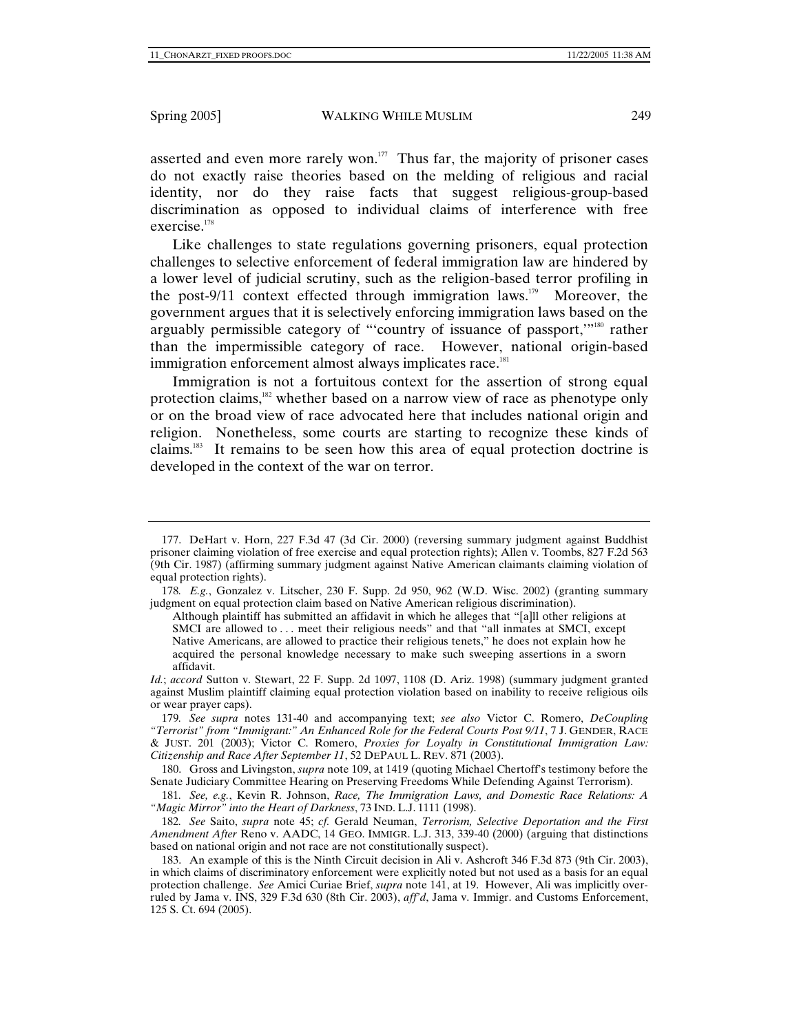asserted and even more rarely won. $177$  Thus far, the majority of prisoner cases do not exactly raise theories based on the melding of religious and racial identity, nor do they raise facts that suggest religious-group-based discrimination as opposed to individual claims of interference with free exercise.<sup>178</sup>

Like challenges to state regulations governing prisoners, equal protection challenges to selective enforcement of federal immigration law are hindered by a lower level of judicial scrutiny, such as the religion-based terror profiling in the post-9/11 context effected through immigration laws.<sup>179</sup> Moreover, the government argues that it is selectively enforcing immigration laws based on the arguably permissible category of "'country of issuance of passport,"<sup>180</sup> rather than the impermissible category of race. However, national origin-based immigration enforcement almost always implicates race.<sup>181</sup>

Immigration is not a fortuitous context for the assertion of strong equal protection claims,<sup>182</sup> whether based on a narrow view of race as phenotype only or on the broad view of race advocated here that includes national origin and religion. Nonetheless, some courts are starting to recognize these kinds of claims.183 It remains to be seen how this area of equal protection doctrine is developed in the context of the war on terror.

Although plaintiff has submitted an affidavit in which he alleges that "[a]ll other religions at SMCI are allowed to ... meet their religious needs" and that "all inmates at SMCI, except Native Americans, are allowed to practice their religious tenets," he does not explain how he acquired the personal knowledge necessary to make such sweeping assertions in a sworn affidavit.

*Id.*; *accord* Sutton v. Stewart, 22 F. Supp. 2d 1097, 1108 (D. Ariz. 1998) (summary judgment granted against Muslim plaintiff claiming equal protection violation based on inability to receive religious oils or wear prayer caps).

 180. Gross and Livingston, *supra* note 109, at 1419 (quoting Michael Chertoff's testimony before the Senate Judiciary Committee Hearing on Preserving Freedoms While Defending Against Terrorism).

181*. See, e.g.*, Kevin R. Johnson, *Race, The Immigration Laws, and Domestic Race Relations: A "Magic Mirror" into the Heart of Darkness*, 73 IND. L.J. 1111 (1998).

 <sup>177.</sup> DeHart v. Horn, 227 F.3d 47 (3d Cir. 2000) (reversing summary judgment against Buddhist prisoner claiming violation of free exercise and equal protection rights); Allen v. Toombs, 827 F.2d 563 (9th Cir. 1987) (affirming summary judgment against Native American claimants claiming violation of equal protection rights).

<sup>178</sup>*. E.g.*, Gonzalez v. Litscher, 230 F. Supp. 2d 950, 962 (W.D. Wisc. 2002) (granting summary judgment on equal protection claim based on Native American religious discrimination).

<sup>179</sup>*. See supra* notes 131-40 and accompanying text; *see also* Victor C. Romero, *DeCoupling "Terrorist" from "Immigrant:" An Enhanced Role for the Federal Courts Post 9/11*, 7 J. GENDER, RACE & JUST. 201 (2003); Victor C. Romero, *Proxies for Loyalty in Constitutional Immigration Law: Citizenship and Race After September 11*, 52 DEPAUL L. REV. 871 (2003).

<sup>182</sup>*. See* Saito, *supra* note 45; *cf.* Gerald Neuman, *Terrorism, Selective Deportation and the First Amendment After* Reno v. AADC, 14 GEO. IMMIGR. L.J. 313, 339-40 (2000) (arguing that distinctions based on national origin and not race are not constitutionally suspect).

 <sup>183.</sup> An example of this is the Ninth Circuit decision in Ali v. Ashcroft 346 F.3d 873 (9th Cir. 2003), in which claims of discriminatory enforcement were explicitly noted but not used as a basis for an equal protection challenge. *See* Amici Curiae Brief, *supra* note 141, at 19. However, Ali was implicitly overruled by Jama v. INS, 329 F.3d 630 (8th Cir. 2003), *aff'd*, Jama v. Immigr. and Customs Enforcement, 125 S. Ct. 694 (2005).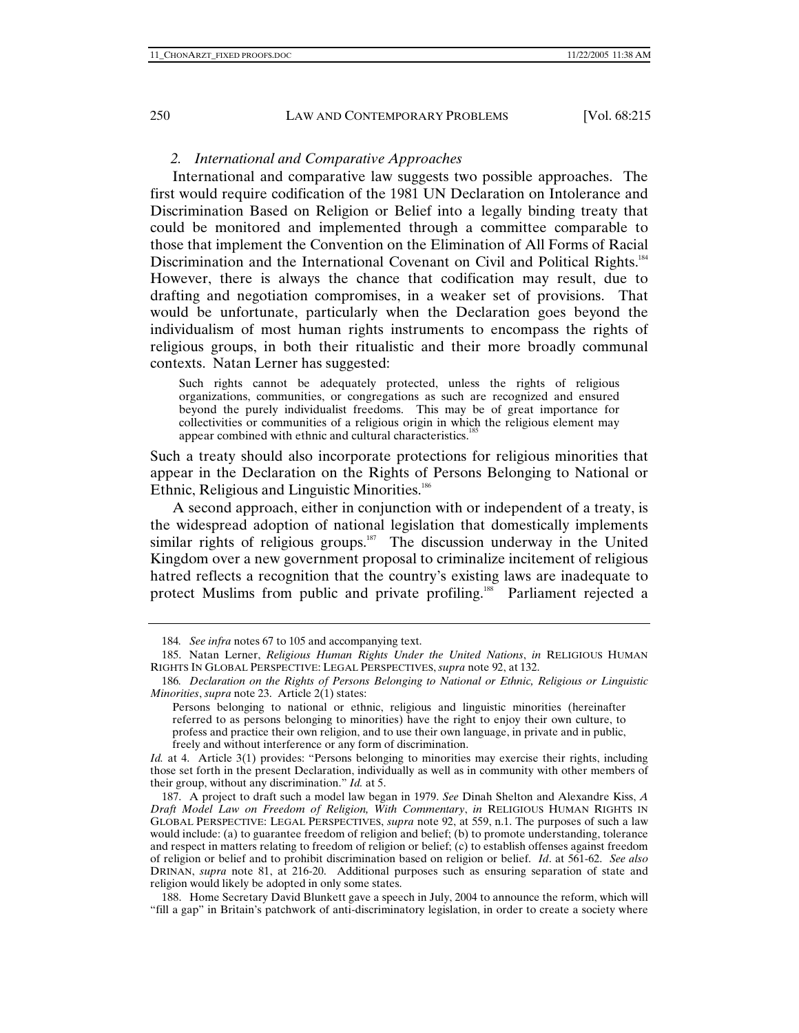### *2. International and Comparative Approaches*

International and comparative law suggests two possible approaches. The first would require codification of the 1981 UN Declaration on Intolerance and Discrimination Based on Religion or Belief into a legally binding treaty that could be monitored and implemented through a committee comparable to those that implement the Convention on the Elimination of All Forms of Racial Discrimination and the International Covenant on Civil and Political Rights.<sup>184</sup> However, there is always the chance that codification may result, due to drafting and negotiation compromises, in a weaker set of provisions. That would be unfortunate, particularly when the Declaration goes beyond the individualism of most human rights instruments to encompass the rights of religious groups, in both their ritualistic and their more broadly communal contexts. Natan Lerner has suggested:

Such rights cannot be adequately protected, unless the rights of religious organizations, communities, or congregations as such are recognized and ensured beyond the purely individualist freedoms. This may be of great importance for collectivities or communities of a religious origin in which the religious element may appear combined with ethnic and cultural characteristics.<sup>185</sup>

Such a treaty should also incorporate protections for religious minorities that appear in the Declaration on the Rights of Persons Belonging to National or Ethnic, Religious and Linguistic Minorities.<sup>186</sup>

A second approach, either in conjunction with or independent of a treaty, is the widespread adoption of national legislation that domestically implements similar rights of religious groups.<sup>187</sup> The discussion underway in the United Kingdom over a new government proposal to criminalize incitement of religious hatred reflects a recognition that the country's existing laws are inadequate to protect Muslims from public and private profiling.<sup>188</sup> Parliament rejected a

<sup>184</sup>*. See infra* notes 67 to 105 and accompanying text.

 <sup>185.</sup> Natan Lerner, *Religious Human Rights Under the United Nations*, *in* RELIGIOUS HUMAN RIGHTS IN GLOBAL PERSPECTIVE: LEGAL PERSPECTIVES, *supra* note 92, at 132.

<sup>186</sup>*. Declaration on the Rights of Persons Belonging to National or Ethnic, Religious or Linguistic Minorities*, *supra* note 23. Article 2(1) states:

Persons belonging to national or ethnic, religious and linguistic minorities (hereinafter referred to as persons belonging to minorities) have the right to enjoy their own culture, to profess and practice their own religion, and to use their own language, in private and in public, freely and without interference or any form of discrimination.

*Id.* at 4. Article 3(1) provides: "Persons belonging to minorities may exercise their rights, including those set forth in the present Declaration, individually as well as in community with other members of their group, without any discrimination." *Id.* at 5.

 <sup>187.</sup> A project to draft such a model law began in 1979. *See* Dinah Shelton and Alexandre Kiss, *A Draft Model Law on Freedom of Religion, With Commentary*, *in* RELIGIOUS HUMAN RIGHTS IN GLOBAL PERSPECTIVE: LEGAL PERSPECTIVES, *supra* note 92, at 559, n.1. The purposes of such a law would include: (a) to guarantee freedom of religion and belief; (b) to promote understanding, tolerance and respect in matters relating to freedom of religion or belief; (c) to establish offenses against freedom of religion or belief and to prohibit discrimination based on religion or belief. *Id*. at 561-62. *See also* DRINAN, *supra* note 81, at 216-20. Additional purposes such as ensuring separation of state and religion would likely be adopted in only some states.

 <sup>188.</sup> Home Secretary David Blunkett gave a speech in July, 2004 to announce the reform, which will "fill a gap" in Britain's patchwork of anti-discriminatory legislation, in order to create a society where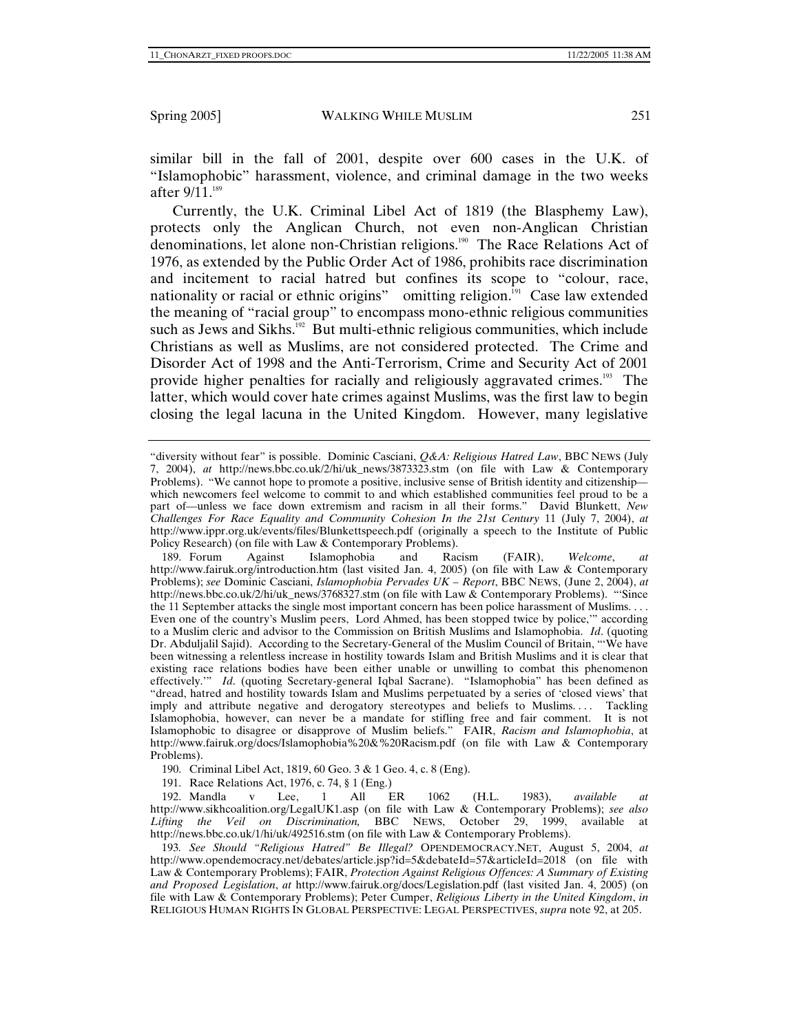similar bill in the fall of 2001, despite over 600 cases in the U.K. of "Islamophobic" harassment, violence, and criminal damage in the two weeks after  $9/11.^{189}$ 

Currently, the U.K. Criminal Libel Act of 1819 (the Blasphemy Law), protects only the Anglican Church, not even non-Anglican Christian denominations, let alone non-Christian religions.<sup>190</sup> The Race Relations Act of 1976, as extended by the Public Order Act of 1986, prohibits race discrimination and incitement to racial hatred but confines its scope to "colour, race, nationality or racial or ethnic origins" omitting religion. $I<sup>91</sup>$  Case law extended the meaning of "racial group" to encompass mono-ethnic religious communities such as Jews and Sikhs.<sup>192</sup> But multi-ethnic religious communities, which include Christians as well as Muslims, are not considered protected. The Crime and Disorder Act of 1998 and the Anti-Terrorism, Crime and Security Act of 2001 provide higher penalties for racially and religiously aggravated crimes.<sup>193</sup> The latter, which would cover hate crimes against Muslims, was the first law to begin closing the legal lacuna in the United Kingdom. However, many legislative

<sup>&</sup>quot;diversity without fear" is possible. Dominic Casciani, *Q&A: Religious Hatred Law*, BBC NEWS (July 7, 2004), *at* http://news.bbc.co.uk/2/hi/uk\_news/3873323.stm (on file with Law & Contemporary Problems). "We cannot hope to promote a positive, inclusive sense of British identity and citizenship which newcomers feel welcome to commit to and which established communities feel proud to be a part of—unless we face down extremism and racism in all their forms." David Blunkett, *New Challenges For Race Equality and Community Cohesion In the 21st Century* 11 (July 7, 2004), *at* http://www.ippr.org.uk/events/files/Blunkettspeech.pdf (originally a speech to the Institute of Public Policy Research) (on file with Law & Contemporary Problems).

 <sup>189.</sup> Forum Against Islamophobia and Racism (FAIR), *Welcome*, *at* http://www.fairuk.org/introduction.htm (last visited Jan. 4, 2005) (on file with Law & Contemporary Problems); *see* Dominic Casciani, *Islamophobia Pervades UK – Report*, BBC NEWS, (June 2, 2004), *at*  http://news.bbc.co.uk/2/hi/uk\_news/3768327.stm (on file with Law & Contemporary Problems). "'Since the 11 September attacks the single most important concern has been police harassment of Muslims. . . . Even one of the country's Muslim peers, Lord Ahmed, has been stopped twice by police,'" according to a Muslim cleric and advisor to the Commission on British Muslims and Islamophobia. *Id*. (quoting Dr. Abduljalil Sajid). According to the Secretary-General of the Muslim Council of Britain, "'We have been witnessing a relentless increase in hostility towards Islam and British Muslims and it is clear that existing race relations bodies have been either unable or unwilling to combat this phenomenon effectively.'" *Id*. (quoting Secretary-general Iqbal Sacrane). "Islamophobia" has been defined as "dread, hatred and hostility towards Islam and Muslims perpetuated by a series of 'closed views' that imply and attribute negative and derogatory stereotypes and beliefs to Muslims.... Tackling Islamophobia, however, can never be a mandate for stifling free and fair comment. It is not Islamophobic to disagree or disapprove of Muslim beliefs." FAIR, *Racism and Islamophobia*, at http://www.fairuk.org/docs/Islamophobia%20&%20Racism.pdf (on file with Law & Contemporary Problems).

 <sup>190.</sup> Criminal Libel Act, 1819, 60 Geo. 3 & 1 Geo. 4, c. 8 (Eng).

 <sup>191.</sup> Race Relations Act, 1976, c. 74, § 1 (Eng.)

 <sup>192.</sup> Mandla v Lee, 1 All ER 1062 (H.L. 1983), *available at* http://www.sikhcoalition.org/LegalUK1.asp (on file with Law & Contemporary Problems); *see also Lifting the Veil on Discrimination,* BBC NEWS, October 29, 1999, available at http://news.bbc.co.uk/1/hi/uk/492516.stm (on file with Law & Contemporary Problems).

<sup>193</sup>*. See Should "Religious Hatred" Be Illegal?* OPENDEMOCRACY.NET, August 5, 2004, *at* http://www.opendemocracy.net/debates/article.jsp?id=5&debateId=57&articleId=2018 (on file with Law & Contemporary Problems); FAIR, *Protection Against Religious Offences: A Summary of Existing and Proposed Legislation*, *at* http://www.fairuk.org/docs/Legislation.pdf (last visited Jan. 4, 2005) (on file with Law & Contemporary Problems); Peter Cumper, *Religious Liberty in the United Kingdom*, *in* RELIGIOUS HUMAN RIGHTS IN GLOBAL PERSPECTIVE: LEGAL PERSPECTIVES, *supra* note 92, at 205.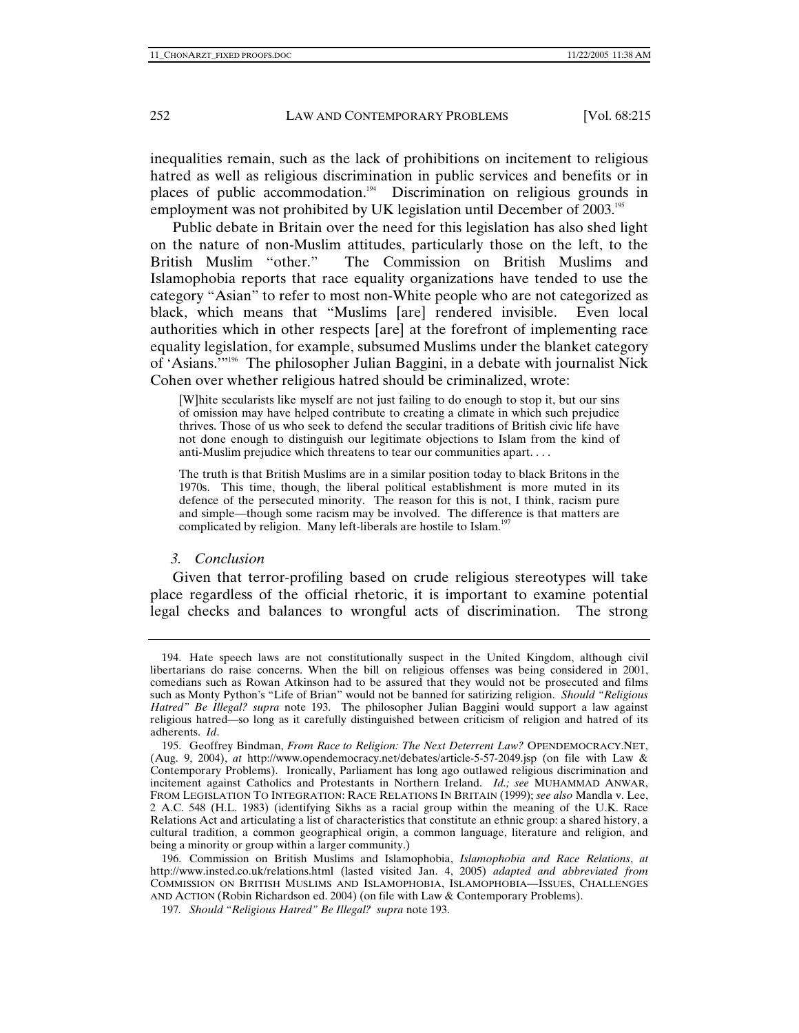inequalities remain, such as the lack of prohibitions on incitement to religious hatred as well as religious discrimination in public services and benefits or in places of public accommodation.<sup>194</sup> Discrimination on religious grounds in employment was not prohibited by UK legislation until December of 2003.<sup>195</sup>

Public debate in Britain over the need for this legislation has also shed light on the nature of non-Muslim attitudes, particularly those on the left, to the British Muslim "other." The Commission on British Muslims and Islamophobia reports that race equality organizations have tended to use the category "Asian" to refer to most non-White people who are not categorized as black, which means that "Muslims [are] rendered invisible. Even local authorities which in other respects [are] at the forefront of implementing race equality legislation, for example, subsumed Muslims under the blanket category of 'Asians.'"196 The philosopher Julian Baggini, in a debate with journalist Nick Cohen over whether religious hatred should be criminalized, wrote:

[W]hite secularists like myself are not just failing to do enough to stop it, but our sins of omission may have helped contribute to creating a climate in which such prejudice thrives. Those of us who seek to defend the secular traditions of British civic life have not done enough to distinguish our legitimate objections to Islam from the kind of anti-Muslim prejudice which threatens to tear our communities apart. . . .

The truth is that British Muslims are in a similar position today to black Britons in the 1970s. This time, though, the liberal political establishment is more muted in its defence of the persecuted minority. The reason for this is not, I think, racism pure and simple—though some racism may be involved. The difference is that matters are complicated by religion. Many left-liberals are hostile to Islam.<sup>197</sup>

#### *3. Conclusion*

Given that terror-profiling based on crude religious stereotypes will take place regardless of the official rhetoric, it is important to examine potential legal checks and balances to wrongful acts of discrimination. The strong

 196. Commission on British Muslims and Islamophobia, *Islamophobia and Race Relations*, *at*  http://www.insted.co.uk/relations.html (lasted visited Jan. 4, 2005) *adapted and abbreviated from* COMMISSION ON BRITISH MUSLIMS AND ISLAMOPHOBIA, ISLAMOPHOBIA—ISSUES, CHALLENGES AND ACTION (Robin Richardson ed. 2004) (on file with Law & Contemporary Problems).

197*. Should "Religious Hatred" Be Illegal? supra* note 193.

 <sup>194.</sup> Hate speech laws are not constitutionally suspect in the United Kingdom, although civil libertarians do raise concerns. When the bill on religious offenses was being considered in 2001, comedians such as Rowan Atkinson had to be assured that they would not be prosecuted and films such as Monty Python's "Life of Brian" would not be banned for satirizing religion. *Should "Religious Hatred" Be Illegal? supra* note 193. The philosopher Julian Baggini would support a law against religious hatred—so long as it carefully distinguished between criticism of religion and hatred of its adherents. *Id*.

 <sup>195.</sup> Geoffrey Bindman, *From Race to Religion: The Next Deterrent Law?* OPENDEMOCRACY.NET, (Aug. 9, 2004), *at* http://www.opendemocracy.net/debates/article-5-57-2049.jsp (on file with Law & Contemporary Problems). Ironically, Parliament has long ago outlawed religious discrimination and incitement against Catholics and Protestants in Northern Ireland. *Id.; see* MUHAMMAD ANWAR, FROM LEGISLATION TO INTEGRATION: RACE RELATIONS IN BRITAIN (1999); *see also* Mandla v. Lee, 2 A.C. 548 (H.L. 1983) (identifying Sikhs as a racial group within the meaning of the U.K. Race Relations Act and articulating a list of characteristics that constitute an ethnic group: a shared history, a cultural tradition, a common geographical origin, a common language, literature and religion, and being a minority or group within a larger community.)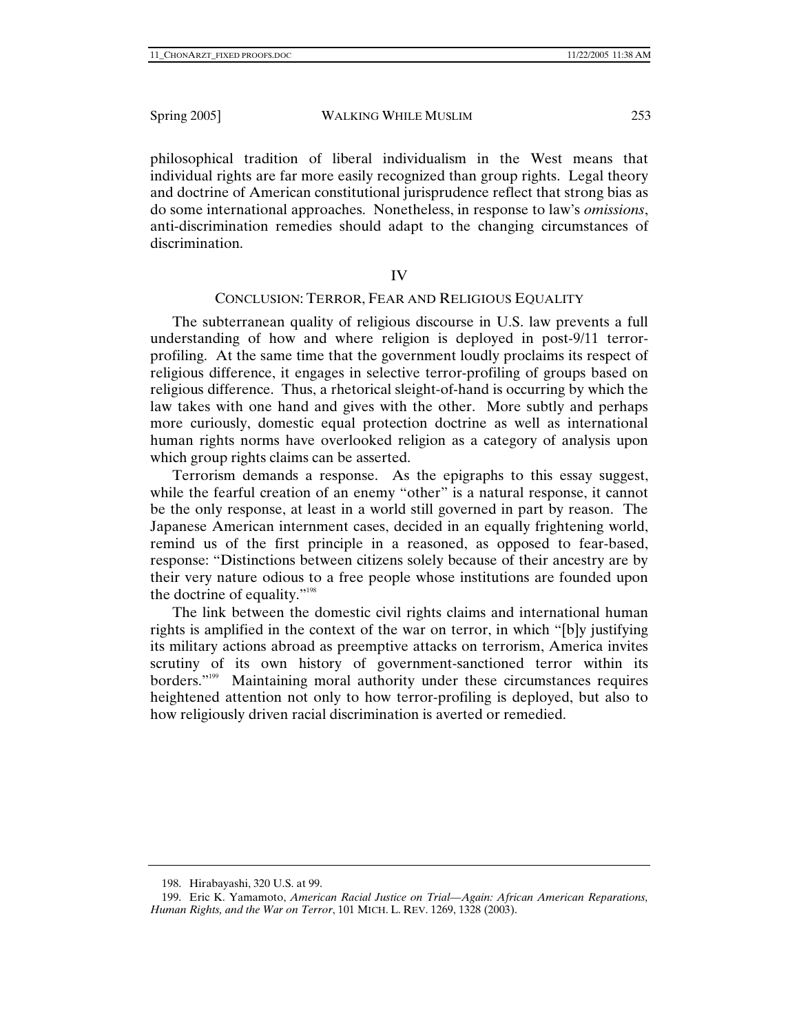philosophical tradition of liberal individualism in the West means that individual rights are far more easily recognized than group rights. Legal theory and doctrine of American constitutional jurisprudence reflect that strong bias as do some international approaches. Nonetheless, in response to law's *omissions*, anti-discrimination remedies should adapt to the changing circumstances of discrimination.

## IV

# CONCLUSION: TERROR, FEAR AND RELIGIOUS EQUALITY

The subterranean quality of religious discourse in U.S. law prevents a full understanding of how and where religion is deployed in post-9/11 terrorprofiling. At the same time that the government loudly proclaims its respect of religious difference, it engages in selective terror-profiling of groups based on religious difference. Thus, a rhetorical sleight-of-hand is occurring by which the law takes with one hand and gives with the other. More subtly and perhaps more curiously, domestic equal protection doctrine as well as international human rights norms have overlooked religion as a category of analysis upon which group rights claims can be asserted.

Terrorism demands a response. As the epigraphs to this essay suggest, while the fearful creation of an enemy "other" is a natural response, it cannot be the only response, at least in a world still governed in part by reason. The Japanese American internment cases, decided in an equally frightening world, remind us of the first principle in a reasoned, as opposed to fear-based, response: "Distinctions between citizens solely because of their ancestry are by their very nature odious to a free people whose institutions are founded upon the doctrine of equality."198

The link between the domestic civil rights claims and international human rights is amplified in the context of the war on terror, in which "[b]y justifying its military actions abroad as preemptive attacks on terrorism, America invites scrutiny of its own history of government-sanctioned terror within its borders."199 Maintaining moral authority under these circumstances requires heightened attention not only to how terror-profiling is deployed, but also to how religiously driven racial discrimination is averted or remedied.

 <sup>198.</sup> Hirabayashi, 320 U.S. at 99.

 <sup>199.</sup> Eric K. Yamamoto, *American Racial Justice on Trial—Again: African American Reparations, Human Rights, and the War on Terror*, 101 MICH. L. REV. 1269, 1328 (2003).